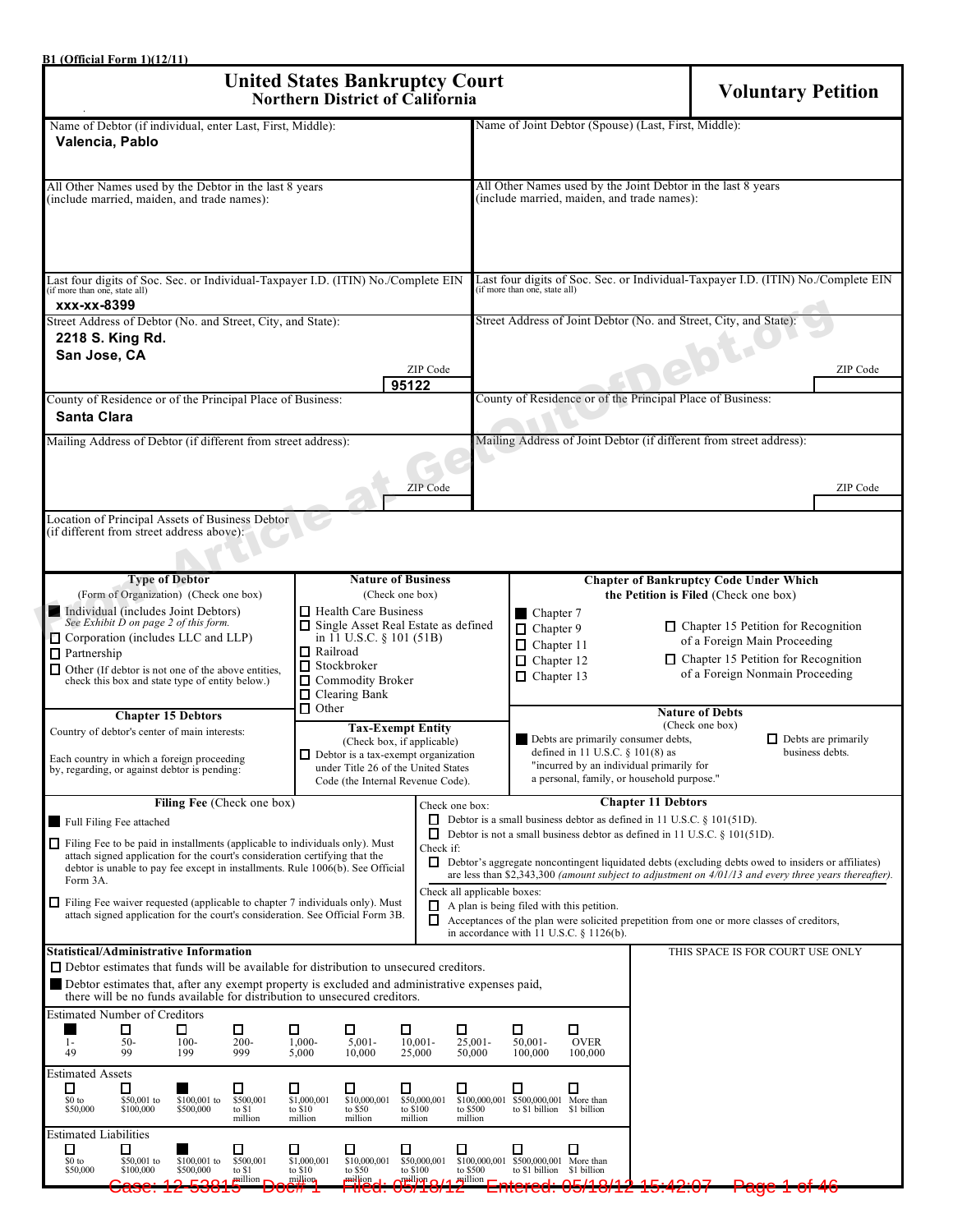|                                                                                                                                                                                                                                                                                                                                                                                                                                                                                                                                                      | <b>B1 (Official Form 1)(12/11)</b>                                            |                           |                                                                                                                                                                            |                                                                                            |                                                                                         |                                                                                                                                                                                                                                                                                                  |                                                                                                |                                                                                                                                                                                                                                                       |                                                                     |                                                                                                                                                                                                               |                                                                                   |  |                           |
|------------------------------------------------------------------------------------------------------------------------------------------------------------------------------------------------------------------------------------------------------------------------------------------------------------------------------------------------------------------------------------------------------------------------------------------------------------------------------------------------------------------------------------------------------|-------------------------------------------------------------------------------|---------------------------|----------------------------------------------------------------------------------------------------------------------------------------------------------------------------|--------------------------------------------------------------------------------------------|-----------------------------------------------------------------------------------------|--------------------------------------------------------------------------------------------------------------------------------------------------------------------------------------------------------------------------------------------------------------------------------------------------|------------------------------------------------------------------------------------------------|-------------------------------------------------------------------------------------------------------------------------------------------------------------------------------------------------------------------------------------------------------|---------------------------------------------------------------------|---------------------------------------------------------------------------------------------------------------------------------------------------------------------------------------------------------------|-----------------------------------------------------------------------------------|--|---------------------------|
|                                                                                                                                                                                                                                                                                                                                                                                                                                                                                                                                                      |                                                                               |                           |                                                                                                                                                                            |                                                                                            | <b>Northern District of California</b>                                                  |                                                                                                                                                                                                                                                                                                  | <b>United States Bankruptcy Court</b>                                                          |                                                                                                                                                                                                                                                       |                                                                     |                                                                                                                                                                                                               |                                                                                   |  | <b>Voluntary Petition</b> |
|                                                                                                                                                                                                                                                                                                                                                                                                                                                                                                                                                      | Name of Debtor (if individual, enter Last, First, Middle):<br>Valencia, Pablo |                           |                                                                                                                                                                            |                                                                                            |                                                                                         |                                                                                                                                                                                                                                                                                                  |                                                                                                | Name of Joint Debtor (Spouse) (Last, First, Middle):                                                                                                                                                                                                  |                                                                     |                                                                                                                                                                                                               |                                                                                   |  |                           |
| All Other Names used by the Debtor in the last 8 years<br>(include married, maiden, and trade names):                                                                                                                                                                                                                                                                                                                                                                                                                                                |                                                                               |                           |                                                                                                                                                                            |                                                                                            |                                                                                         | All Other Names used by the Joint Debtor in the last 8 years<br>(include married, maiden, and trade names):                                                                                                                                                                                      |                                                                                                |                                                                                                                                                                                                                                                       |                                                                     |                                                                                                                                                                                                               |                                                                                   |  |                           |
| Last four digits of Soc. Sec. or Individual-Taxpayer I.D. (ITIN) No./Complete EIN<br>(if more than one, state all)<br>xxx-xx-8399                                                                                                                                                                                                                                                                                                                                                                                                                    |                                                                               |                           |                                                                                                                                                                            |                                                                                            |                                                                                         | (if more than one, state all)                                                                                                                                                                                                                                                                    |                                                                                                |                                                                                                                                                                                                                                                       |                                                                     |                                                                                                                                                                                                               | Last four digits of Soc. Sec. or Individual-Taxpayer I.D. (ITIN) No./Complete EIN |  |                           |
| San Jose, CA                                                                                                                                                                                                                                                                                                                                                                                                                                                                                                                                         | 2218 S. King Rd.                                                              |                           | Street Address of Debtor (No. and Street, City, and State):                                                                                                                |                                                                                            |                                                                                         | ZIP Code<br>95122                                                                                                                                                                                                                                                                                |                                                                                                | Street Address of Joint Debtor (No. and Street, City, and State):<br>ZIP Code                                                                                                                                                                         |                                                                     |                                                                                                                                                                                                               |                                                                                   |  |                           |
| <b>Santa Clara</b>                                                                                                                                                                                                                                                                                                                                                                                                                                                                                                                                   |                                                                               |                           | County of Residence or of the Principal Place of Business:                                                                                                                 |                                                                                            |                                                                                         |                                                                                                                                                                                                                                                                                                  |                                                                                                |                                                                                                                                                                                                                                                       | County of Residence or of the Principal Place of Business:          |                                                                                                                                                                                                               |                                                                                   |  |                           |
| Mailing Address of Debtor (if different from street address):                                                                                                                                                                                                                                                                                                                                                                                                                                                                                        |                                                                               |                           |                                                                                                                                                                            |                                                                                            |                                                                                         | ZIP Code                                                                                                                                                                                                                                                                                         |                                                                                                |                                                                                                                                                                                                                                                       | Mailing Address of Joint Debtor (if different from street address): |                                                                                                                                                                                                               |                                                                                   |  | ZIP Code                  |
| (if different from street address above):                                                                                                                                                                                                                                                                                                                                                                                                                                                                                                            |                                                                               |                           | Location of Principal Assets of Business Debtor                                                                                                                            |                                                                                            |                                                                                         |                                                                                                                                                                                                                                                                                                  |                                                                                                |                                                                                                                                                                                                                                                       |                                                                     |                                                                                                                                                                                                               |                                                                                   |  |                           |
| <b>Type of Debtor</b><br><b>Nature of Business</b><br>(Form of Organization) (Check one box)<br>(Check one box)<br>Individual (includes Joint Debtors)<br>$\Box$ Health Care Business<br>See Exhibit D on page 2 of this form.<br>Single Asset Real Estate as defined<br>$\Box$ Corporation (includes LLC and LLP)<br>in 11 U.S.C. $\S$ 101 (51B)<br>Railroad<br>$\Box$ Partnership<br>$\Box$ Stockbroker<br>$\Box$ Other (If debtor is not one of the above entities,<br>$\Box$ Commodity Broker<br>check this box and state type of entity below.) |                                                                               |                           |                                                                                                                                                                            |                                                                                            | Chapter 7<br>□ Chapter 9<br>$\Box$ Chapter 11<br>$\Box$ Chapter 12<br>$\Box$ Chapter 13 |                                                                                                                                                                                                                                                                                                  |                                                                                                | <b>Chapter of Bankruptcy Code Under Which</b><br>the Petition is Filed (Check one box)<br>$\Box$ Chapter 15 Petition for Recognition<br>of a Foreign Main Proceeding<br>$\Box$ Chapter 15 Petition for Recognition<br>of a Foreign Nonmain Proceeding |                                                                     |                                                                                                                                                                                                               |                                                                                   |  |                           |
| $\Box$ Clearing Bank<br>$\Box$ Other<br><b>Chapter 15 Debtors</b><br><b>Tax-Exempt Entity</b><br>Country of debtor's center of main interests:<br>(Check box, if applicable)<br>$\Box$ Debtor is a tax-exempt organization<br>Each country in which a foreign proceeding<br>under Title 26 of the United States<br>by, regarding, or against debtor is pending:<br>Code (the Internal Revenue Code).                                                                                                                                                 |                                                                               |                           |                                                                                                                                                                            |                                                                                            |                                                                                         | Debts are primarily consumer debts,<br>defined in $11$ U.S.C. $\S$ $101(8)$ as<br>"incurred by an individual primarily for<br>a personal, family, or household purpose."                                                                                                                         |                                                                                                | <b>Nature of Debts</b><br>(Check one box)                                                                                                                                                                                                             | business debts.                                                     | $\Box$ Debts are primarily                                                                                                                                                                                    |                                                                                   |  |                           |
| Filing Fee (Check one box)<br>Full Filing Fee attached<br>□<br>Filing Fee to be paid in installments (applicable to individuals only). Must<br>ப<br>Check if:<br>attach signed application for the court's consideration certifying that the<br>□<br>debtor is unable to pay fee except in installments. Rule 1006(b). See Official<br>Form 3A.<br>$\Box$ Filing Fee waiver requested (applicable to chapter 7 individuals only). Must<br>□<br>attach signed application for the court's consideration. See Official Form 3B.<br>□                   |                                                                               |                           |                                                                                                                                                                            | Check one box:<br>Check all applicable boxes:<br>A plan is being filed with this petition. |                                                                                         | Debtor is a small business debtor as defined in 11 U.S.C. $\S$ 101(51D).<br>Debtor is not a small business debtor as defined in 11 U.S.C. § 101(51D).<br>Acceptances of the plan were solicited prepetition from one or more classes of creditors,<br>in accordance with 11 U.S.C. $\S$ 1126(b). | <b>Chapter 11 Debtors</b>                                                                      |                                                                                                                                                                                                                                                       |                                                                     | Debtor's aggregate noncontingent liquidated debts (excluding debts owed to insiders or affiliates)<br>are less than \$2,343,300 (amount subject to adjustment on $4/01/13$ and every three years thereafter). |                                                                                   |  |                           |
| <b>Statistical/Administrative Information</b>                                                                                                                                                                                                                                                                                                                                                                                                                                                                                                        |                                                                               |                           | $\Box$ Debtor estimates that funds will be available for distribution to unsecured creditors.<br>there will be no funds available for distribution to unsecured creditors. |                                                                                            |                                                                                         |                                                                                                                                                                                                                                                                                                  | Debtor estimates that, after any exempt property is excluded and administrative expenses paid, |                                                                                                                                                                                                                                                       |                                                                     |                                                                                                                                                                                                               | THIS SPACE IS FOR COURT USE ONLY                                                  |  |                           |
| <b>Estimated Number of Creditors</b><br>٠<br>$1-$<br>49                                                                                                                                                                                                                                                                                                                                                                                                                                                                                              | □<br>$50 -$<br>99                                                             | ◻<br>$100 -$<br>199       | П<br>$200 -$<br>999                                                                                                                                                        | □<br>$1,000-$<br>5,000                                                                     | □<br>$5,001-$<br>10,000                                                                 | □<br>$10,001 -$<br>25,000                                                                                                                                                                                                                                                                        | □<br>$25,001 -$<br>50,000                                                                      | □<br>$50,001 -$<br>100,000                                                                                                                                                                                                                            | $\Box$<br><b>OVER</b><br>100,000                                    |                                                                                                                                                                                                               |                                                                                   |  |                           |
| <b>Estimated Assets</b><br>□<br>\$0 to<br>\$50,000                                                                                                                                                                                                                                                                                                                                                                                                                                                                                                   | □<br>$$50,001$ to<br>\$100,000                                                | \$100,001 to<br>\$500,000 | □<br>\$500,001<br>to \$1<br>million                                                                                                                                        | □<br>\$1,000,001<br>to \$10<br>million                                                     | ⊔<br>\$10,000,001<br>to \$50<br>million                                                 | □<br>\$50,000,001<br>to \$100<br>million                                                                                                                                                                                                                                                         | □<br>to \$500<br>million                                                                       | □<br>\$100,000,001 \$500,000,001 More than<br>to \$1 billion                                                                                                                                                                                          | □<br>\$1 billion                                                    |                                                                                                                                                                                                               |                                                                                   |  |                           |
| <b>Estimated Liabilities</b><br>□<br>\$0 to<br>\$50,000                                                                                                                                                                                                                                                                                                                                                                                                                                                                                              | □<br>\$50,001 to<br>\$100,000                                                 | \$100,001 to<br>\$500,000 | □<br>\$500,001<br>to \$1<br>million                                                                                                                                        | □<br>\$1,000,001<br>to \$10<br>million                                                     | ⊔<br>\$10,000,001<br>to \$50<br><b>million</b>                                          | ப<br>\$50,000,001<br>to \$100<br>م pilljon                                                                                                                                                                                                                                                       | ⊔<br>to \$500<br>million                                                                       | ⊔<br>\$100,000,001 \$500,000,001 More than<br>to \$1 billion \$1 billion                                                                                                                                                                              | ப                                                                   |                                                                                                                                                                                                               |                                                                                   |  |                           |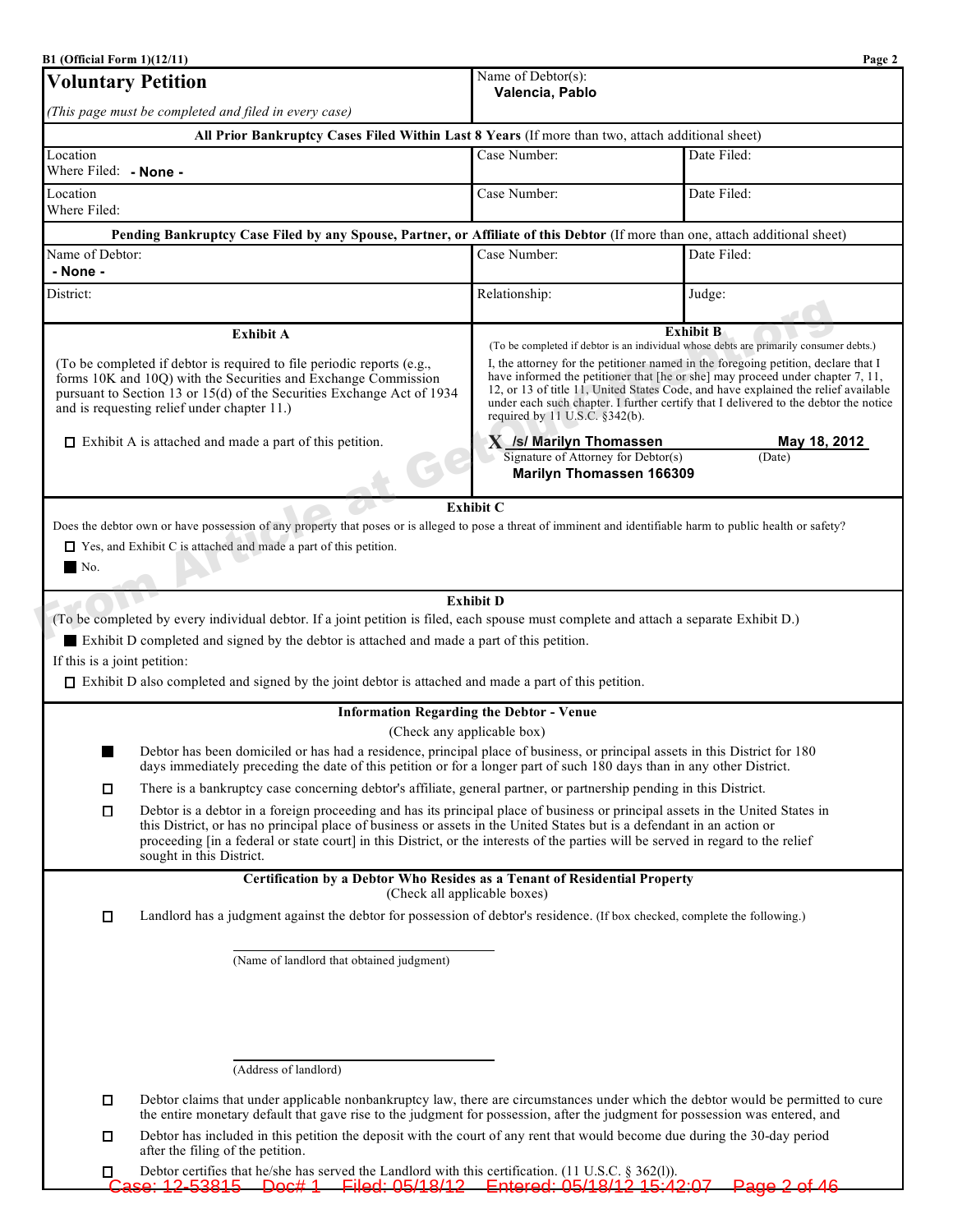| B1 (Official Form 1)(12/11)       |                                                                                                                                                                                                                                                                                                                                                                                                                           |                                                                                                                                        | Page 2                                                                                                                                                                                                                                                                                                                                                                       |
|-----------------------------------|---------------------------------------------------------------------------------------------------------------------------------------------------------------------------------------------------------------------------------------------------------------------------------------------------------------------------------------------------------------------------------------------------------------------------|----------------------------------------------------------------------------------------------------------------------------------------|------------------------------------------------------------------------------------------------------------------------------------------------------------------------------------------------------------------------------------------------------------------------------------------------------------------------------------------------------------------------------|
|                                   | <b>Voluntary Petition</b>                                                                                                                                                                                                                                                                                                                                                                                                 | Name of Debtor(s):                                                                                                                     |                                                                                                                                                                                                                                                                                                                                                                              |
|                                   | (This page must be completed and filed in every case)                                                                                                                                                                                                                                                                                                                                                                     | Valencia, Pablo                                                                                                                        |                                                                                                                                                                                                                                                                                                                                                                              |
|                                   | All Prior Bankruptcy Cases Filed Within Last 8 Years (If more than two, attach additional sheet)                                                                                                                                                                                                                                                                                                                          |                                                                                                                                        |                                                                                                                                                                                                                                                                                                                                                                              |
| Location<br>Where Filed: - None - |                                                                                                                                                                                                                                                                                                                                                                                                                           | Case Number:                                                                                                                           | Date Filed:                                                                                                                                                                                                                                                                                                                                                                  |
| Location<br>Where Filed:          |                                                                                                                                                                                                                                                                                                                                                                                                                           | Case Number:                                                                                                                           | Date Filed:                                                                                                                                                                                                                                                                                                                                                                  |
|                                   | Pending Bankruptcy Case Filed by any Spouse, Partner, or Affiliate of this Debtor (If more than one, attach additional sheet)                                                                                                                                                                                                                                                                                             |                                                                                                                                        |                                                                                                                                                                                                                                                                                                                                                                              |
| Name of Debtor:<br>- None -       |                                                                                                                                                                                                                                                                                                                                                                                                                           | Case Number:                                                                                                                           | Date Filed:                                                                                                                                                                                                                                                                                                                                                                  |
| District:                         |                                                                                                                                                                                                                                                                                                                                                                                                                           | Relationship:                                                                                                                          | Judge:                                                                                                                                                                                                                                                                                                                                                                       |
|                                   | <b>Exhibit A</b>                                                                                                                                                                                                                                                                                                                                                                                                          |                                                                                                                                        | <b>Exhibit B</b><br>(To be completed if debtor is an individual whose debts are primarily consumer debts.)                                                                                                                                                                                                                                                                   |
|                                   | (To be completed if debtor is required to file periodic reports (e.g.,<br>forms 10K and 10Q) with the Securities and Exchange Commission<br>pursuant to Section 13 or 15(d) of the Securities Exchange Act of 1934<br>and is requesting relief under chapter 11.)<br>$\Box$ Exhibit A is attached and made a part of this petition.                                                                                       | required by 11 U.S.C. $§342(b)$ .<br>X /s/ Marilyn Thomassen<br>Signature of Attorney for Debtor(s)<br><b>Marilyn Thomassen 166309</b> | I, the attorney for the petitioner named in the foregoing petition, declare that I<br>have informed the petitioner that [he or she] may proceed under chapter 7, 11,<br>12, or 13 of title 11, United States Code, and have explained the relief available<br>under each such chapter. I further certify that I delivered to the debtor the notice<br>May 18, 2012<br>(Date) |
|                                   |                                                                                                                                                                                                                                                                                                                                                                                                                           | <b>Exhibit C</b>                                                                                                                       |                                                                                                                                                                                                                                                                                                                                                                              |
| $N0$ .                            | Does the debtor own or have possession of any property that poses or is alleged to pose a threat of imminent and identifiable harm to public health or safety?<br>$\Box$ Yes, and Exhibit C is attached and made a part of this petition.                                                                                                                                                                                 | <b>Exhibit D</b>                                                                                                                       |                                                                                                                                                                                                                                                                                                                                                                              |
|                                   | (To be completed by every individual debtor. If a joint petition is filed, each spouse must complete and attach a separate Exhibit D.)                                                                                                                                                                                                                                                                                    |                                                                                                                                        |                                                                                                                                                                                                                                                                                                                                                                              |
| If this is a joint petition:      | Exhibit D completed and signed by the debtor is attached and made a part of this petition.                                                                                                                                                                                                                                                                                                                                |                                                                                                                                        |                                                                                                                                                                                                                                                                                                                                                                              |
|                                   | $\Box$ Exhibit D also completed and signed by the joint debtor is attached and made a part of this petition.                                                                                                                                                                                                                                                                                                              |                                                                                                                                        |                                                                                                                                                                                                                                                                                                                                                                              |
|                                   | <b>Information Regarding the Debtor - Venue</b>                                                                                                                                                                                                                                                                                                                                                                           |                                                                                                                                        |                                                                                                                                                                                                                                                                                                                                                                              |
|                                   | (Check any applicable box)                                                                                                                                                                                                                                                                                                                                                                                                |                                                                                                                                        |                                                                                                                                                                                                                                                                                                                                                                              |
|                                   | Debtor has been domiciled or has had a residence, principal place of business, or principal assets in this District for 180<br>days immediately preceding the date of this petition or for a longer part of such 180 days than in any other District.                                                                                                                                                                     |                                                                                                                                        |                                                                                                                                                                                                                                                                                                                                                                              |
| $\Box$                            | There is a bankruptcy case concerning debtor's affiliate, general partner, or partnership pending in this District.                                                                                                                                                                                                                                                                                                       |                                                                                                                                        |                                                                                                                                                                                                                                                                                                                                                                              |
| П                                 | Debtor is a debtor in a foreign proceeding and has its principal place of business or principal assets in the United States in<br>this District, or has no principal place of business or assets in the United States but is a defendant in an action or<br>proceeding [in a federal or state court] in this District, or the interests of the parties will be served in regard to the relief<br>sought in this District. |                                                                                                                                        |                                                                                                                                                                                                                                                                                                                                                                              |
|                                   | Certification by a Debtor Who Resides as a Tenant of Residential Property                                                                                                                                                                                                                                                                                                                                                 |                                                                                                                                        |                                                                                                                                                                                                                                                                                                                                                                              |
| П                                 | (Check all applicable boxes)<br>Landlord has a judgment against the debtor for possession of debtor's residence. (If box checked, complete the following.)                                                                                                                                                                                                                                                                |                                                                                                                                        |                                                                                                                                                                                                                                                                                                                                                                              |
|                                   | (Name of landlord that obtained judgment)                                                                                                                                                                                                                                                                                                                                                                                 |                                                                                                                                        |                                                                                                                                                                                                                                                                                                                                                                              |
|                                   |                                                                                                                                                                                                                                                                                                                                                                                                                           |                                                                                                                                        |                                                                                                                                                                                                                                                                                                                                                                              |
|                                   |                                                                                                                                                                                                                                                                                                                                                                                                                           |                                                                                                                                        |                                                                                                                                                                                                                                                                                                                                                                              |
|                                   | (Address of landlord)                                                                                                                                                                                                                                                                                                                                                                                                     |                                                                                                                                        |                                                                                                                                                                                                                                                                                                                                                                              |
| $\Box$<br>$\Box$                  | Debtor claims that under applicable nonbankruptcy law, there are circumstances under which the debtor would be permitted to cure<br>the entire monetary default that gave rise to the judgment for possession, after the judgment for possession was entered, and<br>Debtor has included in this petition the deposit with the court of any rent that would become due during the 30-day period                           |                                                                                                                                        |                                                                                                                                                                                                                                                                                                                                                                              |
|                                   | after the filing of the petition.                                                                                                                                                                                                                                                                                                                                                                                         |                                                                                                                                        |                                                                                                                                                                                                                                                                                                                                                                              |
| n                                 | Depter earlifies that books has served the Landlard with this earlifection $(11 \text{ Hg} C \text{ s } 2620)$                                                                                                                                                                                                                                                                                                            |                                                                                                                                        |                                                                                                                                                                                                                                                                                                                                                                              |

Debtor certifies that he/she has served the Landlord with this certification. (11 U.S.C. § 362(l)). Case: 12-53815 Doc# 1 Filed: 05/18/12 Entered: 05/18/12 15:42:07 Page 2 of 46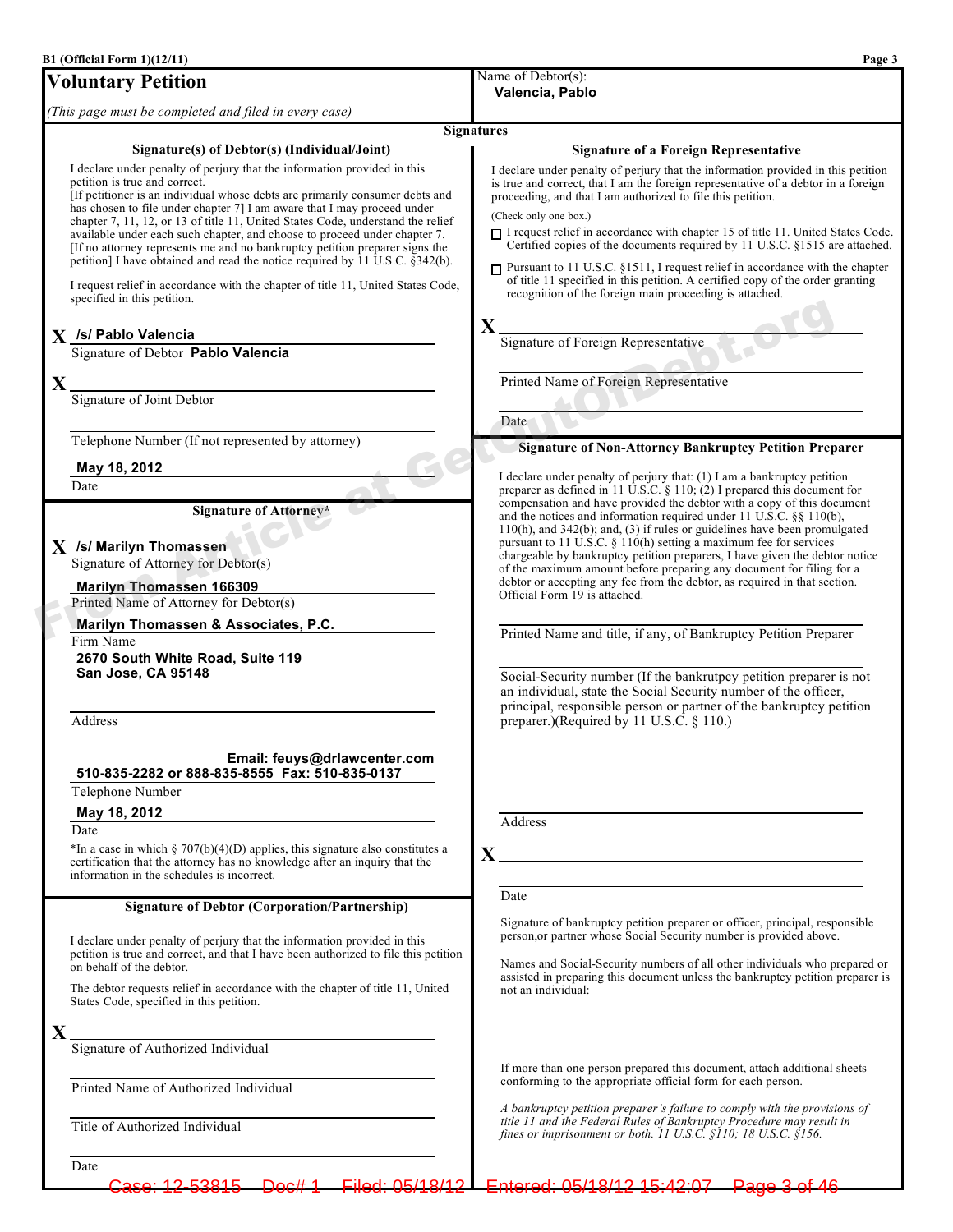| B1 (Official Form $1$ ) $(12/11)$<br><b>Voluntary Petition</b>                                                                                                                                                                                                                                                                                                                                                                                                                                                                                                                                                                                                                                                                                                                                                                                                                          | Page 3<br>Name of Debtor(s):                                                                                                                                                                                                                                                                                                                                                                                                                                                                                                                                                                                                                                                                                                                                                                                             |
|-----------------------------------------------------------------------------------------------------------------------------------------------------------------------------------------------------------------------------------------------------------------------------------------------------------------------------------------------------------------------------------------------------------------------------------------------------------------------------------------------------------------------------------------------------------------------------------------------------------------------------------------------------------------------------------------------------------------------------------------------------------------------------------------------------------------------------------------------------------------------------------------|--------------------------------------------------------------------------------------------------------------------------------------------------------------------------------------------------------------------------------------------------------------------------------------------------------------------------------------------------------------------------------------------------------------------------------------------------------------------------------------------------------------------------------------------------------------------------------------------------------------------------------------------------------------------------------------------------------------------------------------------------------------------------------------------------------------------------|
|                                                                                                                                                                                                                                                                                                                                                                                                                                                                                                                                                                                                                                                                                                                                                                                                                                                                                         | Valencia, Pablo                                                                                                                                                                                                                                                                                                                                                                                                                                                                                                                                                                                                                                                                                                                                                                                                          |
| (This page must be completed and filed in every case)                                                                                                                                                                                                                                                                                                                                                                                                                                                                                                                                                                                                                                                                                                                                                                                                                                   |                                                                                                                                                                                                                                                                                                                                                                                                                                                                                                                                                                                                                                                                                                                                                                                                                          |
|                                                                                                                                                                                                                                                                                                                                                                                                                                                                                                                                                                                                                                                                                                                                                                                                                                                                                         | <b>Signatures</b>                                                                                                                                                                                                                                                                                                                                                                                                                                                                                                                                                                                                                                                                                                                                                                                                        |
| Signature(s) of Debtor(s) (Individual/Joint)<br>I declare under penalty of perjury that the information provided in this<br>petition is true and correct.<br>If petitioner is an individual whose debts are primarily consumer debts and<br>has chosen to file under chapter 7] I am aware that I may proceed under<br>chapter 7, 11, 12, or 13 of title 11, United States Code, understand the relief<br>available under each such chapter, and choose to proceed under chapter 7.<br>[If no attorney represents me and no bankruptcy petition preparer signs the<br>petition] I have obtained and read the notice required by $11$ U.S.C. $\S 342(b)$ .<br>I request relief in accordance with the chapter of title 11, United States Code,<br>specified in this petition.<br>X /s/ Pablo Valencia<br>Signature of Debtor Pablo Valencia<br>$\mathbf{X}$<br>Signature of Joint Debtor | <b>Signature of a Foreign Representative</b><br>I declare under penalty of perjury that the information provided in this petition<br>is true and correct, that I am the foreign representative of a debtor in a foreign<br>proceeding, and that I am authorized to file this petition.<br>(Check only one box.)<br>□ I request relief in accordance with chapter 15 of title 11. United States Code.<br>Certified copies of the documents required by 11 U.S.C. §1515 are attached.<br>$\Box$ Pursuant to 11 U.S.C. §1511, I request relief in accordance with the chapter<br>of title 11 specified in this petition. A certified copy of the order granting<br>recognition of the foreign main proceeding is attached.<br>$\mathbf{X}$<br>Signature of Foreign Representative<br>Printed Name of Foreign Representative |
|                                                                                                                                                                                                                                                                                                                                                                                                                                                                                                                                                                                                                                                                                                                                                                                                                                                                                         | Date                                                                                                                                                                                                                                                                                                                                                                                                                                                                                                                                                                                                                                                                                                                                                                                                                     |
| Telephone Number (If not represented by attorney)                                                                                                                                                                                                                                                                                                                                                                                                                                                                                                                                                                                                                                                                                                                                                                                                                                       |                                                                                                                                                                                                                                                                                                                                                                                                                                                                                                                                                                                                                                                                                                                                                                                                                          |
| May 18, 2012<br>Date<br><b>Signature of Attorney*</b>                                                                                                                                                                                                                                                                                                                                                                                                                                                                                                                                                                                                                                                                                                                                                                                                                                   | <b>Signature of Non-Attorney Bankruptcy Petition Preparer</b><br>I declare under penalty of perjury that: $(1)$ I am a bankruptcy petition<br>preparer as defined in 11 $\hat{U}$ .S.C. § 110; (2) I prepared this document for<br>compensation and have provided the debtor with a copy of this document                                                                                                                                                                                                                                                                                                                                                                                                                                                                                                                |
| X /s/ Marilyn Thomassen<br>Signature of Attorney for Debtor(s)<br><b>Marilyn Thomassen 166309</b><br>Printed Name of Attorney for Debtor(s)                                                                                                                                                                                                                                                                                                                                                                                                                                                                                                                                                                                                                                                                                                                                             | and the notices and information required under 11 U.S.C. $\S$ 110(b),<br>$110(h)$ , and $342(b)$ ; and, (3) if rules or guidelines have been promulgated<br>pursuant to 11 U.S.C. § 110(h) setting a maximum fee for services<br>chargeable by bankruptcy petition preparers, I have given the debtor notice<br>of the maximum amount before preparing any document for filing for a<br>debtor or accepting any fee from the debtor, as required in that section.<br>Official Form 19 is attached.                                                                                                                                                                                                                                                                                                                       |
| Marilyn Thomassen & Associates, P.C.<br>Firm Name<br>2670 South White Road, Suite 119<br>San Jose, CA 95148                                                                                                                                                                                                                                                                                                                                                                                                                                                                                                                                                                                                                                                                                                                                                                             | Printed Name and title, if any, of Bankruptcy Petition Preparer<br>Social-Security number (If the bankrutpcy petition preparer is not<br>an individual, state the Social Security number of the officer,<br>principal, responsible person or partner of the bankruptcy petition                                                                                                                                                                                                                                                                                                                                                                                                                                                                                                                                          |
| Address<br>Email: feuys@drlawcenter.com<br>510-835-2282 or 888-835-8555 Fax: 510-835-0137<br>Telephone Number                                                                                                                                                                                                                                                                                                                                                                                                                                                                                                                                                                                                                                                                                                                                                                           | preparer.)(Required by 11 U.S.C. $\S$ 110.)                                                                                                                                                                                                                                                                                                                                                                                                                                                                                                                                                                                                                                                                                                                                                                              |
| May 18, 2012                                                                                                                                                                                                                                                                                                                                                                                                                                                                                                                                                                                                                                                                                                                                                                                                                                                                            | Address                                                                                                                                                                                                                                                                                                                                                                                                                                                                                                                                                                                                                                                                                                                                                                                                                  |
| Date<br>*In a case in which $\S$ 707(b)(4)(D) applies, this signature also constitutes a<br>certification that the attorney has no knowledge after an inquiry that the<br>information in the schedules is incorrect.                                                                                                                                                                                                                                                                                                                                                                                                                                                                                                                                                                                                                                                                    | $\mathbf X$<br><u> 1980 - Andrea Andrew Maria (h. 1980).</u>                                                                                                                                                                                                                                                                                                                                                                                                                                                                                                                                                                                                                                                                                                                                                             |
| <b>Signature of Debtor (Corporation/Partnership)</b><br>I declare under penalty of perjury that the information provided in this                                                                                                                                                                                                                                                                                                                                                                                                                                                                                                                                                                                                                                                                                                                                                        | Date<br>Signature of bankruptcy petition preparer or officer, principal, responsible<br>person, or partner whose Social Security number is provided above.                                                                                                                                                                                                                                                                                                                                                                                                                                                                                                                                                                                                                                                               |
| petition is true and correct, and that I have been authorized to file this petition<br>on behalf of the debtor.<br>The debtor requests relief in accordance with the chapter of title 11, United<br>States Code, specified in this petition.                                                                                                                                                                                                                                                                                                                                                                                                                                                                                                                                                                                                                                            | Names and Social-Security numbers of all other individuals who prepared or<br>assisted in preparing this document unless the bankruptcy petition preparer is<br>not an individual:                                                                                                                                                                                                                                                                                                                                                                                                                                                                                                                                                                                                                                       |
| Signature of Authorized Individual                                                                                                                                                                                                                                                                                                                                                                                                                                                                                                                                                                                                                                                                                                                                                                                                                                                      |                                                                                                                                                                                                                                                                                                                                                                                                                                                                                                                                                                                                                                                                                                                                                                                                                          |
| Printed Name of Authorized Individual                                                                                                                                                                                                                                                                                                                                                                                                                                                                                                                                                                                                                                                                                                                                                                                                                                                   | If more than one person prepared this document, attach additional sheets<br>conforming to the appropriate official form for each person.<br>A bankruptcy petition preparer's failure to comply with the provisions of                                                                                                                                                                                                                                                                                                                                                                                                                                                                                                                                                                                                    |
| Title of Authorized Individual                                                                                                                                                                                                                                                                                                                                                                                                                                                                                                                                                                                                                                                                                                                                                                                                                                                          | title 11 and the Federal Rules of Bankruptcy Procedure may result in<br>fines or imprisonment or both. 11 U.S.C. $\S110$ ; 18 U.S.C. $\S156$ .                                                                                                                                                                                                                                                                                                                                                                                                                                                                                                                                                                                                                                                                           |
| Date<br>$C$ 300: 12.52815 $D$ 00#1<br>Eilod: 0E/19/12                                                                                                                                                                                                                                                                                                                                                                                                                                                                                                                                                                                                                                                                                                                                                                                                                                   | Entarod: 05/19/12 15:12:07<br>Doo                                                                                                                                                                                                                                                                                                                                                                                                                                                                                                                                                                                                                                                                                                                                                                                        |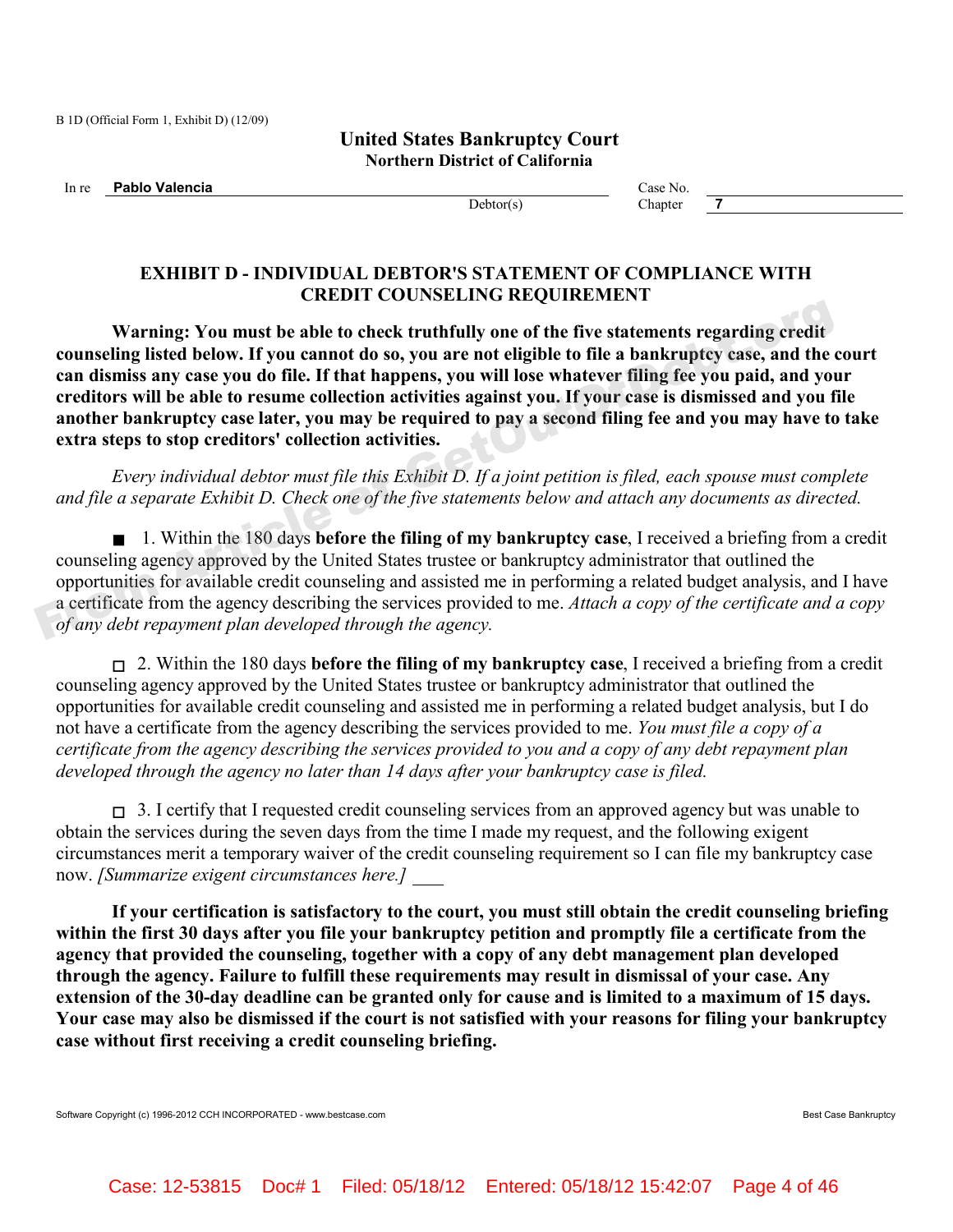In re **Pablo Valencia** 

|           | Case No. |  |  |
|-----------|----------|--|--|
| Dektor(s) | Chapter  |  |  |

# **EXHIBIT D - INDIVIDUAL DEBTOR'S STATEMENT OF COMPLIANCE WITH CREDIT COUNSELING REQUIREMENT**

**Warning: You must be able to check truthfully one of the five statements regarding credit counseling listed below. If you cannot do so, you are not eligible to file a bankruptcy case, and the court can dismiss any case you do file. If that happens, you will lose whatever filing fee you paid, and your creditors will be able to resume collection activities against you. If your case is dismissed and you file another bankruptcy case later, you may be required to pay a second filing fee and you may have to take extra steps to stop creditors' collection activities. Example 18 Solution** 18 Solution and the check truthfully one of the five statements regarding credit counseling listed below. If you cannot do so, you are not eligible to file a bankruptcy case, and the can dismiss any

*Every individual debtor must file this Exhibit D. If a joint petition is filed, each spouse must complete and file a separate Exhibit D. Check one of the five statements below and attach any documents as directed.*

 1. Within the 180 days **before the filing of my bankruptcy case**, I received a briefing from a credit counseling agency approved by the United States trustee or bankruptcy administrator that outlined the opportunities for available credit counseling and assisted me in performing a related budget analysis, and I have a certificate from the agency describing the services provided to me. *Attach a copy of the certificate and a copy of any debt repayment plan developed through the agency.*

 2. Within the 180 days **before the filing of my bankruptcy case**, I received a briefing from a credit counseling agency approved by the United States trustee or bankruptcy administrator that outlined the opportunities for available credit counseling and assisted me in performing a related budget analysis, but I do not have a certificate from the agency describing the services provided to me. *You must file a copy of a certificate from the agency describing the services provided to you and a copy of any debt repayment plan developed through the agency no later than 14 days after your bankruptcy case is filed.*

 $\Box$  3. I certify that I requested credit counseling services from an approved agency but was unable to obtain the services during the seven days from the time I made my request, and the following exigent circumstances merit a temporary waiver of the credit counseling requirement so I can file my bankruptcy case now. *[Summarize exigent circumstances here.]*

**If your certification is satisfactory to the court, you must still obtain the credit counseling briefing within the first 30 days after you file your bankruptcy petition and promptly file a certificate from the agency that provided the counseling, together with a copy of any debt management plan developed through the agency. Failure to fulfill these requirements may result in dismissal of your case. Any extension of the 30-day deadline can be granted only for cause and is limited to a maximum of 15 days. Your case may also be dismissed if the court is not satisfied with your reasons for filing your bankruptcy case without first receiving a credit counseling briefing.**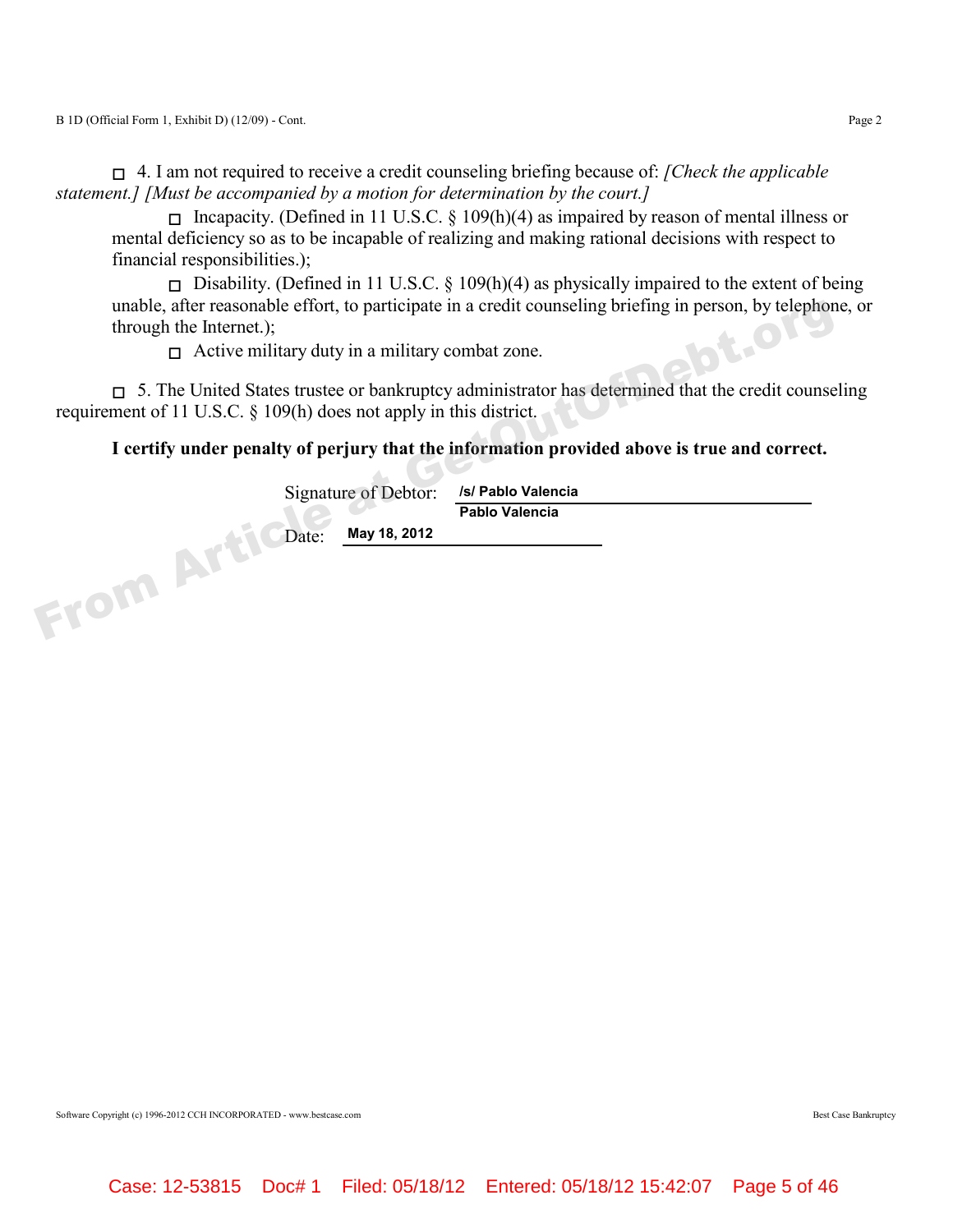4. I am not required to receive a credit counseling briefing because of: *[Check the applicable statement.] [Must be accompanied by a motion for determination by the court.]*

Incapacity. (Defined in 11 U.S.C. § 109(h)(4) as impaired by reason of mental illness or mental deficiency so as to be incapable of realizing and making rational decisions with respect to financial responsibilities.);

Disability. (Defined in 11 U.S.C. § 109(h)(4) as physically impaired to the extent of being unable, after reasonable effort, to participate in a credit counseling briefing in person, by telephone, or through the Internet.);

| through the Internet.);                                            | unable, after reasonable effort, to participate in a credit counseling briefing in person, by telephor |
|--------------------------------------------------------------------|--------------------------------------------------------------------------------------------------------|
| $\Box$ Active military duty in a military combat zone.             |                                                                                                        |
| requirement of 11 U.S.C. § 109(h) does not apply in this district. | $\Box$ 5. The United States trustee or bankruptcy administrator has determined that the credit counse  |
|                                                                    | I certify under penalty of perjury that the information provided above is true and correct.            |
| Signature of Debtor:                                               | /s/ Pablo Valencia                                                                                     |
|                                                                    | <b>Pablo Valencia</b>                                                                                  |
| May 18, 2012<br>Date:                                              |                                                                                                        |
| From                                                               |                                                                                                        |
|                                                                    |                                                                                                        |

Software Copyright (c) 1996-2012 CCH INCORPORATED - www.bestcase.com Best Case Bankruptcy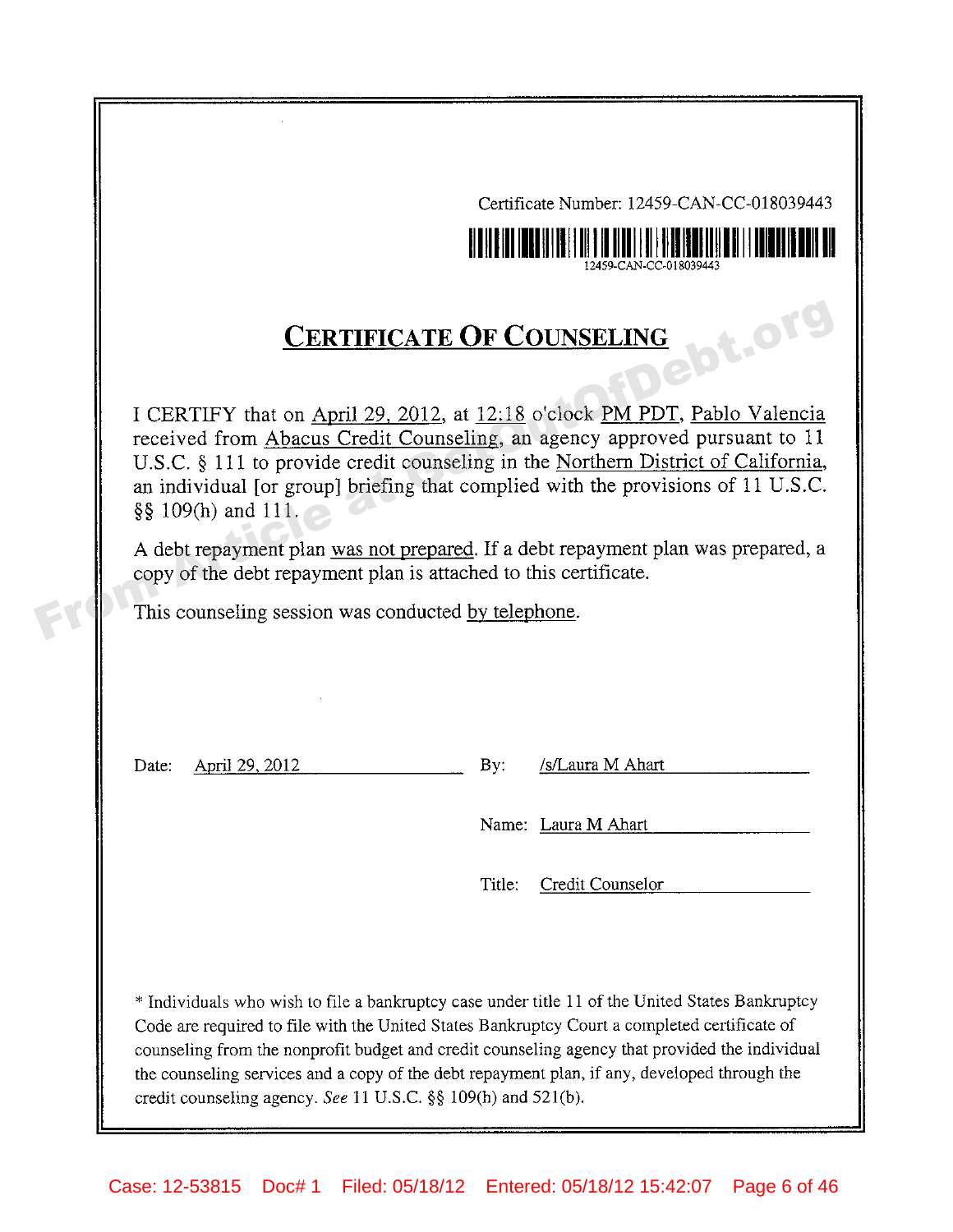Certificate Number: 12459-CAN-CC-018039443



**CERTIFICATE OF COUNSELING**<br>
I CERTIFY that on April 29, 2012, at 12:18 o'clock PM PDT, Pablo Valencia<br>
received from Abacus Credit Counseling, an agency approved pursuant to 11<br>
U.S.C. § 111 to provide credit counseling i

Date: April 29, 2012 By: /s/Laura M Ahart

Name: Laura M Ahart

Title: Credit Counselor

\* Individuals who wish to file a bankruptcy case under title 11 of the United States Bankruptcy Code are required to file with the United States Bankruptcy Court a completed certificate of counseling from the nonprofit budget and credit counseling agency that provided the individual the counseling services and a copy of the debt repayment plan, if any, developed through the credit counseling agency. See 11 U.S.C. §§ 109(h) and 521(b).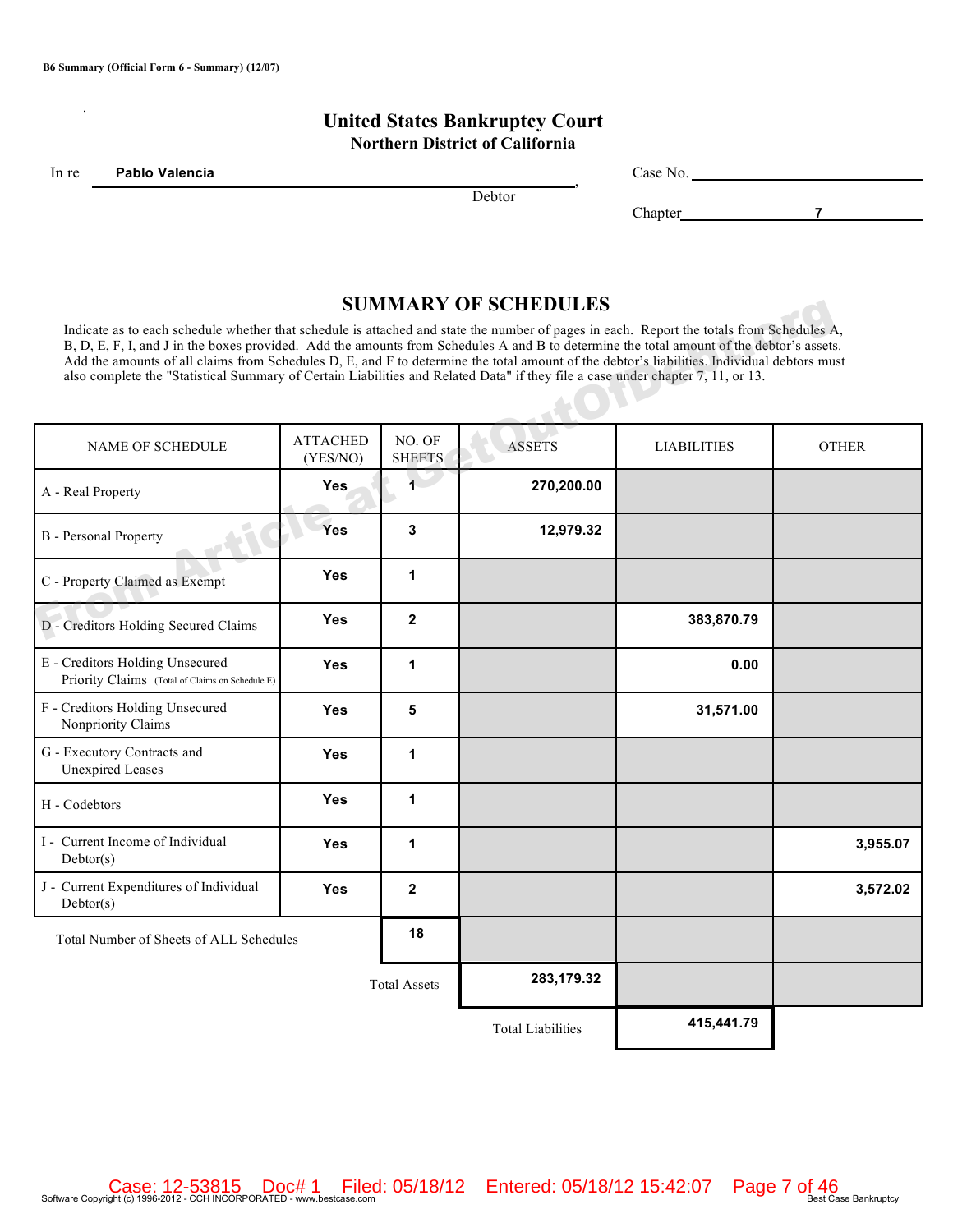| in re<br>. . | c |
|--------------|---|
|--------------|---|

In re **Pablo Valencia**<br>
Debtor **Debtor Pablo Valencia**

| Case No. |  |  |
|----------|--|--|
|          |  |  |

Chapter **7**

# **SUMMARY OF SCHEDULES**

|                                                                                                                                                                                                                                                                                                                                                                                                                                                                                                                                                                         |                             |                         | SUMMARY OF SCHEDULES     |                    |              |
|-------------------------------------------------------------------------------------------------------------------------------------------------------------------------------------------------------------------------------------------------------------------------------------------------------------------------------------------------------------------------------------------------------------------------------------------------------------------------------------------------------------------------------------------------------------------------|-----------------------------|-------------------------|--------------------------|--------------------|--------------|
| Indicate as to each schedule whether that schedule is attached and state the number of pages in each. Report the totals from Schedules A,<br>B, D, E, F, I, and J in the boxes provided. Add the amounts from Schedules A and B to determine the total amount of the debtor's assets.<br>Add the amounts of all claims from Schedules D, E, and F to determine the total amount of the debtor's liabilities. Individual debtors must<br>also complete the "Statistical Summary of Certain Liabilities and Related Data" if they file a case under chapter 7, 11, or 13. |                             |                         |                          |                    |              |
| <b>NAME OF SCHEDULE</b>                                                                                                                                                                                                                                                                                                                                                                                                                                                                                                                                                 | <b>ATTACHED</b><br>(YES/NO) | NO. OF<br><b>SHEETS</b> | <b>ASSETS</b>            | <b>LIABILITIES</b> | <b>OTHER</b> |
| A - Real Property                                                                                                                                                                                                                                                                                                                                                                                                                                                                                                                                                       | Yes                         | 1                       | 270,200.00               |                    |              |
| <b>B</b> - Personal Property                                                                                                                                                                                                                                                                                                                                                                                                                                                                                                                                            | Yes                         | 3                       | 12,979.32                |                    |              |
| C - Property Claimed as Exempt                                                                                                                                                                                                                                                                                                                                                                                                                                                                                                                                          | <b>Yes</b>                  | 1                       |                          |                    |              |
| D - Creditors Holding Secured Claims                                                                                                                                                                                                                                                                                                                                                                                                                                                                                                                                    | <b>Yes</b>                  | $\mathbf{2}$            |                          | 383,870.79         |              |
| E - Creditors Holding Unsecured<br>Priority Claims (Total of Claims on Schedule E)                                                                                                                                                                                                                                                                                                                                                                                                                                                                                      | Yes                         | 1                       |                          | 0.00               |              |
| F - Creditors Holding Unsecured<br>Nonpriority Claims                                                                                                                                                                                                                                                                                                                                                                                                                                                                                                                   | <b>Yes</b>                  | 5                       |                          | 31,571.00          |              |
| G - Executory Contracts and<br><b>Unexpired Leases</b>                                                                                                                                                                                                                                                                                                                                                                                                                                                                                                                  | <b>Yes</b>                  | 1                       |                          |                    |              |
| H - Codebtors                                                                                                                                                                                                                                                                                                                                                                                                                                                                                                                                                           | <b>Yes</b>                  | 1                       |                          |                    |              |
| I - Current Income of Individual<br>Debtor(s)                                                                                                                                                                                                                                                                                                                                                                                                                                                                                                                           | Yes                         | 1                       |                          |                    | 3,955.07     |
| J - Current Expenditures of Individual<br>Debtor(s)                                                                                                                                                                                                                                                                                                                                                                                                                                                                                                                     | <b>Yes</b>                  | $\mathbf{2}$            |                          |                    | 3,572.02     |
| Total Number of Sheets of ALL Schedules                                                                                                                                                                                                                                                                                                                                                                                                                                                                                                                                 |                             | 18                      |                          |                    |              |
|                                                                                                                                                                                                                                                                                                                                                                                                                                                                                                                                                                         |                             | <b>Total Assets</b>     | 283,179.32               |                    |              |
|                                                                                                                                                                                                                                                                                                                                                                                                                                                                                                                                                                         |                             |                         | <b>Total Liabilities</b> | 415,441.79         |              |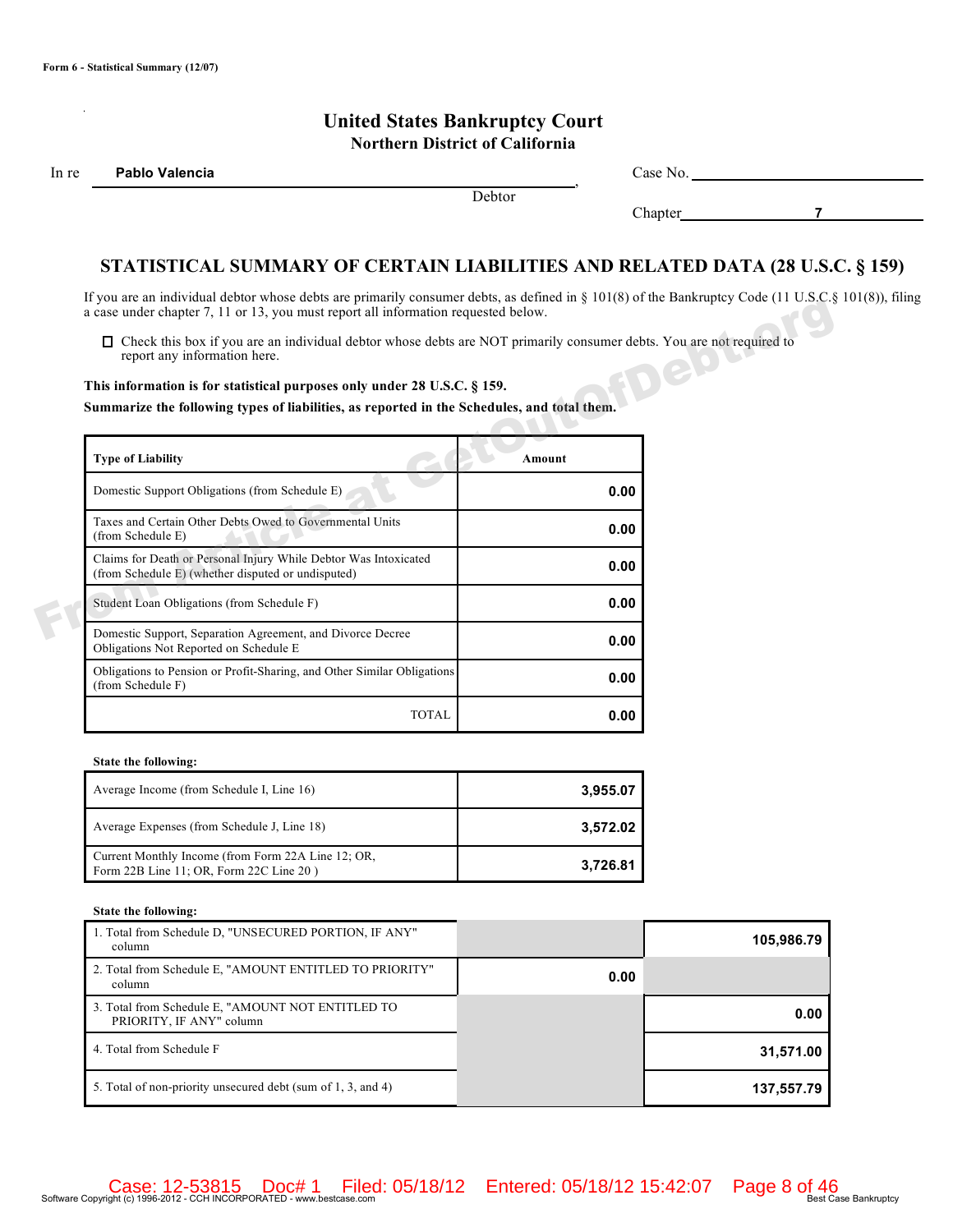In re **Pablo Valencia**<br>
Debtor **Debtor Pablo Valencia**

Case No.

Chapter 7

## **STATISTICAL SUMMARY OF CERTAIN LIABILITIES AND RELATED DATA (28 U.S.C. § 159)**

If you are an individual debtor whose debts are primarily consumer debts, as defined in § 101(8) of the Bankruptcy Code (11 U.S.C.§ 101(8)), filing a case under chapter 7, 11 or 13, you must report all information requested below.

#### **This information is for statistical purposes only under 28 U.S.C. § 159.**

### **Summarize the following types of liabilities, as reported in the Schedules, and total them.**

| This information is for statistical purposes only under 28 U.S.C. § 159.                                                |        |
|-------------------------------------------------------------------------------------------------------------------------|--------|
| Summarize the following types of liabilities, as reported in the Schedules, and total them.<br><b>Type of Liability</b> | Amount |
|                                                                                                                         |        |
| Domestic Support Obligations (from Schedule E)                                                                          | 0.00   |
| Taxes and Certain Other Debts Owed to Governmental Units<br>(from Schedule E)                                           | 0.00   |
| Claims for Death or Personal Injury While Debtor Was Intoxicated<br>(from Schedule E) (whether disputed or undisputed)  | 0.00   |
| Student Loan Obligations (from Schedule F)                                                                              | 0.00   |
| Domestic Support, Separation Agreement, and Divorce Decree<br>Obligations Not Reported on Schedule E                    | 0.00   |
| Obligations to Pension or Profit-Sharing, and Other Similar Obligations<br>(from Schedule F)                            | 0.00   |
| TOTAL                                                                                                                   | 0.00   |

#### **State the following:**

| Average Income (from Schedule I, Line 16)                                                     | 3,955.07 |
|-----------------------------------------------------------------------------------------------|----------|
| Average Expenses (from Schedule J, Line 18)                                                   | 3.572.02 |
| Current Monthly Income (from Form 22A Line 12; OR,<br>Form 22B Line 11; OR, Form 22C Line 20) | 3.726.81 |

#### **State the following:**

| 1. Total from Schedule D, "UNSECURED PORTION, IF ANY"<br>column               |      | 105,986.79 |
|-------------------------------------------------------------------------------|------|------------|
| 2. Total from Schedule E, "AMOUNT ENTITLED TO PRIORITY"<br>column             | 0.00 |            |
| 3. Total from Schedule E, "AMOUNT NOT ENTITLED TO<br>PRIORITY, IF ANY" column |      | 0.00       |
| 4. Total from Schedule F                                                      |      | 31,571.00  |
| 5. Total of non-priority unsecured debt (sum of 1, 3, and 4)                  |      | 137,557.79 |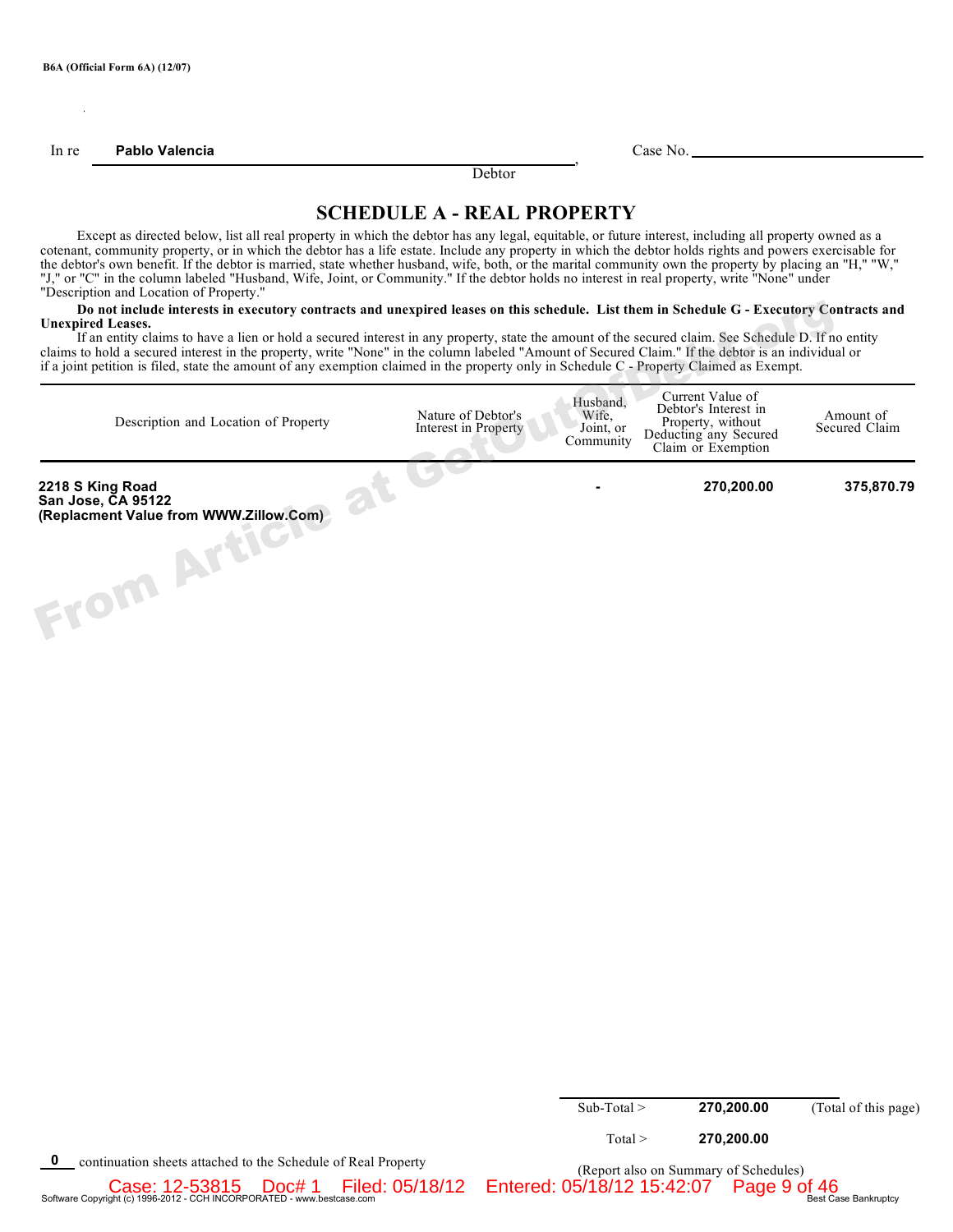In re **Pablo Valencia**<br>
Bebtor **Debtor Pablo Valencia** Case No.

# **SCHEDULE A - REAL PROPERTY**

Except as directed below, list all real property in which the debtor has any legal, equitable, or future interest, including all property owned as a cotenant, community property, or in which the debtor has a life estate. Include any property in which the debtor holds rights and powers exercisable for the debtor's own benefit. If the debtor is married, state whether husband, wife, both, or the marital community own the property by placing an "H," "W," "J," or "C" in the column labeled "Husband, Wife, Joint, or Community." If the debtor holds no interest in real property, write "None" under "Description and Location of Property."

| Do not include interests in executory contracts and unexpired leases on this schedule. List them in Schedule G - Executory Contracts and<br><b>Unexpired Leases.</b><br>If an entity claims to have a lien or hold a secured interest in any property, state the amount of the secured claim. See Schedule D. If no entity<br>claims to hold a secured interest in the property, write "None" in the column labeled "Amount of Secured Claim." If the debtor is an individual or<br>if a joint petition is filed, state the amount of any exemption claimed in the property only in Schedule C - Property Claimed as Exempt. |                                            |                                             |                                                                                                              |                            |
|------------------------------------------------------------------------------------------------------------------------------------------------------------------------------------------------------------------------------------------------------------------------------------------------------------------------------------------------------------------------------------------------------------------------------------------------------------------------------------------------------------------------------------------------------------------------------------------------------------------------------|--------------------------------------------|---------------------------------------------|--------------------------------------------------------------------------------------------------------------|----------------------------|
| Description and Location of Property                                                                                                                                                                                                                                                                                                                                                                                                                                                                                                                                                                                         | Nature of Debtor's<br>Interest in Property | Husband,<br>Wife,<br>Joint, or<br>Community | Current Value of<br>Debtor's Interest in<br>Property, without<br>Deducting any Secured<br>Claim or Exemption | Amount of<br>Secured Claim |
| 2218 S King Road<br>2<br><b>San Jose, CA 95122</b><br>(Replacment Value from WWW.Zillow.Com)<br>From.                                                                                                                                                                                                                                                                                                                                                                                                                                                                                                                        |                                            |                                             | 270,200.00                                                                                                   | 375,870.79                 |

Sub-Total > **270,200.00** (Total of this page)

Total > **270,200.00**

continuation sheets attached to the Schedule of Real Property **0**

Case: 12-53815 Doc# 1 Filed: 05/18/12 Entered: 05/18/12 15:42:07 Page 9 of 46<br>Software Copyright (c) 1996-2012 - CCH INCORPORATED - www.bestcase.com e: 12-53815 Doc# 1 Filed: 05/18/12 Entered: 05/18/12 15:42:07

(Report also on Summary of Schedules)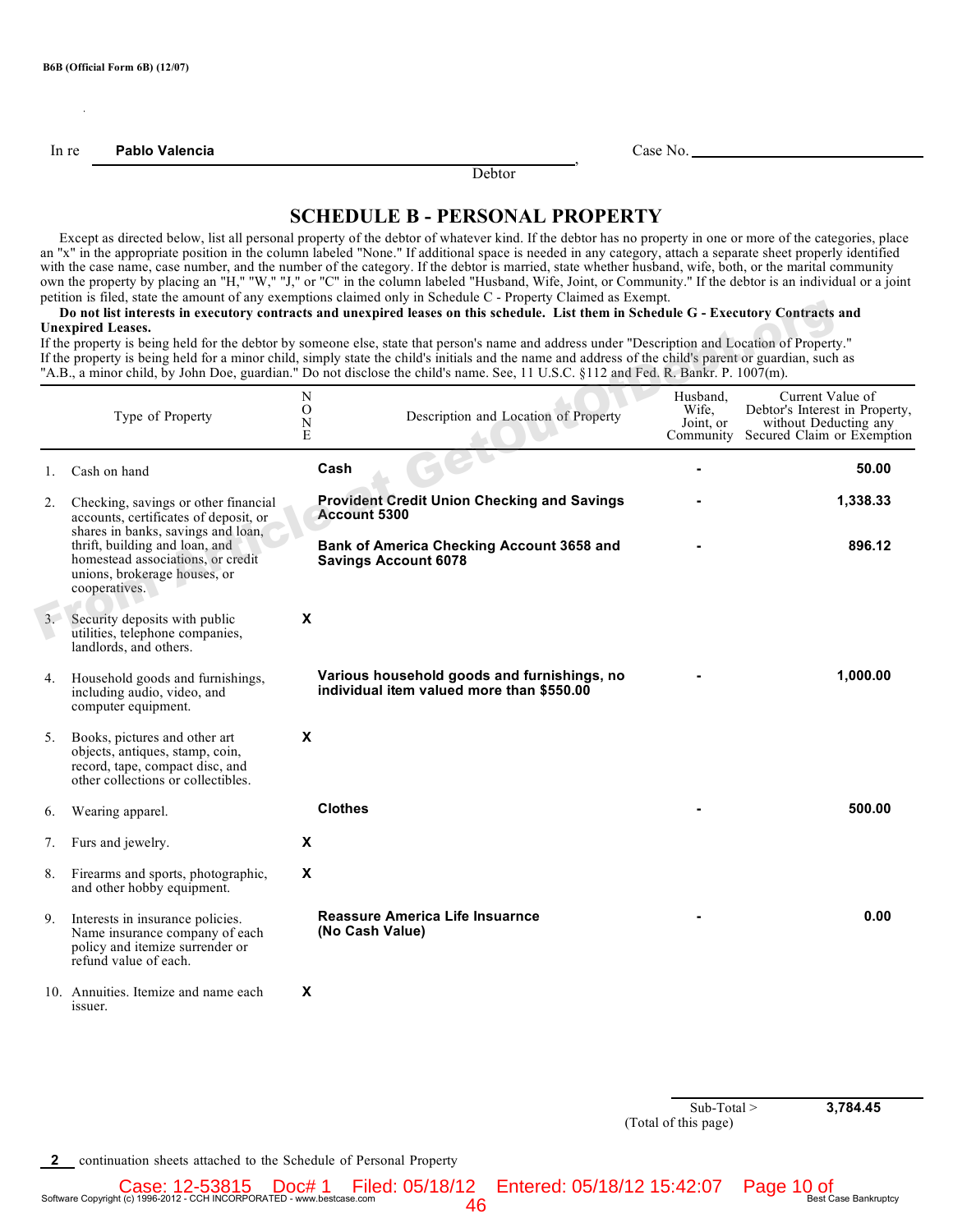In re **Pablo Valencia**<br>
Bebtor **Debtor Pablo Valencia** Case No. 2008 **Case No. 2008** Case No. 2008 Case No. 2008 Case No. 2008 Case No. 2014

# **SCHEDULE B - PERSONAL PROPERTY**

Except as directed below, list all personal property of the debtor of whatever kind. If the debtor has no property in one or more of the categories, place an "x" in the appropriate position in the column labeled "None." If additional space is needed in any category, attach a separate sheet properly identified with the case name, case number, and the number of the category. If the debtor is married, state whether husband, wife, both, or the marital community own the property by placing an "H," "W," "J," or "C" in the column labeled "Husband, Wife, Joint, or Community." If the debtor is an individual or a joint petition is filed, state the amount of any exemptions claimed only in Schedule C - Property Claimed as Exempt.

|    | <b>Unexpired Leases.</b>                                                                                                                  | oculion is mea, state are amount of any exemptions clanified only in seneative $C$ . Froperty clanified as Exem<br>Do not list interests in executory contracts and unexpired leases on this schedule. List them in Schedule G - Executory Contracts and<br>If the property is being held for the debtor by someone else, state that person's name and address under "Description and Location of Property."<br>If the property is being held for a minor child, simply state the child's initials and the name and address of the child's parent or guardian, such as<br>"A.B., a minor child, by John Doe, guardian." Do not disclose the child's name. See, 11 U.S.C. §112 and Fed. R. Bankr. P. 1007(m). |                                |                                                                                                                     |
|----|-------------------------------------------------------------------------------------------------------------------------------------------|--------------------------------------------------------------------------------------------------------------------------------------------------------------------------------------------------------------------------------------------------------------------------------------------------------------------------------------------------------------------------------------------------------------------------------------------------------------------------------------------------------------------------------------------------------------------------------------------------------------------------------------------------------------------------------------------------------------|--------------------------------|---------------------------------------------------------------------------------------------------------------------|
|    | Type of Property                                                                                                                          | N<br>$\Omega$<br>Description and Location of Property<br>N<br>E                                                                                                                                                                                                                                                                                                                                                                                                                                                                                                                                                                                                                                              | Husband.<br>Wife.<br>Joint, or | Current Value of<br>Debtor's Interest in Property.<br>without Deducting any<br>Community Secured Claim or Exemption |
| 1. | Cash on hand                                                                                                                              | Cash                                                                                                                                                                                                                                                                                                                                                                                                                                                                                                                                                                                                                                                                                                         |                                | 50.00                                                                                                               |
| 2. | Checking, savings or other financial<br>accounts, certificates of deposit, or<br>shares in banks, savings and loan,                       | <b>Provident Credit Union Checking and Savings</b><br><b>Account 5300</b>                                                                                                                                                                                                                                                                                                                                                                                                                                                                                                                                                                                                                                    |                                | 1,338.33                                                                                                            |
|    | thrift, building and loan, and<br>homestead associations, or credit<br>unions, brokerage houses, or<br>cooperatives.                      | Bank of America Checking Account 3658 and<br><b>Savings Account 6078</b>                                                                                                                                                                                                                                                                                                                                                                                                                                                                                                                                                                                                                                     |                                | 896.12                                                                                                              |
| 3. | Security deposits with public<br>utilities, telephone companies,<br>landlords, and others.                                                | X                                                                                                                                                                                                                                                                                                                                                                                                                                                                                                                                                                                                                                                                                                            |                                |                                                                                                                     |
| 4. | Household goods and furnishings,<br>including audio, video, and<br>computer equipment.                                                    | Various household goods and furnishings, no<br>individual item valued more than \$550.00                                                                                                                                                                                                                                                                                                                                                                                                                                                                                                                                                                                                                     |                                | 1,000.00                                                                                                            |
| 5. | Books, pictures and other art<br>objects, antiques, stamp, coin,<br>record, tape, compact disc, and<br>other collections or collectibles. | X                                                                                                                                                                                                                                                                                                                                                                                                                                                                                                                                                                                                                                                                                                            |                                |                                                                                                                     |
| 6. | Wearing apparel.                                                                                                                          | <b>Clothes</b>                                                                                                                                                                                                                                                                                                                                                                                                                                                                                                                                                                                                                                                                                               |                                | 500.00                                                                                                              |
| 7. | Furs and jewelry.                                                                                                                         | X                                                                                                                                                                                                                                                                                                                                                                                                                                                                                                                                                                                                                                                                                                            |                                |                                                                                                                     |
| 8. | Firearms and sports, photographic,<br>and other hobby equipment.                                                                          | X                                                                                                                                                                                                                                                                                                                                                                                                                                                                                                                                                                                                                                                                                                            |                                |                                                                                                                     |
| 9. | Interests in insurance policies.<br>Name insurance company of each<br>policy and itemize surrender or<br>refund value of each.            | <b>Reassure America Life Insuarnce</b><br>(No Cash Value)                                                                                                                                                                                                                                                                                                                                                                                                                                                                                                                                                                                                                                                    |                                | 0.00                                                                                                                |
|    | 10. Annuities. Itemize and name each<br>issuer.                                                                                           | X                                                                                                                                                                                                                                                                                                                                                                                                                                                                                                                                                                                                                                                                                                            |                                |                                                                                                                     |

Sub-Total > (Total of this page)

**3,784.45**

2 continuation sheets attached to the Schedule of Personal Property

Software Copyright (c) 1996-2012 - CCH INCORPORATED - www.bestcase.com **Best Case Dean Kruptcy**<br>A Best Copyright (c) 1996-2012 - CCH INCORPORATED - www.bestcase.com **Best Case Bankruptcy**  $\frac{\text{Doc}\# \text{1}}{\text{NTED - WWW. bestcase.com}}$  Filed: 05/18/12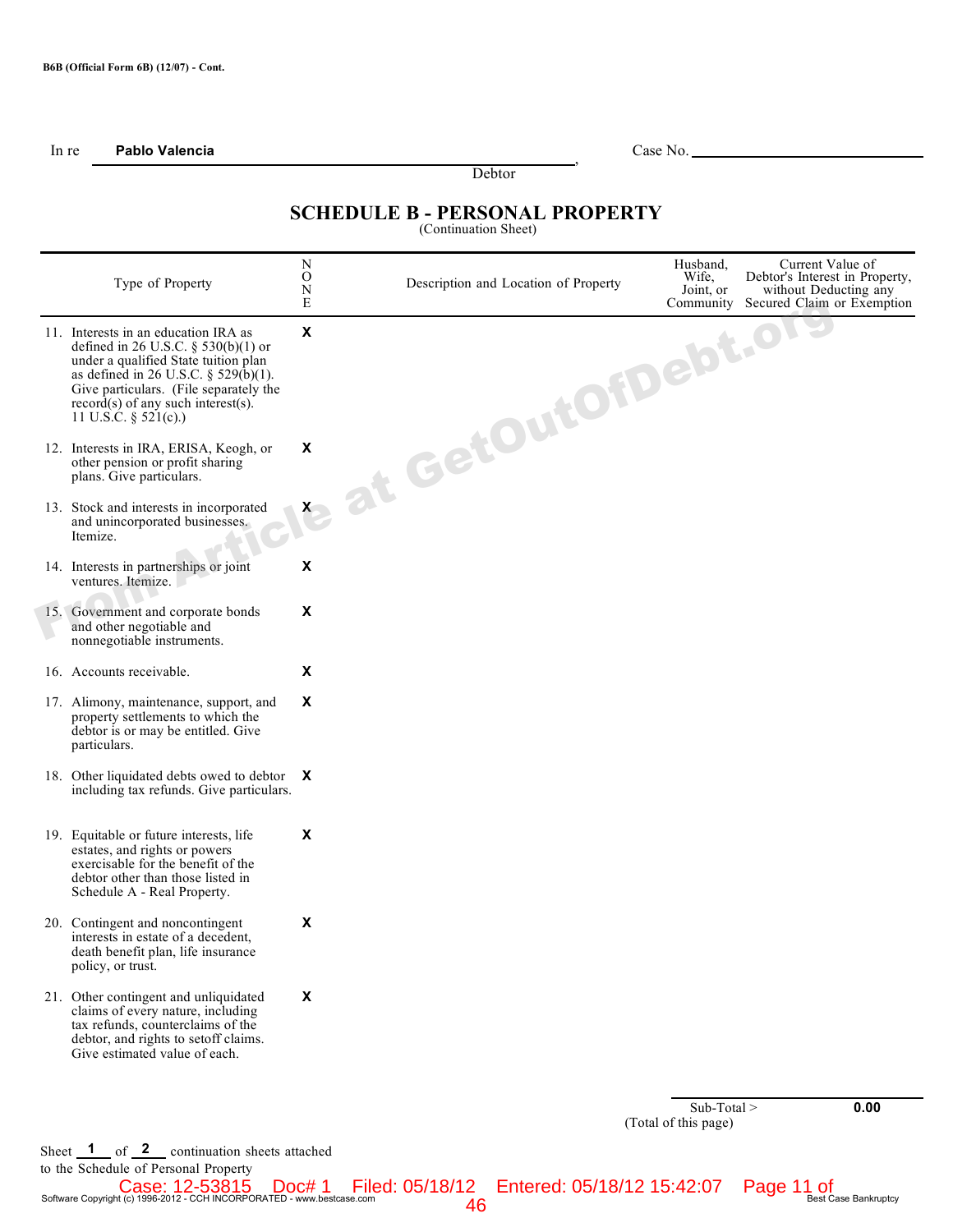In re **Pablo Valencia**<br>
Bebtor **Debtor** 

Pablo Valencia **Case No.** 2008. Case No.

Sub-Total >

**0.00**

(Total of this page)

# **SCHEDULE B - PERSONAL PROPERTY**

(Continuation Sheet)

| Type of Property                                                                                                                                                                                                                                                                   | N<br>$\mathcal{O}$<br>N | Description and Location of Property | Husband,<br>Wife,<br>Joint, or | Current Value of<br>Debtor's Interest in Property,<br>without Deducting any<br>Secured Claim or Exemption |
|------------------------------------------------------------------------------------------------------------------------------------------------------------------------------------------------------------------------------------------------------------------------------------|-------------------------|--------------------------------------|--------------------------------|-----------------------------------------------------------------------------------------------------------|
| 11. Interests in an education IRA as<br>defined in 26 U.S.C. $\S$ 530(b)(1) or<br>under a qualified State tuition plan<br>as defined in 26 U.S.C. $\S$ 529(b)(1).<br>Give particulars. (File separately the<br>$record(s)$ of any such interest $(s)$ .<br>11 U.S.C. $\S$ 521(c).) |                         | Ve at GetOutOfDebt.                  |                                |                                                                                                           |
| 12. Interests in IRA, ERISA, Keogh, or<br>other pension or profit sharing<br>plans. Give particulars.                                                                                                                                                                              |                         |                                      |                                |                                                                                                           |
| 13. Stock and interests in incorporated<br>and unincorporated businesses.<br>Itemize.                                                                                                                                                                                              |                         |                                      |                                |                                                                                                           |
| 14. Interests in partnerships or joint<br>ventures. Itemize.                                                                                                                                                                                                                       | $\pmb{\mathsf{X}}$      |                                      |                                |                                                                                                           |
| 15. Government and corporate bonds<br>and other negotiable and<br>nonnegotiable instruments.                                                                                                                                                                                       | X                       |                                      |                                |                                                                                                           |
| 16. Accounts receivable.                                                                                                                                                                                                                                                           | X                       |                                      |                                |                                                                                                           |
| 17. Alimony, maintenance, support, and<br>property settlements to which the<br>debtor is or may be entitled. Give<br>particulars.                                                                                                                                                  | X.                      |                                      |                                |                                                                                                           |
| 18. Other liquidated debts owed to debtor $\mathsf{X}$<br>including tax refunds. Give particulars.                                                                                                                                                                                 |                         |                                      |                                |                                                                                                           |
| 19. Equitable or future interests, life<br>estates, and rights or powers<br>exercisable for the benefit of the<br>debtor other than those listed in<br>Schedule A - Real Property.                                                                                                 | X                       |                                      |                                |                                                                                                           |
| 20. Contingent and noncontingent<br>interests in estate of a decedent,<br>death benefit plan, life insurance<br>policy, or trust.                                                                                                                                                  | X                       |                                      |                                |                                                                                                           |
| 21. Other contingent and unliquidated<br>claims of every nature, including<br>tax refunds, counterclaims of the<br>debtor, and rights to setoff claims.<br>Give estimated value of each.                                                                                           | $\mathsf{x}$            |                                      |                                |                                                                                                           |

Sheet  $\begin{array}{c} 1 \end{array}$  of  $\begin{array}{c} 2 \end{array}$  continuation sheets attached to the Schedule of Personal Property Case: 12-53815 Doc# 1 Filed: 05/18/12 Entered: 05/18/12 15:42:07 Page  $11$  of<br>Software Copyright (c) 1996-2012 - CCH INCORPORATED - www.bestcase.com **1 2** 46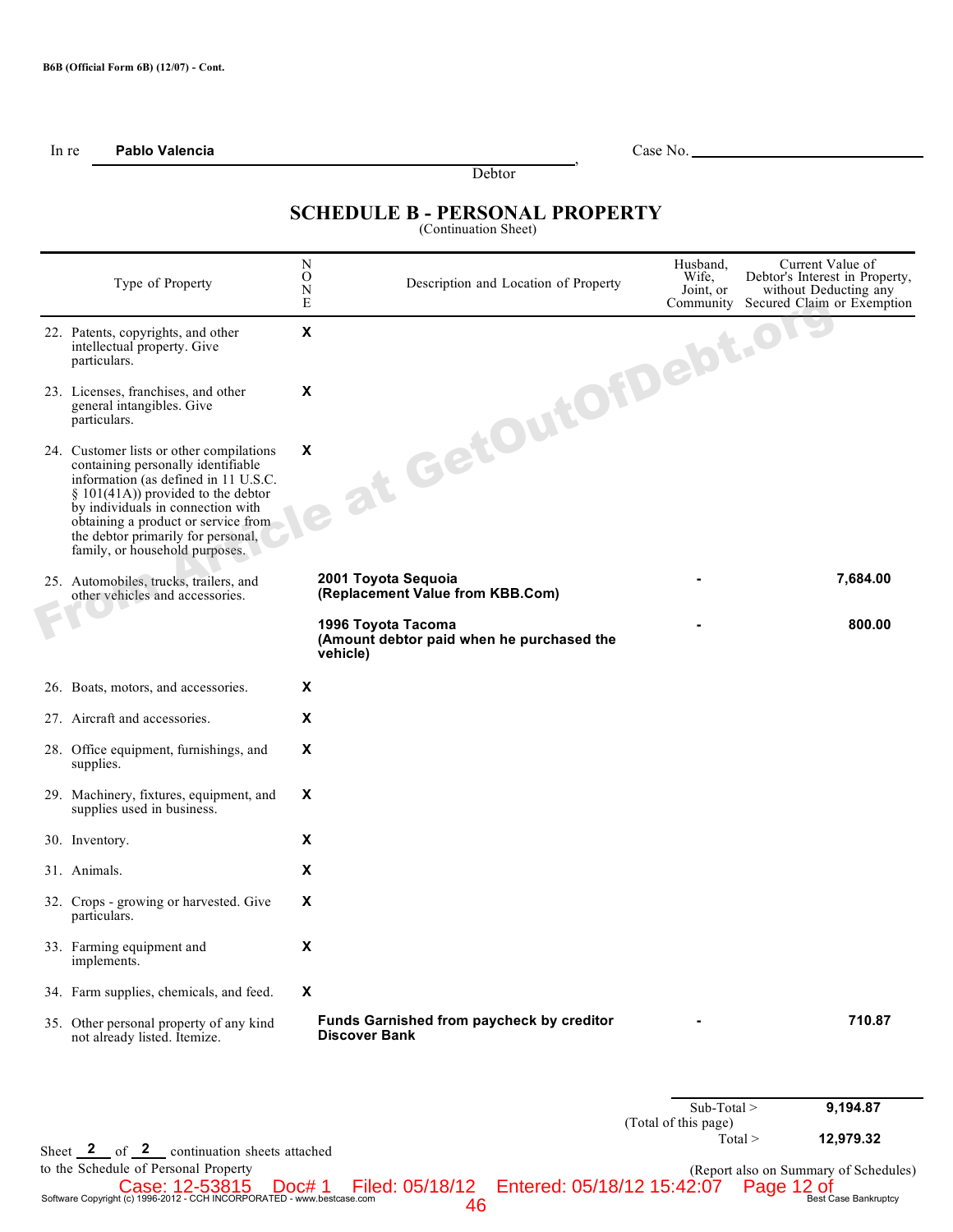In re **Pablo Valencia**<br>
Bebtor **Debtor** 

Pablo Valencia **Case No.** 2008 No. 2008 No. 2008 No. 2008 No. 2008 No. 2008 No. 2008 No. 2008 No. 2008 No. 2008 No. 2008 No. 2008 No. 2008 No. 2008 No. 2008 No. 2008 No. 2008 No. 2008 No. 2008 No. 2008 No. 2008 No. 2008 No

# **SCHEDULE B - PERSONAL PROPERTY**

(Continuation Sheet)

| Type of Property                                                                                                                                                                                                                                                                                                   | N<br>О<br>N<br>E          | Description and Location of Property                                        |                      | Husband.<br>Wife,<br>Joint, or | Current Value of<br>Debtor's Interest in Property,<br>without Deducting any<br>Secured Claim or Exemption |
|--------------------------------------------------------------------------------------------------------------------------------------------------------------------------------------------------------------------------------------------------------------------------------------------------------------------|---------------------------|-----------------------------------------------------------------------------|----------------------|--------------------------------|-----------------------------------------------------------------------------------------------------------|
| 22. Patents, copyrights, and other<br>intellectual property. Give<br>particulars.                                                                                                                                                                                                                                  | $\boldsymbol{\mathsf{X}}$ |                                                                             |                      |                                |                                                                                                           |
| 23. Licenses, franchises, and other<br>general intangibles. Give<br>particulars.                                                                                                                                                                                                                                   | X                         |                                                                             |                      |                                |                                                                                                           |
| 24. Customer lists or other compilations<br>containing personally identifiable<br>information (as defined in 11 U.S.C.<br>$§ 101(41A))$ provided to the debtor<br>by individuals in connection with<br>obtaining a product or service from<br>the debtor primarily for personal,<br>family, or household purposes. | X<br>B                    | at GetOutOfDeb                                                              |                      |                                |                                                                                                           |
| 25. Automobiles, trucks, trailers, and<br>other vehicles and accessories.                                                                                                                                                                                                                                          |                           | 2001 Toyota Sequoia<br>(Replacement Value from KBB.Com)                     |                      |                                | 7,684.00                                                                                                  |
|                                                                                                                                                                                                                                                                                                                    |                           | 1996 Toyota Tacoma<br>(Amount debtor paid when he purchased the<br>vehicle) |                      |                                | 800.00                                                                                                    |
| 26. Boats, motors, and accessories.                                                                                                                                                                                                                                                                                | X                         |                                                                             |                      |                                |                                                                                                           |
| 27. Aircraft and accessories.                                                                                                                                                                                                                                                                                      | X                         |                                                                             |                      |                                |                                                                                                           |
| 28. Office equipment, furnishings, and<br>supplies.                                                                                                                                                                                                                                                                | X                         |                                                                             |                      |                                |                                                                                                           |
| 29. Machinery, fixtures, equipment, and<br>supplies used in business.                                                                                                                                                                                                                                              | X                         |                                                                             |                      |                                |                                                                                                           |
| 30. Inventory.                                                                                                                                                                                                                                                                                                     | X                         |                                                                             |                      |                                |                                                                                                           |
| 31. Animals.                                                                                                                                                                                                                                                                                                       | X                         |                                                                             |                      |                                |                                                                                                           |
| 32. Crops - growing or harvested. Give<br>particulars.                                                                                                                                                                                                                                                             | X                         |                                                                             |                      |                                |                                                                                                           |
| 33. Farming equipment and<br>implements.                                                                                                                                                                                                                                                                           | X                         |                                                                             |                      |                                |                                                                                                           |
| 34. Farm supplies, chemicals, and feed.                                                                                                                                                                                                                                                                            | X                         |                                                                             |                      |                                |                                                                                                           |
| 35. Other personal property of any kind<br>not already listed. Itemize.                                                                                                                                                                                                                                            |                           | Funds Garnished from paycheck by creditor<br><b>Discover Bank</b>           |                      |                                | 710.87                                                                                                    |
|                                                                                                                                                                                                                                                                                                                    |                           |                                                                             |                      | $Sub-Total >$                  | 9,194.87                                                                                                  |
|                                                                                                                                                                                                                                                                                                                    |                           |                                                                             | (Total of this page) | Total >                        | 12,979.32                                                                                                 |
| Sheet $\frac{2}{ }$ of $\frac{2}{ }$ continuation sheets attached<br>to the Schedule of Personal Property                                                                                                                                                                                                          |                           |                                                                             |                      |                                | (Report also on Summary of Schedules)                                                                     |

Case: 12-53815 Doc# 1 Filed: 05/18/12 Entered: 05/18/12 15:42:07 Page 12 of<br>Software Copyright (c) 1996-2012 - CCH INCORPORATED - www.bestcase.com 46 (Report also on Summary of Schedules)<br>2:07 Page 12 of<br>Best Case Bankruptcy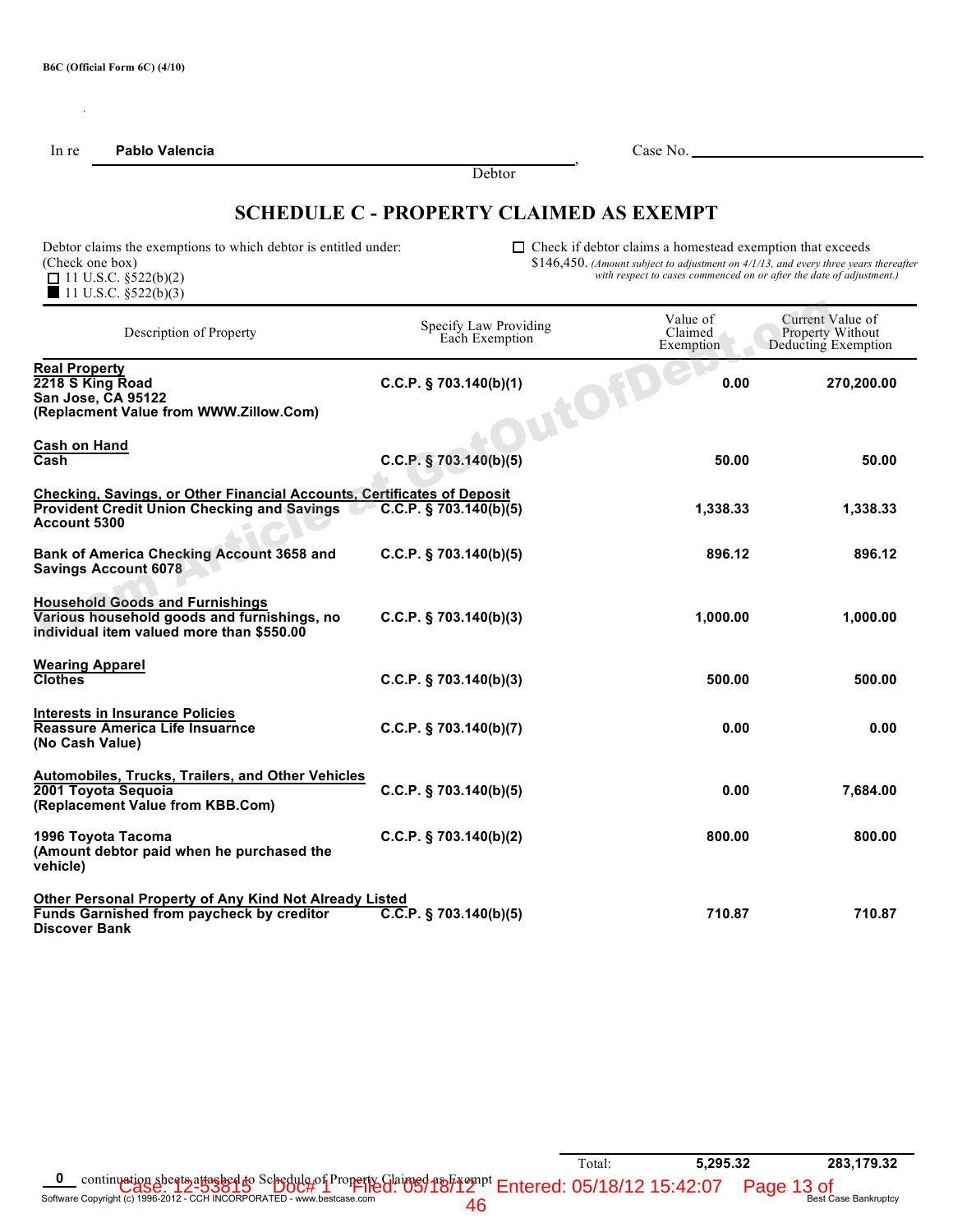$\ddot{\phantom{}}\cdot$ 

In re **Pablo Valencia**<br>
Bebtor **Debtor Pablo Valencia** Case No.

# **SCHEDULE C - PROPERTY CLAIMED AS EXEMPT**

Debtor claims the exemptions to which debtor is entitled under:  $\Box$  Check if debtor claims a homestead exemption that exceeds

 $\Box$  11 U.S.C. §522(b)(2)<br>11 U.S.C. §522(b)(3)

(Check one box) \$146,450. *(Amount subject to adjustment on 4/1/13, and every three years thereafter* with respect to cases commenced on or after the date of adjustment.)

| Description of Property                                                                                                                              | Specify Law Providing<br>Each Exemption | Value of<br>Claimed<br>Exemption | Current Value of<br>Property Without<br>Deducting Exemption |
|------------------------------------------------------------------------------------------------------------------------------------------------------|-----------------------------------------|----------------------------------|-------------------------------------------------------------|
| <b>Real Property</b><br>2218 S King Road<br><b>San Jose, CA 95122</b><br>(Replacment Value from WWW.Zillow.Com)                                      | C.C.P. § 703.140(b)(1)<br>OutOfD        | 0.00                             | 270,200.00                                                  |
| <b>Cash on Hand</b><br>Cash                                                                                                                          | C.C.P. § 703.140(b)(5)                  | 50.00                            | 50.00                                                       |
| <b>Checking, Savings, or Other Financial Accounts, Certificates of Deposit</b><br><b>Provident Credit Union Checking and Savings</b><br>Account 5300 | $C.C.P.$ § 703.140(b)(5)                | 1,338.33                         | 1,338.33                                                    |
| <b>Bank of America Checking Account 3658 and</b><br><b>Savings Account 6078</b>                                                                      | C.C.P. § 703.140(b)(5)                  | 896.12                           | 896.12                                                      |
| <b>Household Goods and Furnishings</b><br>Various household goods and furnishings, no<br>individual item valued more than \$550.00                   | $C.C.P.$ § 703.140(b)(3)                | 1,000.00                         | 1,000.00                                                    |
| <b>Wearing Apparel</b><br><b>Clothes</b>                                                                                                             | C.C.P. $\S$ 703.140(b)(3)               | 500.00                           | 500.00                                                      |
| <b>Interests in Insurance Policies</b><br>Reassure America Life Insuarnce<br>(No Cash Value)                                                         | C.C.P. § 703.140(b)(7)                  | 0.00                             | 0.00                                                        |
| <b>Automobiles, Trucks, Trailers, and Other Vehicles</b><br>2001 Toyota Sequoia<br>(Replacement Value from KBB.Com)                                  | C.C.P. $\S$ 703.140(b)(5)               | 0.00                             | 7,684.00                                                    |
| 1996 Toyota Tacoma<br>(Amount debtor paid when he purchased the<br>vehicle)                                                                          | C.C.P. $\S$ 703.140(b)(2)               | 800.00                           | 800.00                                                      |
| <b>Other Personal Property of Any Kind Not Already Listed</b><br><b>Funds Garnished from paycheck by creditor</b><br><b>Discover Bank</b>            | $C.C.P.$ § 703.140(b)(5)                | 710.87                           | 710.87                                                      |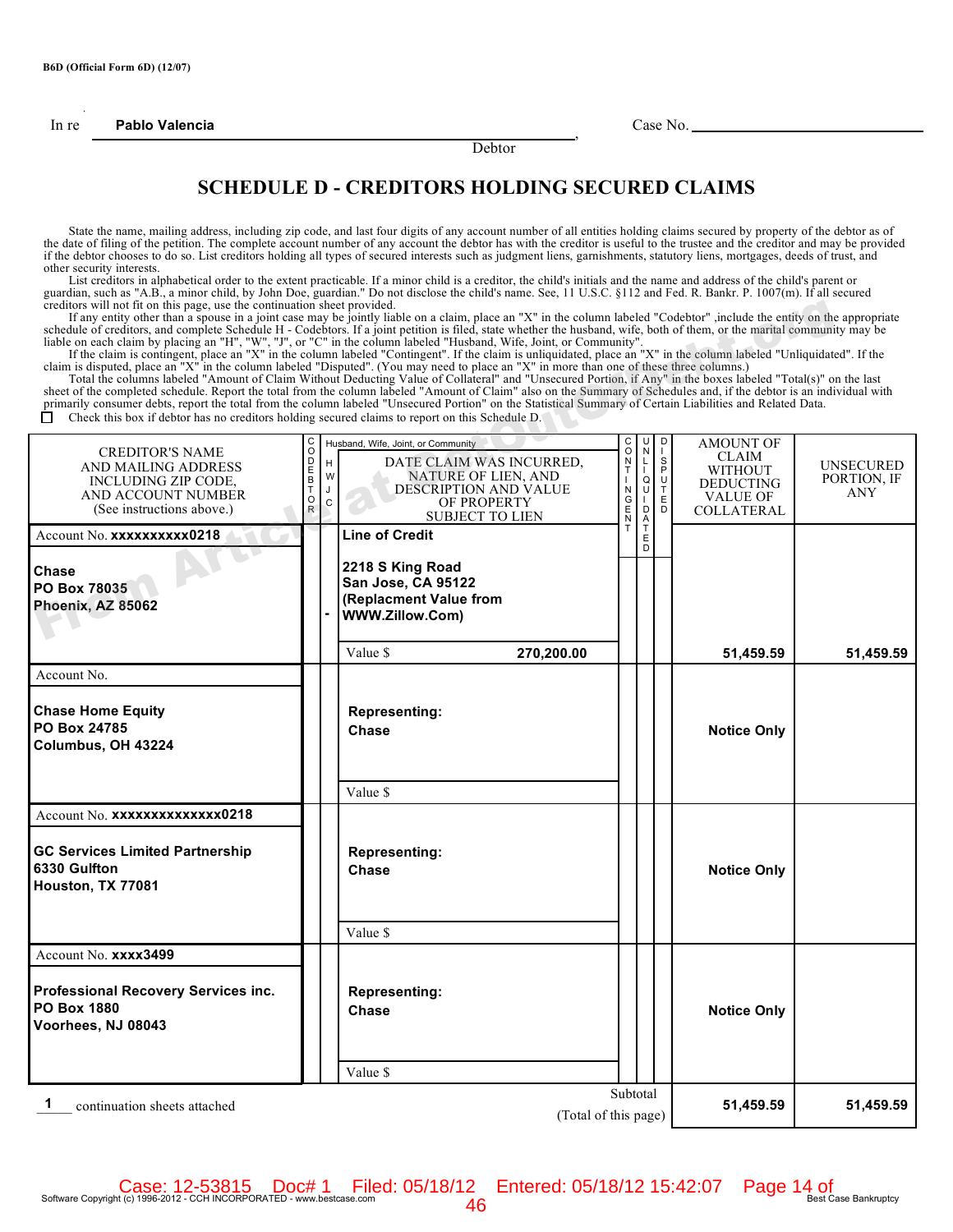In re **Pablo Valencia**<br>
Debtor **Debtor** 

**Pablo Valencia** Case No. **Case No. Case No. Case No. Case No. Case No. Case No.** 

# **SCHEDULE D - CREDITORS HOLDING SECURED CLAIMS**

State the name, mailing address, including zip code, and last four digits of any account number of all entities holding claims secured by property of the debtor as of the date of filing of the petition. The complete accoun if the debtor chooses to do so. List creditors holding all types of secured interests such as judgment liens, garnishments, statutory liens, mortgages, deeds of trust, and other security interests.

List creditors in alphabetical order to the extent practicable. If a minor child is a creditor, the child's initials and the name and address of the child's parent or guardian, such as "A.B., a minor child, by John Doe, gu

| creditors will not fit on this page, use the continuation sheet provided.<br>Check this box if debtor has no creditors holding secured claims to report on this Schedule D.<br>П |                                                           |                            | If any entity other than a spouse in a joint case may be jointly liable on a claim, place an "X" in the column labeled "Codebtor" , include the entity on the appropriate<br>schedule of creditors, and complete Schedule H - Codebtors. If a joint petition is filed, state whether the husband, wife, both of them, or the marital community may be<br>liable on each claim by placing an "H", "W", "J", or "C" in the column labeled "Husband, Wife, Joint, or Community".<br>If the claim is contingent, place an "X" in the column labeled "Contingent". If the claim is unliquidated, place an "X" in the column labeled "Unliquidated". If the<br>claim is disputed, place an "X" in the column labeled "Disputed". (You may need to place an "X" in more than one of these three columns.)<br>Total the columns labeled "Amount of Claim Without Deducting Value of Collateral" and "Unsecured Portion, if Any" in the boxes labeled "Total(s)" on the last<br>sheet of the completed schedule. Report the total from the column labeled "Amount of Claim" also on the Summary of Schedules and, if the debtor is an individual with<br>primarily consumer debts, report the total from the column labeled "Unsecured Portion" on the Statistical Summary of Certain Liabilities and Related Data. |                                |                       |                                                                                        |                                                                                           |                                 |
|----------------------------------------------------------------------------------------------------------------------------------------------------------------------------------|-----------------------------------------------------------|----------------------------|------------------------------------------------------------------------------------------------------------------------------------------------------------------------------------------------------------------------------------------------------------------------------------------------------------------------------------------------------------------------------------------------------------------------------------------------------------------------------------------------------------------------------------------------------------------------------------------------------------------------------------------------------------------------------------------------------------------------------------------------------------------------------------------------------------------------------------------------------------------------------------------------------------------------------------------------------------------------------------------------------------------------------------------------------------------------------------------------------------------------------------------------------------------------------------------------------------------------------------------------------------------------------------------------------------|--------------------------------|-----------------------|----------------------------------------------------------------------------------------|-------------------------------------------------------------------------------------------|---------------------------------|
| <b>CREDITOR'S NAME</b><br>AND MAILING ADDRESS<br>INCLUDING ZIP CODE.<br>AND ACCOUNT NUMBER<br>(See instructions above.)                                                          | C<br>$\circ$<br>D<br>B<br>B<br>$\top$<br>$\mathsf O$<br>R | H<br>W<br>J<br>$\mathbf C$ | Husband, Wife, Joint, or Community<br>DATE CLAIM WAS INCURRED,<br>NATURE OF LIEN, AND<br>DESCRIPTION AND VALUE<br>OF PROPERTY<br><b>SUBJECT TO LIEN</b>                                                                                                                                                                                                                                                                                                                                                                                                                                                                                                                                                                                                                                                                                                                                                                                                                                                                                                                                                                                                                                                                                                                                                    | C<br>O<br>T<br>T<br>T.<br>200Z | $CD = 2C$             | $\begin{bmatrix} 1 \end{bmatrix}$<br>$\overline{y} = \overline{y}$<br>$\mathsf E$<br>D | AMOUNT OF<br>CLAIM<br><b>WITHOUT</b><br><b>DEDUCTING</b><br><b>VALUE OF</b><br>COLLATERAL | UNSECURED<br>PORTION, IF<br>ANY |
| Account No. XXXXXXXXXX0218                                                                                                                                                       |                                                           |                            | <b>Line of Credit</b>                                                                                                                                                                                                                                                                                                                                                                                                                                                                                                                                                                                                                                                                                                                                                                                                                                                                                                                                                                                                                                                                                                                                                                                                                                                                                      |                                | D<br>A<br>T<br>E<br>D |                                                                                        |                                                                                           |                                 |
| <b>Chase</b><br>PO Box 78035<br>Phoenix, AZ 85062                                                                                                                                |                                                           |                            | 2218 S King Road<br>San Jose, CA 95122<br>(Replacment Value from<br>WWW.Zillow.Com)                                                                                                                                                                                                                                                                                                                                                                                                                                                                                                                                                                                                                                                                                                                                                                                                                                                                                                                                                                                                                                                                                                                                                                                                                        |                                |                       |                                                                                        |                                                                                           |                                 |
|                                                                                                                                                                                  |                                                           |                            | Value \$<br>270,200.00                                                                                                                                                                                                                                                                                                                                                                                                                                                                                                                                                                                                                                                                                                                                                                                                                                                                                                                                                                                                                                                                                                                                                                                                                                                                                     |                                |                       |                                                                                        | 51,459.59                                                                                 | 51,459.59                       |
| Account No.<br><b>Chase Home Equity</b><br>PO Box 24785<br>Columbus, OH 43224                                                                                                    |                                                           |                            | <b>Representing:</b><br><b>Chase</b>                                                                                                                                                                                                                                                                                                                                                                                                                                                                                                                                                                                                                                                                                                                                                                                                                                                                                                                                                                                                                                                                                                                                                                                                                                                                       |                                |                       |                                                                                        | <b>Notice Only</b>                                                                        |                                 |
|                                                                                                                                                                                  |                                                           |                            | Value \$                                                                                                                                                                                                                                                                                                                                                                                                                                                                                                                                                                                                                                                                                                                                                                                                                                                                                                                                                                                                                                                                                                                                                                                                                                                                                                   |                                |                       |                                                                                        |                                                                                           |                                 |
| Account No. XXXXXXXXXXXXXV0218<br><b>GC Services Limited Partnership</b>                                                                                                         |                                                           |                            | <b>Representing:</b>                                                                                                                                                                                                                                                                                                                                                                                                                                                                                                                                                                                                                                                                                                                                                                                                                                                                                                                                                                                                                                                                                                                                                                                                                                                                                       |                                |                       |                                                                                        |                                                                                           |                                 |
| 6330 Gulfton<br>Houston, TX 77081                                                                                                                                                |                                                           |                            | <b>Chase</b>                                                                                                                                                                                                                                                                                                                                                                                                                                                                                                                                                                                                                                                                                                                                                                                                                                                                                                                                                                                                                                                                                                                                                                                                                                                                                               |                                |                       |                                                                                        | <b>Notice Only</b>                                                                        |                                 |
|                                                                                                                                                                                  |                                                           |                            | Value \$                                                                                                                                                                                                                                                                                                                                                                                                                                                                                                                                                                                                                                                                                                                                                                                                                                                                                                                                                                                                                                                                                                                                                                                                                                                                                                   |                                |                       |                                                                                        |                                                                                           |                                 |
| Account No. XXXX3499<br><b>Professional Recovery Services inc.</b><br><b>PO Box 1880</b><br>Voorhees, NJ 08043                                                                   |                                                           |                            | <b>Representing:</b><br>Chase                                                                                                                                                                                                                                                                                                                                                                                                                                                                                                                                                                                                                                                                                                                                                                                                                                                                                                                                                                                                                                                                                                                                                                                                                                                                              |                                |                       |                                                                                        | <b>Notice Only</b>                                                                        |                                 |
|                                                                                                                                                                                  |                                                           |                            | Value \$                                                                                                                                                                                                                                                                                                                                                                                                                                                                                                                                                                                                                                                                                                                                                                                                                                                                                                                                                                                                                                                                                                                                                                                                                                                                                                   |                                |                       |                                                                                        |                                                                                           |                                 |
| $\mathbf{1}$<br>continuation sheets attached                                                                                                                                     |                                                           |                            | (Total of this page)                                                                                                                                                                                                                                                                                                                                                                                                                                                                                                                                                                                                                                                                                                                                                                                                                                                                                                                                                                                                                                                                                                                                                                                                                                                                                       | Subtotal                       |                       |                                                                                        | 51,459.59                                                                                 | 51,459.59                       |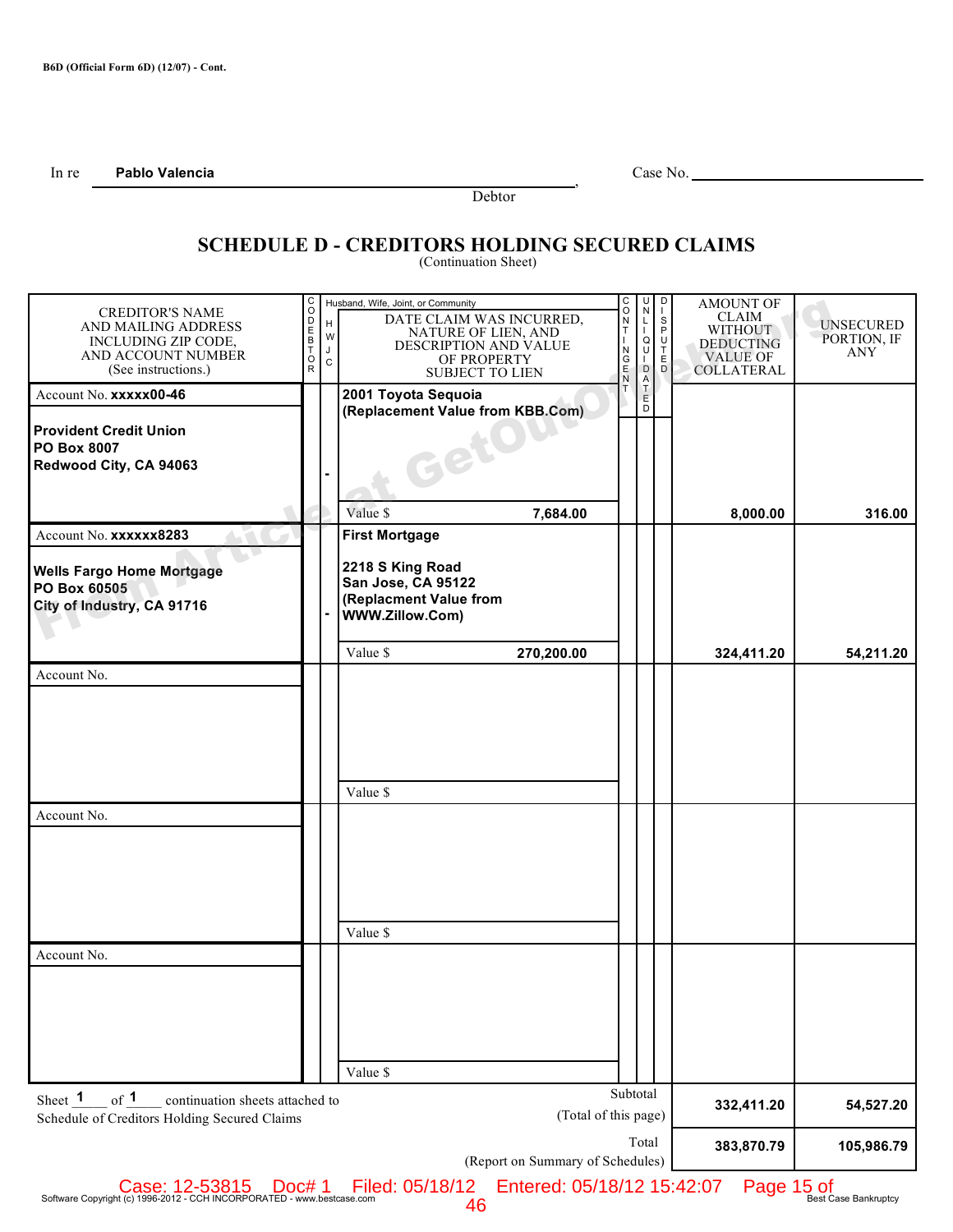In re **Pablo Valencia**<br>Debtor **Debtor** 

Pablo Valencia **Case No.** Case No.

# **SCHEDULE D - CREDITORS HOLDING SECURED CLAIMS**

(Continuation Sheet)

| <b>CREDITOR'S NAME</b><br>AND MAILING ADDRESS<br>INCLUDING ZIP CODE,<br>AND ACCOUNT NUMBER<br>(See instructions.) | С<br>$\ddot{\mathbf{O}}$<br>$\overline{D}$<br>B<br>B<br>$\top$<br>$\overline{R}$ | H<br>W<br>J<br>$\mathsf C$ | Husband, Wife, Joint, or Community<br>DATE CLAIM WAS INCURRED,<br>NATURE OF LIEN, AND<br>DESCRIPTION AND VALUE<br>OF PROPERTY<br><b>SUBJECT TO LIEN</b> | $_{\rm O}^{\rm C}$<br>$\frac{\mathsf{N}}{\mathsf{T}}$<br>200Z | $\frac{\mathsf{U}}{\mathsf{N}}$<br>$\frac{\mathsf{L}}{\mathsf{L}}$<br>Q<br>U<br>L<br>$\begin{array}{c}\nD \\ D \\ T\n\end{array}$ | $\overline{I}$<br>$_{\rm P}^{\rm S}$<br>U<br>$\mathsf T$<br>$\frac{E}{D}$ | <b>AMOUNT OF</b><br><b>CLAIM</b><br><b>WITHOUT</b><br><b>DEDUCTING</b><br><b>VALUE OF</b><br><b>COLLATERAL</b> | <b>UNSECURED</b><br>PORTION, IF<br><b>ANY</b> |
|-------------------------------------------------------------------------------------------------------------------|----------------------------------------------------------------------------------|----------------------------|---------------------------------------------------------------------------------------------------------------------------------------------------------|---------------------------------------------------------------|-----------------------------------------------------------------------------------------------------------------------------------|---------------------------------------------------------------------------|----------------------------------------------------------------------------------------------------------------|-----------------------------------------------|
| Account No. xxxxx00-46                                                                                            |                                                                                  |                            | 2001 Toyota Sequoia                                                                                                                                     | т                                                             | $_{\rm D}^{\rm E}$                                                                                                                |                                                                           |                                                                                                                |                                               |
| <b>Provident Credit Union</b><br>PO Box 8007<br>Redwood City, CA 94063                                            |                                                                                  |                            | (Replacement Value from KBB.Com)<br>Rel                                                                                                                 |                                                               |                                                                                                                                   |                                                                           |                                                                                                                |                                               |
|                                                                                                                   |                                                                                  |                            | Value \$<br>7,684.00                                                                                                                                    |                                                               |                                                                                                                                   |                                                                           | 8,000.00                                                                                                       | 316.00                                        |
| Account No. xxxxxx8283<br><b>Wells Fargo Home Mortgage</b><br>PO Box 60505<br>City of Industry, CA 91716          |                                                                                  |                            | <b>First Mortgage</b><br>2218 S King Road<br>San Jose, CA 95122<br>(Replacment Value from<br>WWW.Zillow.Com)                                            |                                                               |                                                                                                                                   |                                                                           |                                                                                                                |                                               |
|                                                                                                                   |                                                                                  |                            | Value \$<br>270,200.00                                                                                                                                  |                                                               |                                                                                                                                   |                                                                           | 324,411.20                                                                                                     | 54,211.20                                     |
| Account No.<br>Account No.                                                                                        |                                                                                  |                            | Value \$                                                                                                                                                |                                                               |                                                                                                                                   |                                                                           |                                                                                                                |                                               |
|                                                                                                                   |                                                                                  |                            |                                                                                                                                                         |                                                               |                                                                                                                                   |                                                                           |                                                                                                                |                                               |
|                                                                                                                   |                                                                                  |                            | Value \$                                                                                                                                                |                                                               |                                                                                                                                   |                                                                           |                                                                                                                |                                               |
| Account No.                                                                                                       |                                                                                  |                            | Value \$                                                                                                                                                |                                                               |                                                                                                                                   |                                                                           |                                                                                                                |                                               |
| Sheet 1<br>of <sup>1</sup><br>continuation sheets attached to                                                     |                                                                                  |                            |                                                                                                                                                         | Subtotal                                                      |                                                                                                                                   |                                                                           | 332,411.20                                                                                                     | 54,527.20                                     |
| Schedule of Creditors Holding Secured Claims                                                                      |                                                                                  |                            | (Total of this page)                                                                                                                                    |                                                               |                                                                                                                                   |                                                                           |                                                                                                                |                                               |
|                                                                                                                   |                                                                                  |                            | (Report on Summary of Schedules)                                                                                                                        |                                                               | Total                                                                                                                             |                                                                           | 383,870.79                                                                                                     | 105,986.79                                    |

Case: 12-53815 Doc# 1 Filed: 05/18/12 Entered: 05/18/12 15:42:07 Page 15 of<br>Software Copyright (c) 1996-2012 - CCH INCORPORATED - www.bestcase.com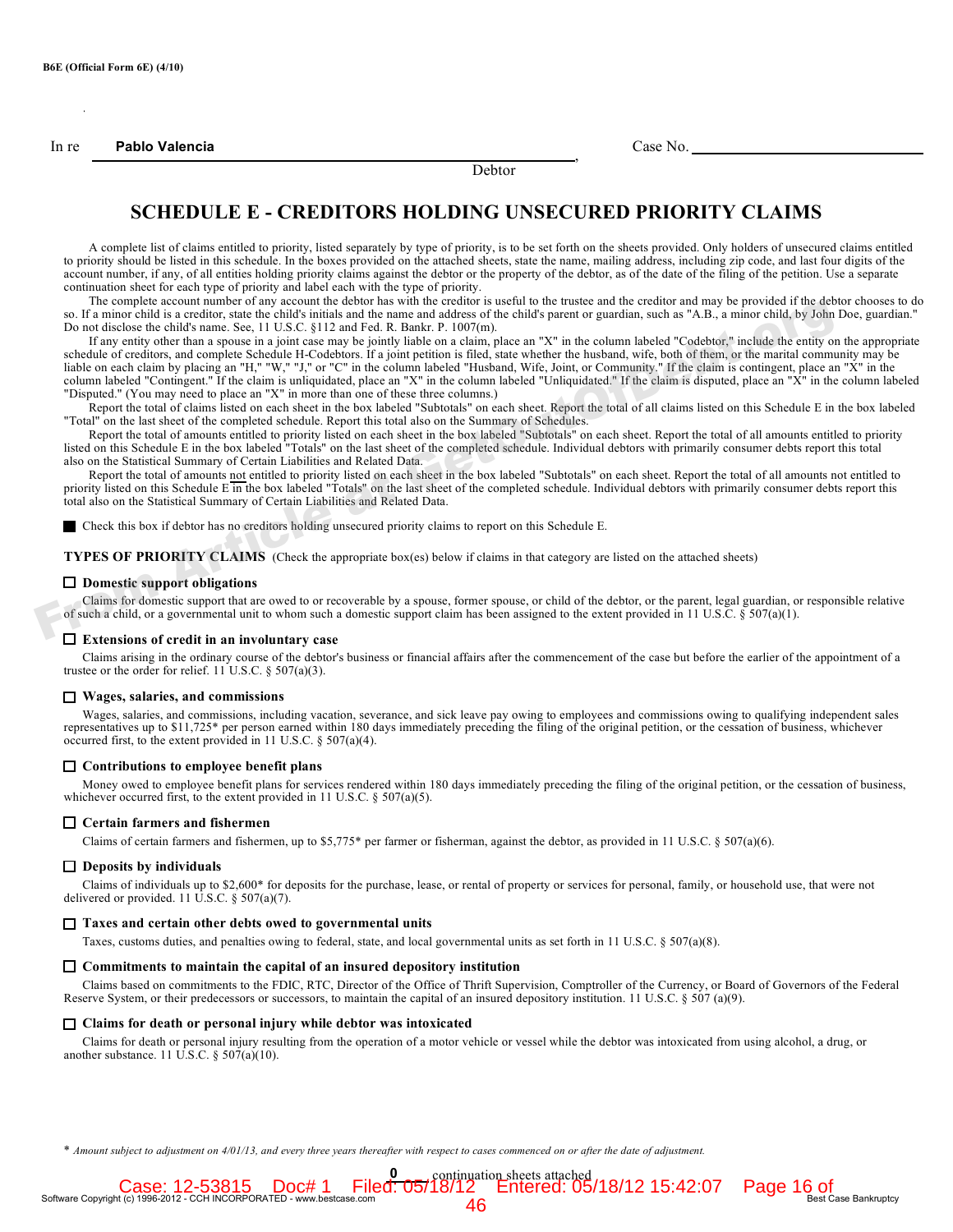In re **Pablo Valencia**<br>Debtor **Debtor Pablo Valencia** Case No. **Case No. Case No. Case No. Case No. Case No. Case No.** 

# **SCHEDULE E - CREDITORS HOLDING UNSECURED PRIORITY CLAIMS**

A complete list of claims entitled to priority, listed separately by type of priority, is to be set forth on the sheets provided. Only holders of unsecured claims entitled to priority should be listed in this schedule. In the boxes provided on the attached sheets, state the name, mailing address, including zip code, and last four digits of the account number, if any, of all entities holding priority claims against the debtor or the property of the debtor, as of the date of the filing of the petition. Use a separate continuation sheet for each type of priority and label each with the type of priority.

The complete account number of any account the debtor has with the creditor is useful to the trustee and the creditor and may be provided if the debtor chooses to do so. If a minor child is a creditor, state the child's initials and the name and address of the child's parent or guardian, such as "A.B., a minor child, by John Doe, guardian." Do not disclose the child's name. See, 11 U.S.C. §112 and Fed. R. Bankr. P. 1007(m).

If any entity other than a spouse in a joint case may be jointly liable on a claim, place an "X" in the column labeled "Codebtor," include the entity on the appropriate schedule of creditors, and complete Schedule H-Codebtors. If a joint petition is filed, state whether the husband, wife, both of them, or the marital community may be liable on each claim by placing an "H," "W," "J," or "C" in the column labeled "Husband, Wife, Joint, or Community." If the claim is contingent, place an "X" in the column labeled "Contingent." If the claim is unliquidated, place an "X" in the column labeled "Unliquidated." If the claim is disputed, place an "X" in the column labeled "Disputed." (You may need to place an "X" in more than one of these three columns.) The temperature of the collapse is the both section is well at the century is the collapse that we are the collapse to the collapse that the collapse that the collapse that the collapse that the collapse schedule of readi

Report the total of claims listed on each sheet in the box labeled "Subtotals" on each sheet. Report the total of all claims listed on this Schedule E in the box labeled "Total" on the last sheet of the completed schedule. Report this total also on the Summary of Schedules.

Report the total of amounts entitled to priority listed on each sheet in the box labeled "Subtotals" on each sheet. Report the total of all amounts entitled to priority listed on this Schedule E in the box labeled "Totals" on the last sheet of the completed schedule. Individual debtors with primarily consumer debts report this total also on the Statistical Summary of Certain Liabilities and Related Data.

Report the total of amounts not entitled to priority listed on each sheet in the box labeled "Subtotals" on each sheet. Report the total of all amounts not entitled to priority listed on this Schedule E in the box labeled "Totals" on the last sheet of the completed schedule. Individual debtors with primarily consumer debts report this total also on the Statistical Summary of Certain Liabilities and Related Data.

Check this box if debtor has no creditors holding unsecured priority claims to report on this Schedule E.

**TYPES OF PRIORITY CLAIMS** (Check the appropriate box(es) below if claims in that category are listed on the attached sheets)

#### **Domestic support obligations**

Claims for domestic support that are owed to or recoverable by a spouse, former spouse, or child of the debtor, or the parent, legal guardian, or responsible relative of such a child, or a governmental unit to whom such a domestic support claim has been assigned to the extent provided in 11 U.S.C. § 507(a)(1).

### **Extensions of credit in an involuntary case**

Claims arising in the ordinary course of the debtor's business or financial affairs after the commencement of the case but before the earlier of the appointment of a trustee or the order for relief. 11 U.S.C.  $\S$  507(a)(3).

#### **Wages, salaries, and commissions**

Wages, salaries, and commissions, including vacation, severance, and sick leave pay owing to employees and commissions owing to qualifying independent sales representatives up to \$11,725\* per person earned within 180 days immediately preceding the filing of the original petition, or the cessation of business, whichever occurred first, to the extent provided in 11 U.S.C. § 507(a)(4).

#### **Contributions to employee benefit plans**

Money owed to employee benefit plans for services rendered within 180 days immediately preceding the filing of the original petition, or the cessation of business, whichever occurred first, to the extent provided in 11 U.S.C. § 507(a)(5).

#### **Certain farmers and fishermen**

Claims of certain farmers and fishermen, up to \$5,775\* per farmer or fisherman, against the debtor, as provided in 11 U.S.C. § 507(a)(6).

#### **Deposits by individuals**

Claims of individuals up to \$2,600\* for deposits for the purchase, lease, or rental of property or services for personal, family, or household use, that were not delivered or provided. 11 U.S.C.  $\S$  507(a)(7).

#### **Taxes and certain other debts owed to governmental units**

Taxes, customs duties, and penalties owing to federal, state, and local governmental units as set forth in 11 U.S.C. § 507(a)(8).

#### **Commitments to maintain the capital of an insured depository institution**

Claims based on commitments to the FDIC, RTC, Director of the Office of Thrift Supervision, Comptroller of the Currency, or Board of Governors of the Federal Reserve System, or their predecessors or successors, to maintain the capital of an insured depository institution. 11 U.S.C. § 507 (a)(9).

#### **Claims for death or personal injury while debtor was intoxicated**

Claims for death or personal injury resulting from the operation of a motor vehicle or vessel while the debtor was intoxicated from using alcohol, a drug, or another substance. 11 U.S.C.  $\S 507(a)(10)$ .

\* *Amount subject to adjustment on 4/01/13, and every three years thereafter with respect to cases commenced on or after the date of adjustment.*

continuation sheets attached Eiled: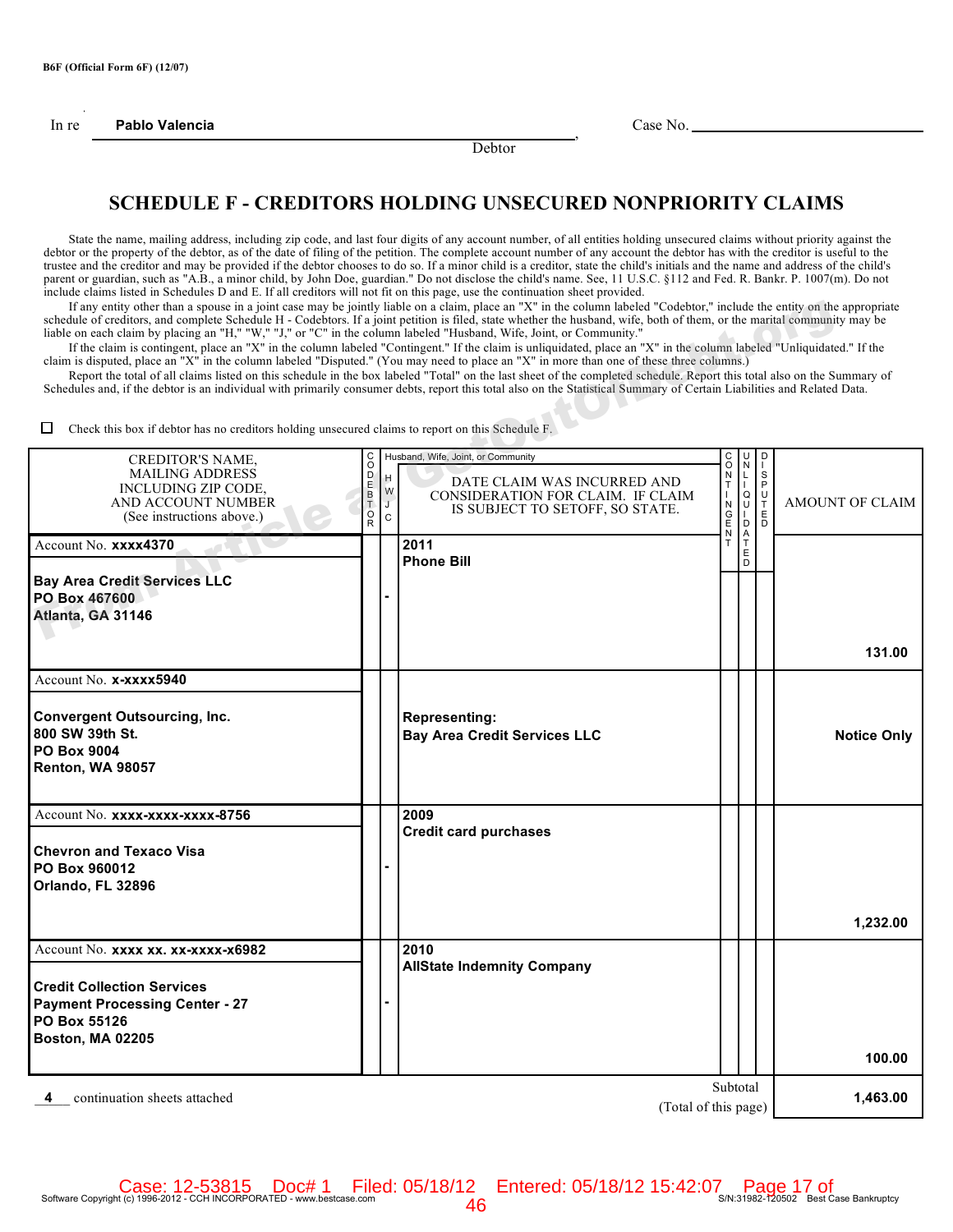In re **Pablo Valencia**<br>
Debtor **Debtor Pablo Valencia** Case No. **Case No. Case No. Case No. Case No. Case No. Case No.** 

# **SCHEDULE F - CREDITORS HOLDING UNSECURED NONPRIORITY CLAIMS**

State the name, mailing address, including zip code, and last four digits of any account number, of all entities holding unsecured claims without priority against the debtor or the property of the debtor, as of the date of filing of the petition. The complete account number of any account the debtor has with the creditor is useful to the trustee and the creditor and may be provided if the debtor chooses to do so. If a minor child is a creditor, state the child's initials and the name and address of the child's parent or guardian, such as "A.B., a minor child, by John Doe, guardian." Do not disclose the child's name. See, 11 U.S.C. §112 and Fed. R. Bankr. P. 1007(m). Do not include claims listed in Schedules D and E. If all creditors will not fit on this page, use the continuation sheet provided.

| schedule of creditors, and complete Schedule H - Codebtors. If a joint petition is filed, state whether the husband, wife, both of them, or the marital community may be<br>liable on each claim by placing an "H," "W," "J," or "C" in the column labeled "Husband, Wife, Joint, or Community."<br>claim is disputed, place an "X" in the column labeled "Disputed." (You may need to place an "X" in more than one of these three columns.)<br>Schedules and, if the debtor is an individual with primarily consumer debts, report this total also on the Statistical Summary of Certain Liabilities and Related Data.<br>ப<br>Check this box if debtor has no creditors holding unsecured claims to report on this Schedule F. |                            |                             | If any entity other than a spouse in a joint case may be jointly liable on a claim, place an "X" in the column labeled "Codebtor," include the entity on the appropriate<br>If the claim is contingent, place an "X" in the column labeled "Contingent." If the claim is unliquidated, place an "X" in the column labeled "Unliquidated." If the<br>Report the total of all claims listed on this schedule in the box labeled "Total" on the last sheet of the completed schedule. Report this total also on the Summary of |                                              |                                                                                                                                  |                                                     |                        |
|-----------------------------------------------------------------------------------------------------------------------------------------------------------------------------------------------------------------------------------------------------------------------------------------------------------------------------------------------------------------------------------------------------------------------------------------------------------------------------------------------------------------------------------------------------------------------------------------------------------------------------------------------------------------------------------------------------------------------------------|----------------------------|-----------------------------|-----------------------------------------------------------------------------------------------------------------------------------------------------------------------------------------------------------------------------------------------------------------------------------------------------------------------------------------------------------------------------------------------------------------------------------------------------------------------------------------------------------------------------|----------------------------------------------|----------------------------------------------------------------------------------------------------------------------------------|-----------------------------------------------------|------------------------|
| CREDITOR'S NAME,<br><b>MAILING ADDRESS</b><br>INCLUDING ZIP CODE.<br>AND ACCOUNT NUMBER<br>(See instructions above.)<br>Account No. xxxx4370<br><b>Bay Area Credit Services LLC</b>                                                                                                                                                                                                                                                                                                                                                                                                                                                                                                                                               | С<br>$\circ$<br>OHBTO<br>R | Н<br>W<br>J.<br>$\mathbf C$ | Husband, Wife, Joint, or Community<br>DATE CLAIM WAS INCURRED AND<br>CONSIDERATION FOR CLAIM. IF CLAIM<br>IS SUBJECT TO SETOFF, SO STATE.<br>2011<br><b>Phone Bill</b>                                                                                                                                                                                                                                                                                                                                                      | $_{\rm o}^{\rm c}$<br>$\frac{N}{T}$<br>NGENT | U<br>$\begin{bmatrix} N \\ L \\ I \end{bmatrix}$<br>Q<br>U<br>$\mathbf{L}$<br>$\mathsf D$<br>$\frac{A}{T}$<br>$_{\rm D}^{\rm E}$ | $\mathbf{I}$<br>$\frac{1}{p}$<br>  ט<br>ד<br>Ε<br>D | <b>AMOUNT OF CLAIM</b> |
| PO Box 467600<br>Atlanta, GA 31146                                                                                                                                                                                                                                                                                                                                                                                                                                                                                                                                                                                                                                                                                                |                            |                             |                                                                                                                                                                                                                                                                                                                                                                                                                                                                                                                             |                                              |                                                                                                                                  |                                                     | 131.00                 |
| Account No. x-xxxx5940<br><b>Convergent Outsourcing, Inc.</b><br>800 SW 39th St.<br><b>PO Box 9004</b><br><b>Renton, WA 98057</b>                                                                                                                                                                                                                                                                                                                                                                                                                                                                                                                                                                                                 |                            |                             | <b>Representing:</b><br><b>Bay Area Credit Services LLC</b>                                                                                                                                                                                                                                                                                                                                                                                                                                                                 |                                              |                                                                                                                                  |                                                     | <b>Notice Only</b>     |
| Account No. XXXX-XXXX-XXXX-8756<br><b>Chevron and Texaco Visa</b><br>PO Box 960012<br>Orlando, FL 32896                                                                                                                                                                                                                                                                                                                                                                                                                                                                                                                                                                                                                           |                            |                             | 2009<br><b>Credit card purchases</b>                                                                                                                                                                                                                                                                                                                                                                                                                                                                                        |                                              |                                                                                                                                  |                                                     | 1,232.00               |
| Account No. XXXX XX. XX-XXXX-X6982<br><b>Credit Collection Services</b><br><b>Payment Processing Center - 27</b><br>PO Box 55126<br><b>Boston, MA 02205</b>                                                                                                                                                                                                                                                                                                                                                                                                                                                                                                                                                                       |                            |                             | 2010<br><b>AllState Indemnity Company</b>                                                                                                                                                                                                                                                                                                                                                                                                                                                                                   |                                              |                                                                                                                                  |                                                     |                        |
|                                                                                                                                                                                                                                                                                                                                                                                                                                                                                                                                                                                                                                                                                                                                   |                            |                             |                                                                                                                                                                                                                                                                                                                                                                                                                                                                                                                             |                                              | Subtotal                                                                                                                         |                                                     | 100.00                 |
| continuation sheets attached                                                                                                                                                                                                                                                                                                                                                                                                                                                                                                                                                                                                                                                                                                      |                            |                             | (Total of this page)                                                                                                                                                                                                                                                                                                                                                                                                                                                                                                        |                                              |                                                                                                                                  |                                                     | 1,463.00               |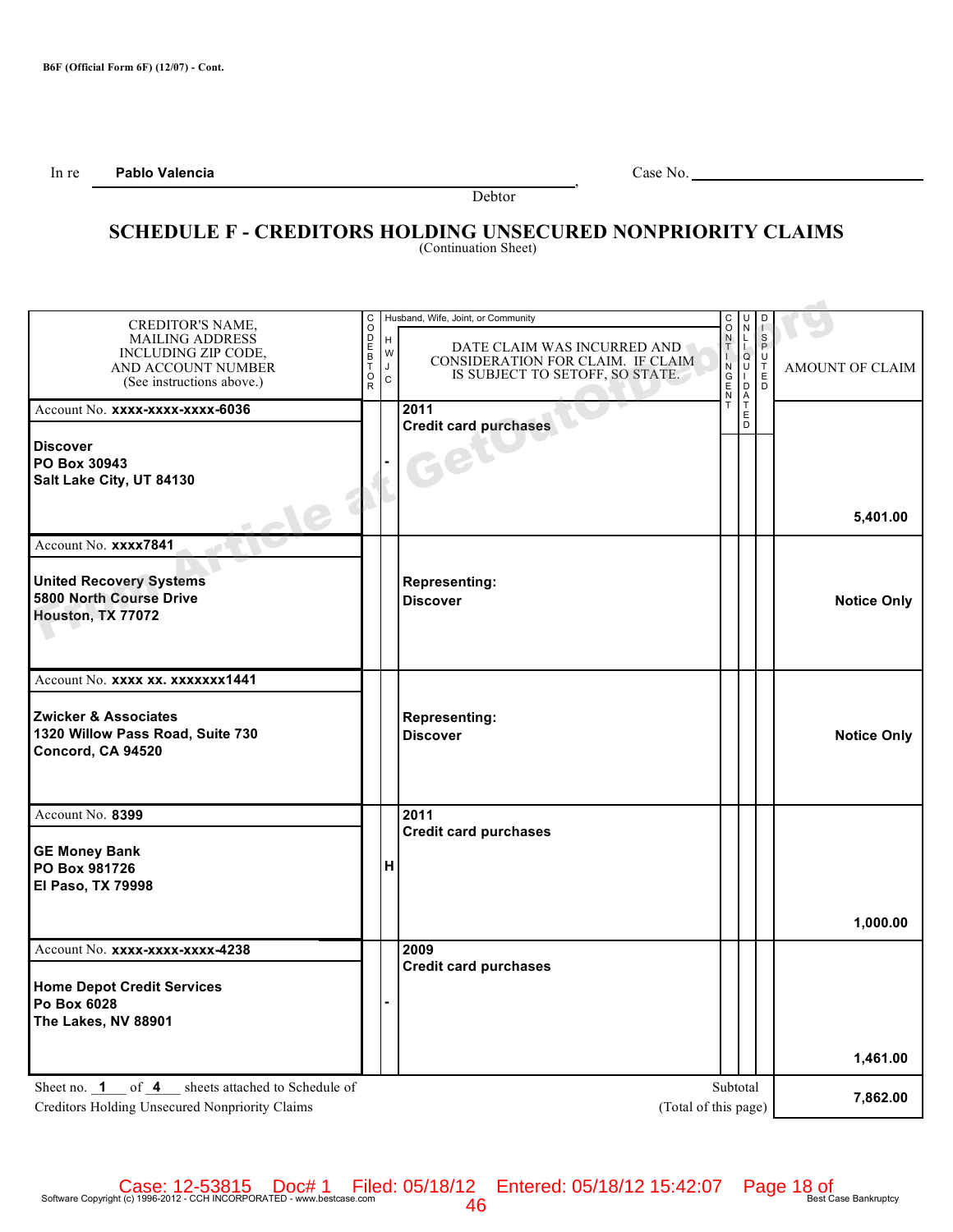In re **Pablo Valencia**<br>Debtor **Debtor Pablo Valencia** Case No.

### **SCHEDULE F - CREDITORS HOLDING UNSECURED NONPRIORITY CLAIMS** (Continuation Sheet)

C O D E B T O R CONTINGENT U N L I Q U I D A T E D D I S P UT E D Husband, Wife, Joint, or Community H W J C CREDITOR'S NAME, MAILING ADDRESS INCLUDING ZIP CODE, AND ACCOUNT NUMBER (See instructions above.) Account No. **xxxx-xxxx-xxxx-6036 2011** Account No. **xxxx7841** Account No. **xxxx xx. xxxxxxx1441** Account No. Account No. **xxxx-xxxx-xxxx-4238 2009** Sheet no. <u>1 of 4</u> sheets attached to Schedule of Subtotal DATE CLAIM WAS INCURRED AND CONSIDERATION FOR CLAIM. IF CLAIM **ISSUBJECT TO SETOFF, SO STATE.**  $\begin{bmatrix} \vdots \\ \vdots \\ \vdots \end{bmatrix} \begin{bmatrix} 1 \\ \vdots \\ \vdots \end{bmatrix}$  AMOUNT OF CLAIM IS SUBJECT TO SETOFF, SO STATE. **Credit card purchases Discover PO Box 30943 Salt Lake City, UT 84130 - 5,401.00 Representing: Discover Notice Only United Recovery Systems 5800 North Course Drive Houston, TX 77072 Representing:** Discover **Notice Only Zwicker & Associates 1320 Willow Pass Road, Suite 730 Concord, CA 94520 8399 2011 Credit card purchases GE Money Bank PO Box 981726 El Paso, TX 79998 H 1,000.00 Credit card purchases Home Depot Credit Services Po Box 6028 The Lakes, NV 88901 - 1,461.00 7,862.00** FROM MAING ADDRESS<br>
MAING ADRESS<br>
MAING ACCUDING ZIP CODE,<br>
AND ACCOUNT NUMBER<br>
ARD ACCOUNT NUMBER<br>
(See instructions above)<br>
(See instructions above)<br>
Account No. XXXX-XXXX-XXXX-6036<br>
PO Box 30943<br>
Salt Lake City, UT 8413

Creditors Holding Unsecured Nonpriority Claims (Total of this page)

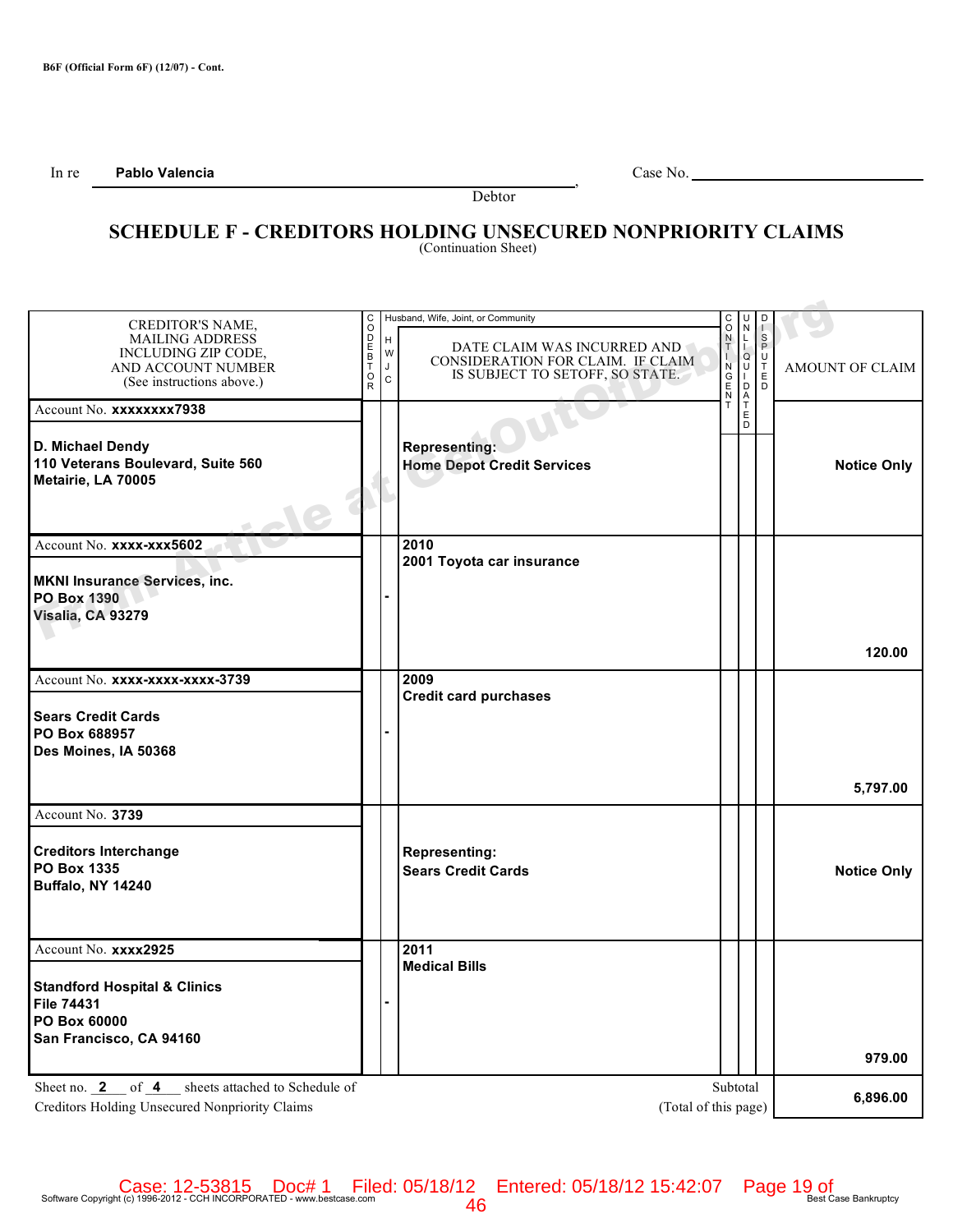In re **Pablo Valencia**<br>Debtor **Debtor Pablo Valencia** Case No. 2008 **Case No. 2008** Case No. 2008 **Case No. 2008** Case No. 2008 Case No. 2008 Case No. 2008 Case No. 2008 Case No. 2008 Case No. 2008 Case No. 2008 Case No. 2008 Case No. 2008 Case No. 2008 Case

## **SCHEDULE F - CREDITORS HOLDING UNSECURED NONPRIORITY CLAIMS** (Continuation Sheet)

| CREDITOR'S NAME,<br><b>MAILING ADDRESS</b>                                                                  |          | H                     | Husband, Wife, Joint, or Community                                                                  | 200                            | $\frac{1}{1-\alpha} = \frac{1}{2-\alpha-1}$                        |    |                    |
|-------------------------------------------------------------------------------------------------------------|----------|-----------------------|-----------------------------------------------------------------------------------------------------|--------------------------------|--------------------------------------------------------------------|----|--------------------|
| <b>INCLUDING ZIP CODE,</b><br>AND ACCOUNT NUMBER<br>(See instructions above.)                               | CODEBTOR | W<br>J<br>$\mathsf C$ | DATE CLAIM WAS INCURRED AND<br>CONSIDERATION FOR CLAIM. IF CLAIM<br>IS SUBJECT TO SETOFF, SO STATE. | $\top$<br>$\mathbf{L}$<br>200Z | $\mathbf{L}$<br>$\begin{array}{c} \n\vdots \\ A \\ T\n\end{array}$ | IЕ | AMOUNT OF CLAIM    |
| Account No. XXXXXXX7938                                                                                     |          |                       |                                                                                                     | T                              | $_{\rm D}^{\rm E}$                                                 |    |                    |
| D. Michael Dendy<br>110 Veterans Boulevard, Suite 560<br>Metairie, LA 70005                                 |          |                       | <b>Representing:</b><br><b>Home Depot Credit Services</b>                                           |                                |                                                                    |    | <b>Notice Only</b> |
| Account No. xxxx-xxx5602<br><b>MKNI Insurance Services, inc.</b><br><b>PO Box 1390</b><br>Visalia, CA 93279 |          |                       | 2010<br>2001 Toyota car insurance                                                                   |                                |                                                                    |    |                    |
|                                                                                                             |          |                       |                                                                                                     |                                |                                                                    |    | 120.00             |
| Account No. xxxx-xxxx-xxxx-3739<br><b>Sears Credit Cards</b><br>PO Box 688957<br>Des Moines, IA 50368       |          |                       | 2009<br><b>Credit card purchases</b>                                                                |                                |                                                                    |    |                    |
|                                                                                                             |          |                       |                                                                                                     |                                |                                                                    |    | 5,797.00           |
| Account No. 3739<br><b>Creditors Interchange</b><br><b>PO Box 1335</b><br>Buffalo, NY 14240                 |          |                       | <b>Representing:</b><br><b>Sears Credit Cards</b>                                                   |                                |                                                                    |    | <b>Notice Only</b> |
| Account No. xxxx2925                                                                                        |          |                       | 2011                                                                                                |                                |                                                                    |    |                    |
| <b>Standford Hospital &amp; Clinics</b><br>File 74431<br><b>PO Box 60000</b><br>San Francisco, CA 94160     |          |                       | <b>Medical Bills</b>                                                                                |                                |                                                                    |    | 979.00             |
|                                                                                                             |          |                       |                                                                                                     |                                |                                                                    |    |                    |

Sheet no. <u>2 of 4</u> sheets attached to Schedule of Subtotal

Creditors Holding Unsecured Nonpriority Claims (Total of this page)



**6,896.00**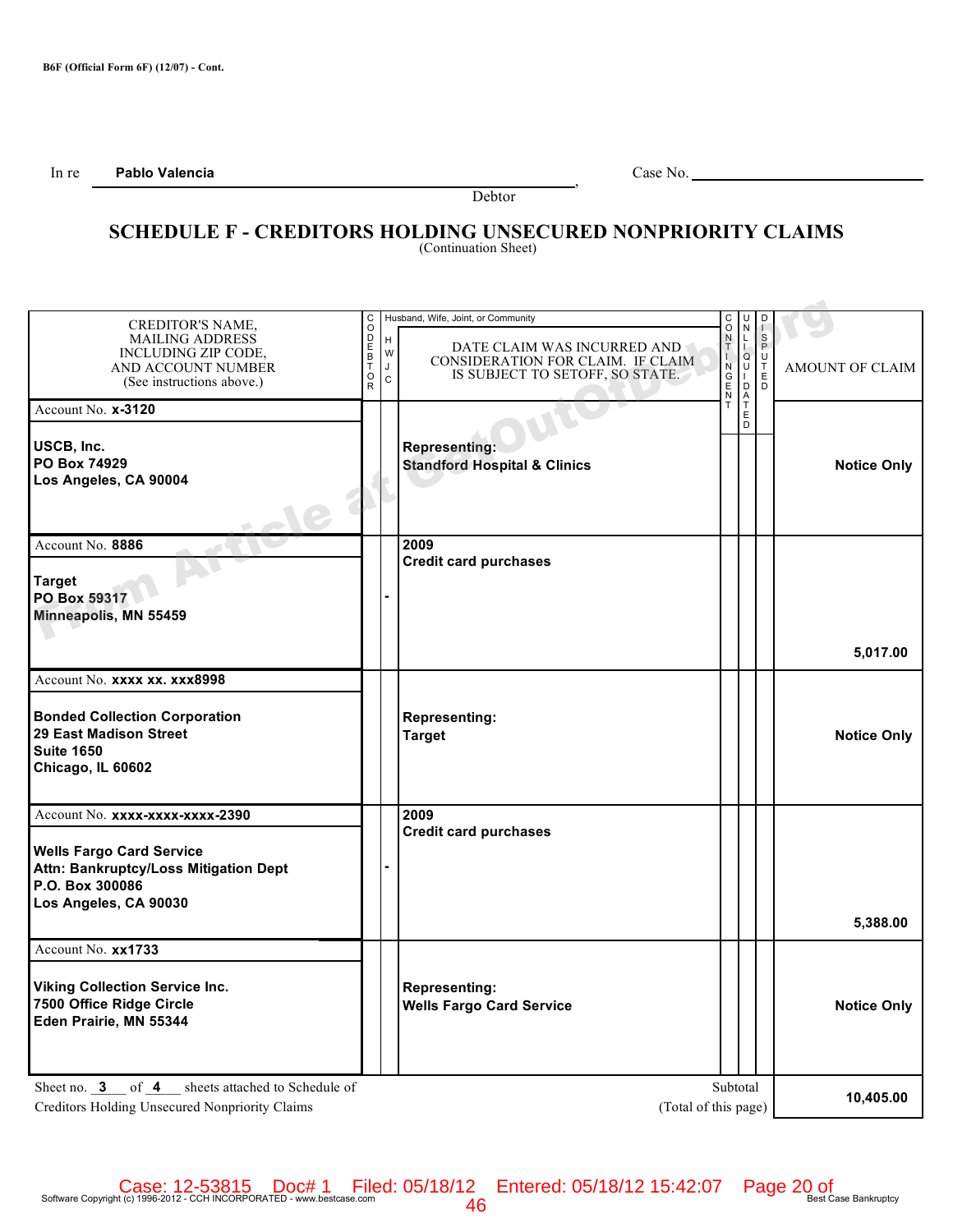In re **Pablo Valencia**<br>Debtor **Debtor Pablo Valencia** Case No.

## **SCHEDULE F - CREDITORS HOLDING UNSECURED NONPRIORITY CLAIMS** (Continuation Sheet)

C O D E B T O R CONTINGENT U N L I Q U I D A T E D D I S P UT E D Husband, Wife, Joint, or Community H W J C CREDITOR'S NAME, MAILING ADDRESS INCLUDING ZIP CODE, AND ACCOUNT NUMBER (See instructions above.) Account No. **x-3120** Account No. 8886 Account No. **xxxx xx. xxx8998** Account No. **xxxx-xxxx-xxxx-2390 2009** Account No. **xx1733** Sheet no. **3** of **4** sheets attached to Schedule of Subtotal DATE CLAIM WAS INCURRED AND CONSIDERATION FOR CLAIM. IF CLAIM **ISSUBJECT TO SETOFF, SO STATE.**  $\begin{bmatrix} \vdots \\ \vdots \\ \vdots \end{bmatrix} \begin{bmatrix} 1 \\ \vdots \\ \vdots \end{bmatrix}$  AMOUNT OF CLAIM IS SUBJECT TO SETOFF, SO STATE. **Representing:** Standford Hospital & Clinics **Notice Only USCB, Inc. PO Box 74929 Los Angeles, CA 90004 8886 2009 Credit card purchases Target PO Box 59317 Minneapolis, MN 55459 - 5,017.00 Representing: Target Notice Only Bonded Collection Corporation 29 East Madison Street Suite 1650 Chicago, IL 60602 Credit card purchases Wells Fargo Card Service Attn: Bankruptcy/Loss Mitigation Dept P.O. Box 300086 Los Angeles, CA 90030 - 5,388.00 Representing: Wells Fargo Card Service**  Notice Only **Viking Collection Service Inc. 7500 Office Ridge Circle Eden Prairie, MN 55344 10,405.00** FROM MATING ADDENS NAME.<br>
MAILNO ACCOUNT NUMBER<br>
MAILNO ACCOUNT NUMBER<br>
ARD ACCOUNT NUMBER<br>
AREO ARTICLE AT ANOUN<br>
SUBJECT TO SETOFF, SO STATE.<br>
Account No. **X-3120**<br>
Standford Hospital & Clinics<br>
PO Box 74929<br>
Los Angeles

Creditors Holding Unsecured Nonpriority Claims (Total of this page)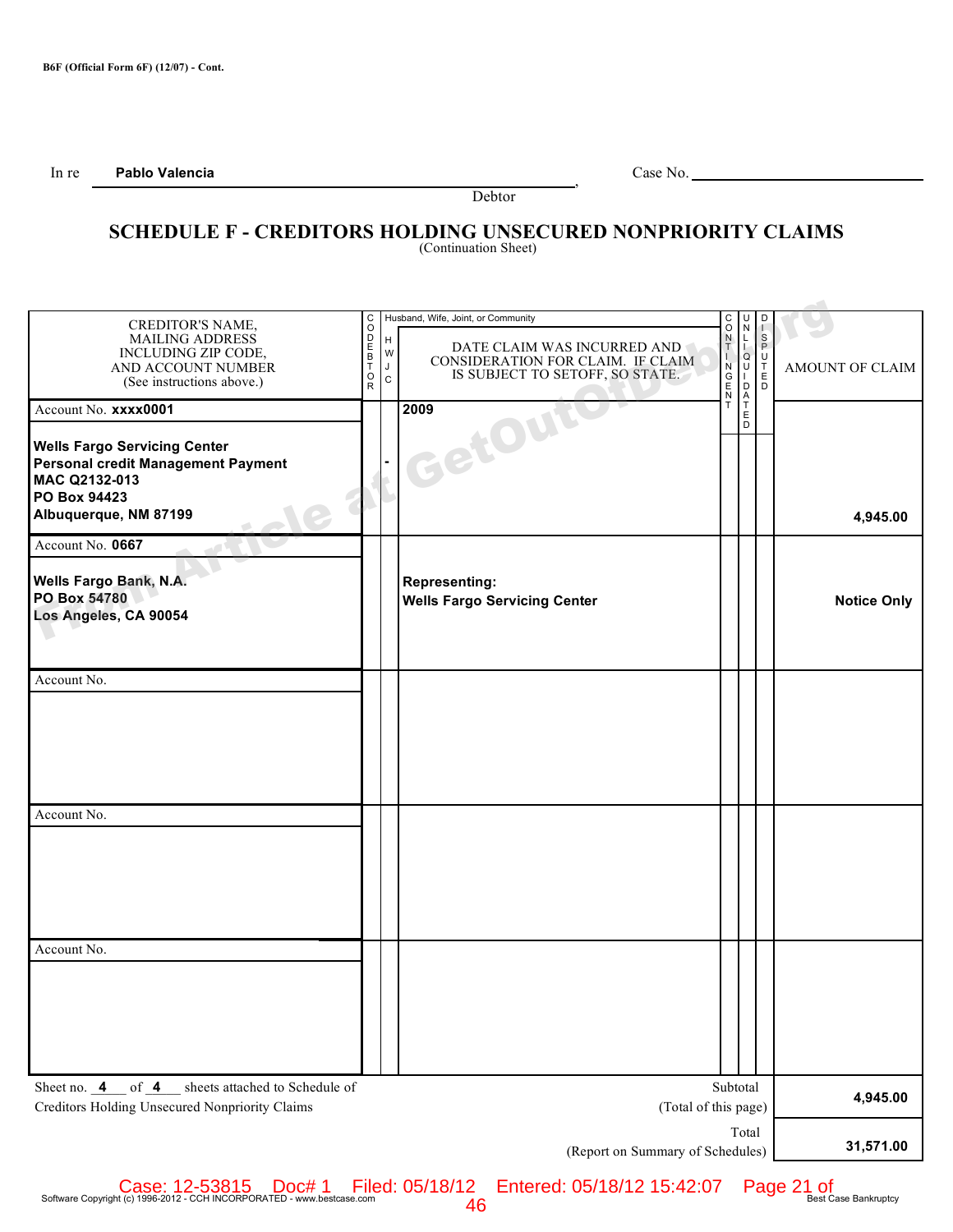In re **Pablo Valencia**<br>Debtor **Debtor Pablo Valencia** Case No. **Case No. 2016** Case No. 2016

### **SCHEDULE F - CREDITORS HOLDING UNSECURED NONPRIORITY CLAIMS** (Continuation Sheet)

C O D E B T O R CONTINGENT U N L I Q U I D A T E D D I S P UT E D Husband, Wife, Joint, or Community H W J C CREDITOR'S NAME, MAILING ADDRESS INCLUDING ZIP CODE, AND ACCOUNT NUMBER (See instructions above.) Account No. **xxxx0001 2009** Account No. **0667** Account No. Account No. Account No. Sheet no. <u>4 of 4</u> sheets attached to Schedule of Subtotal Creditors Holding Unsecured Nonpriority Claims (Total of this page) DATE CLAIM WAS INCURRED AND CONSIDERATION FOR CLAIM. IF CLAIM **ISSUBJECT TO SETOFF, SO STATE.**  $\begin{bmatrix} \cdot & \cdot & \cdot \\ \cdot & \cdot & \cdot \\ \cdot & \cdot & \cdot \end{bmatrix} \begin{bmatrix} \cdot & \cdot \\ \cdot & \cdot \\ \cdot & \cdot \end{bmatrix} \begin{bmatrix} \cdot & \cdot \\ \cdot & \cdot \\ \cdot & \cdot \end{bmatrix}$  AMOUNT OF CLAIM **Wells Fargo Servicing Center Personal credit Management Payment MAC Q2132-013 PO Box 94423 Albuquerque, NM 87199 - 4,945.00 Representing: Wells Fargo Servicing Center Notice Only Wells Fargo Bank, N.A. PO Box 54780 Los Angeles, CA 90054 4,945.00 31,571.00** Total FROM MAING ADDRESS<br>
MAING ADRESS<br>
MAING ACCUDING ZIP CODE,<br>
AND ACCOUNT NUMBER<br>
AND ACCOUNT NUMBER<br>
ARTICLE AT ANOUN<br>
ARTICLE AT ANOUNCEMENT ON STRIPE AND THE CLAIM WAS INCURRED AND<br>
ARRICLE AT ANOUNCE AND IS UNDER ATTO SE

(Report on Summary of Schedules)

Case: 12-53815 Doc# 1 Filed: 05/18/12 Entered: 05/18/12 15:42:07 Page 21 of<br>Software Copyright (c) 1996-2012 - CCH INCORPORATED - www.bestcase.com 46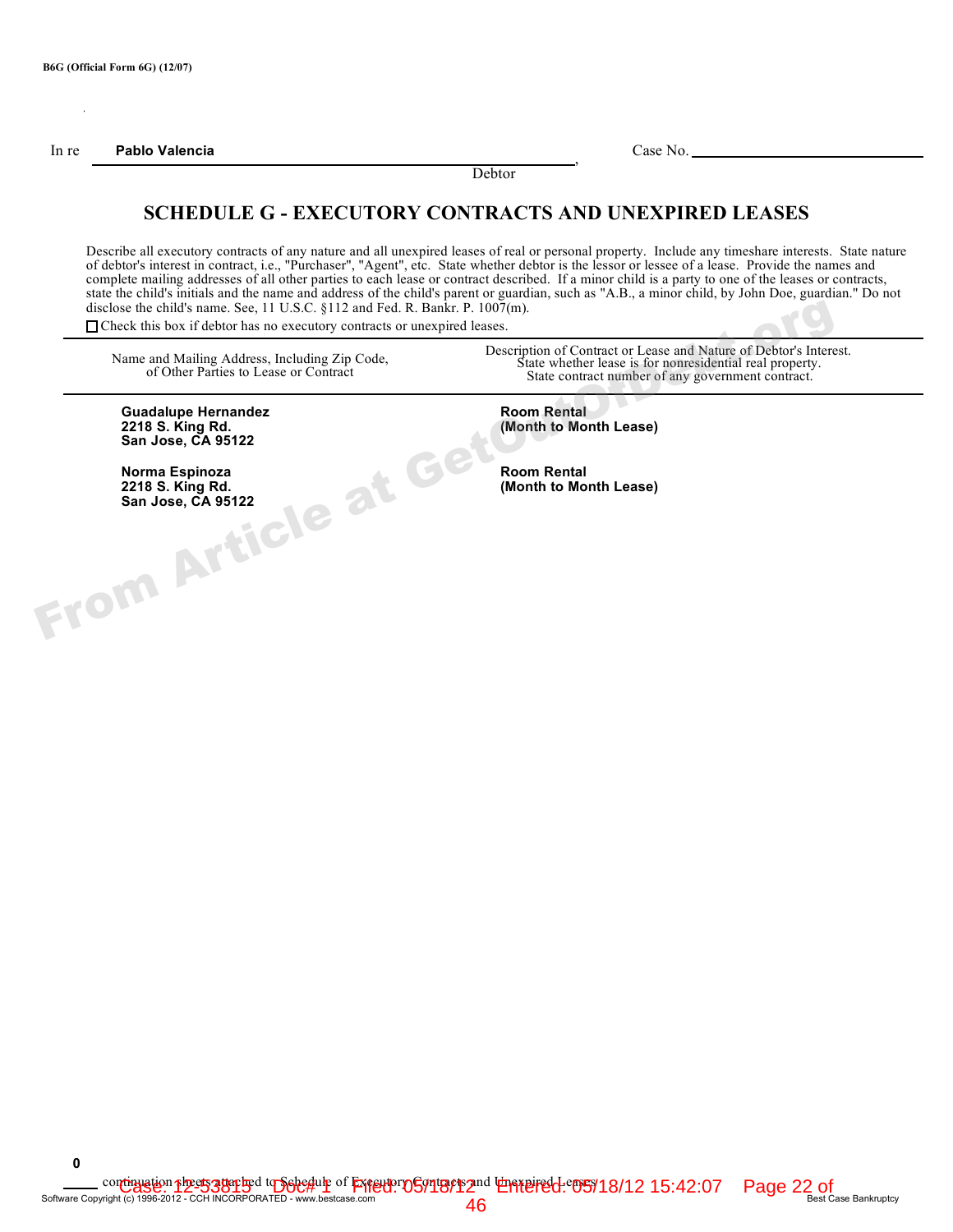In re **Pablo Valencia**<br>
Bebtor **Debtor Pablo Valencia** Case No.

# **SCHEDULE G - EXECUTORY CONTRACTS AND UNEXPIRED LEASES**

Describe all executory contracts of any nature and all unexpired leases of real or personal property. Include any timeshare interests. State nature of debtor's interest in contract, i.e., "Purchaser", "Agent", etc. State whether debtor is the lessor or lessee of a lease. Provide the names and complete mailing addresses of all other parties to each lease or contract described. If a minor child is a party to one of the leases or contracts, state the child's initials and the name and address of the child's parent or guardian, such as "A.B., a minor child, by John Doe, guardian." Do not disclose the child's name. See, 11 U.S.C. §112 and Fed. R. Bankr. P. 1007(m).  $\Box$  Check this box if debtor has no executory contracts or unexpired leases.

Name and Mailing Address, Including Zip Code, of Other Parties to Lease or Contract Description of Contract or Lease and Nature of Debtor's Interest. State whether lease is for nonresidential real property. State contract number of any government contract. **Guadalupe Hernandez 2218 S. King Rd. San Jose, CA 95122 Room Rental (Month to Month Lease) Room Rental** disclose the child's name. See, 11 U.S.C. §112 and Fed. R. Bankr. P. 1007(m).<br>
Check this box if debtor has no executory contracts or unexpired leases.<br>
Name and Matting Address, including Address, including Address, inclu

**(Month to Month Lease)**

**Norma Espinoza 2218 S. King Rd. San Jose, CA 95122**

continuation sheets attached to Schedule of Executory Contracts and Unexpired Leases Content at the et satisfact the content of Exterior Objects of Content Content Content Content Content of Best<br>Software Copyright (c) 1996-2012 - CCH INCORPORATED - www.bestcase.com develops and the search of Case Bankrupt **0**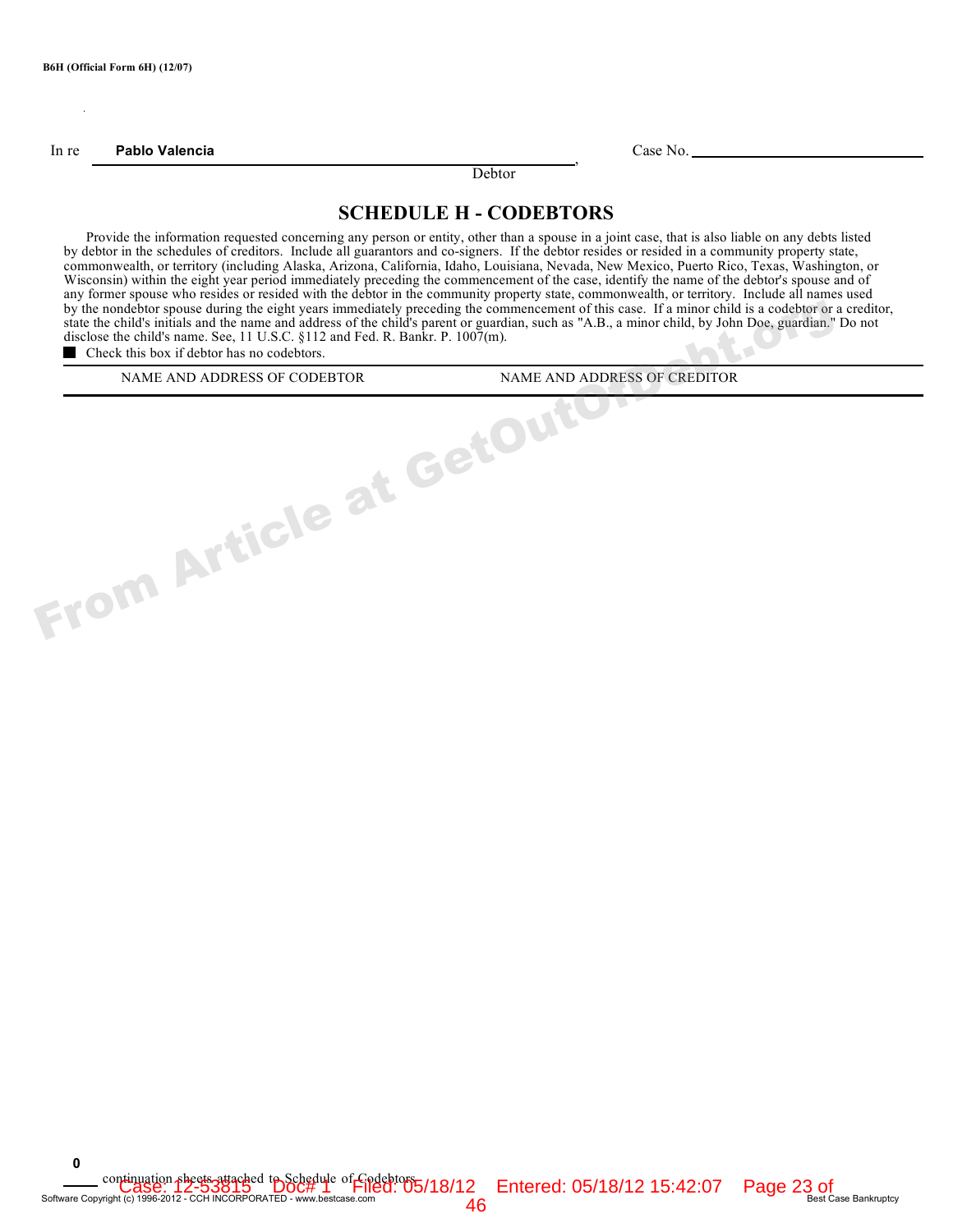In re **Pablo Valencia**<br>
Bebtor **Debtor Pablo Valencia** Case No. 2008 **Case No. 2008** Case No. 2008 **Case No. 2008** Case No. 2008

# **SCHEDULE H - CODEBTORS**

Provide the information requested concerning any person or entity, other than a spouse in a joint case, that is also liable on any debts listed by debtor in the schedules of creditors. Include all guarantors and co-signers. If the debtor resides or resided in a community property state, commonwealth, or territory (including Alaska, Arizona, California, Idaho, Louisiana, Nevada, New Mexico, Puerto Rico, Texas, Washington, or Wisconsin) within the eight year period immediately preceding the commencement of the case, identify the name of the debtor's spouse and of any former spouse who resides or resided with the debtor in the community property state, commonwealth, or territory. Include all names used by the nondebtor spouse during the eight years immediately preceding the commencement of this case. If a minor child is a codebtor or a creditor, state the child's initials and the name and address of the child's parent or guardian, such as "A.B., a minor child, by John Doe, guardian." Do not disclose the child's name. See, 11 U.S.C. §112 and Fed. R. Bankr. P. 1007(m). by the nondebtor spouse during the eight years inmediately preceding the commencement of this case. If a minor child is a codebtor or state the child's initials and the name and address of the child's parent or guardian, s

Check this box if debtor has no codebtors.

NAME AND ADDRESS OF CODEBTOR NAME AND ADDRESS OF CREDITOR

continuation sheets attached to Schedule of Codebtors

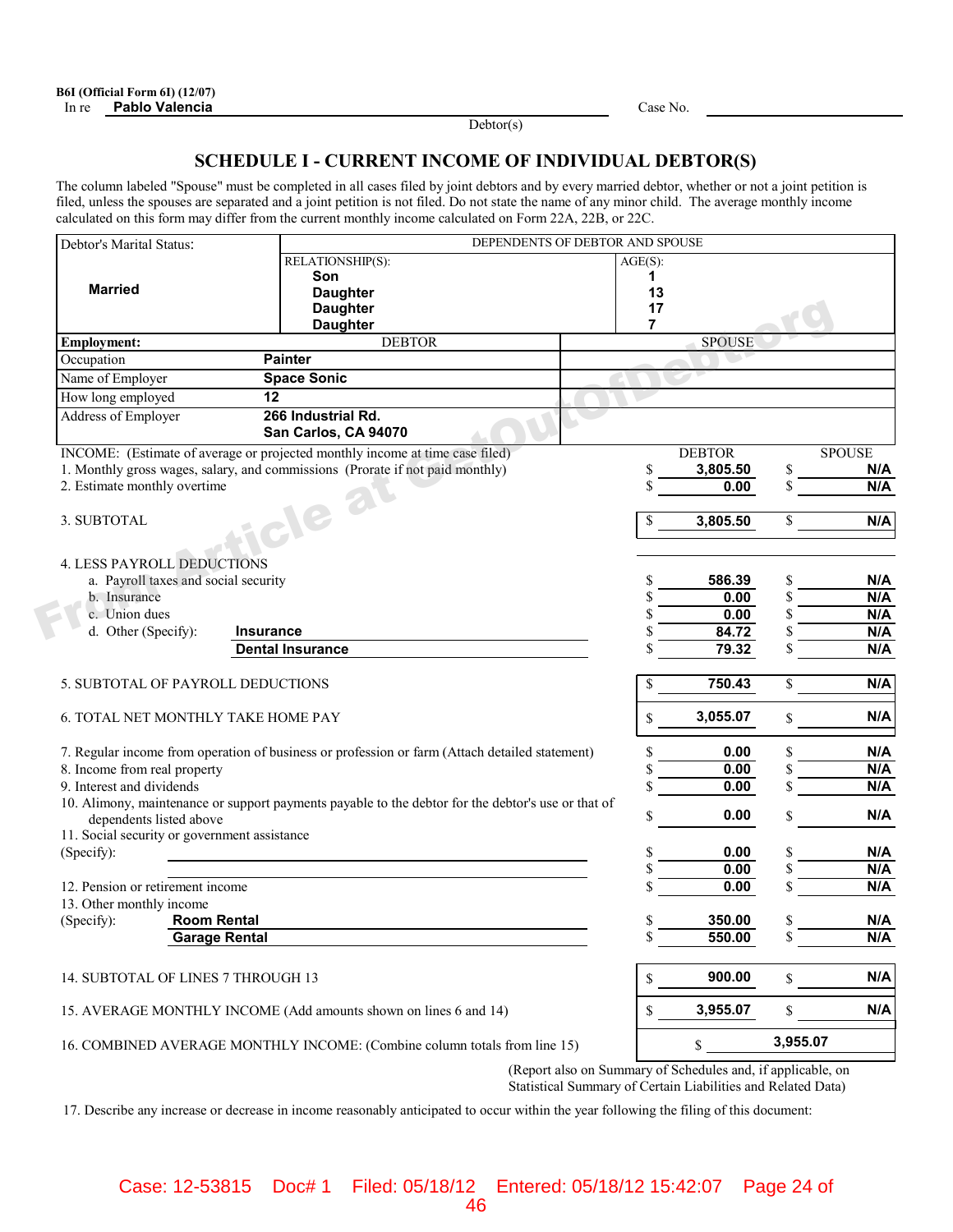Debtor(s)

## **SCHEDULE I - CURRENT INCOME OF INDIVIDUAL DEBTOR(S)**

The column labeled "Spouse" must be completed in all cases filed by joint debtors and by every married debtor, whether or not a joint petition is filed, unless the spouses are separated and a joint petition is not filed. Do not state the name of any minor child. The average monthly income calculated on this form may differ from the current monthly income calculated on Form 22A, 22B, or 22C.

| Debtor's Marital Status:                                                  | DEPENDENTS OF DEBTOR AND SPOUSE                                                                    |                                            |               |          |               |
|---------------------------------------------------------------------------|----------------------------------------------------------------------------------------------------|--------------------------------------------|---------------|----------|---------------|
| <b>Married</b>                                                            | RELATIONSHIP(S):<br>Son<br><b>Daughter</b><br><b>Daughter</b><br><b>Daughter</b>                   | AGE(S):<br>1<br>13<br>17<br>$\overline{7}$ |               |          |               |
| <b>Employment:</b>                                                        | <b>DEBTOR</b>                                                                                      |                                            | <b>SPOUSE</b> |          |               |
| Occupation                                                                | <b>Painter</b>                                                                                     |                                            |               |          |               |
| Name of Employer                                                          | <b>Space Sonic</b>                                                                                 |                                            |               |          |               |
| 12<br>How long employed                                                   |                                                                                                    |                                            |               |          |               |
| <b>Address of Employer</b>                                                | 266 Industrial Rd.<br>San Carlos, CA 94070                                                         |                                            |               |          |               |
|                                                                           | INCOME: (Estimate of average or projected monthly income at time case filed)                       |                                            | <b>DEBTOR</b> |          | <b>SPOUSE</b> |
|                                                                           | 1. Monthly gross wages, salary, and commissions (Prorate if not paid monthly)                      | \$                                         | 3,805.50      | \$       | N/A           |
| 2. Estimate monthly overtime                                              |                                                                                                    |                                            | 0.00          | S        | N/A           |
| 3. SUBTOTAL                                                               | a<br>SIS                                                                                           |                                            | 3,805.50      | \$       | N/A           |
| <b>4. LESS PAYROLL DEDUCTIONS</b><br>a. Payroll taxes and social security |                                                                                                    |                                            | 586.39        | \$       | N/A           |
| b. Insurance                                                              |                                                                                                    |                                            | 0.00          | \$       | N/A           |
| c. Union dues                                                             |                                                                                                    |                                            | 0.00          |          | N/A           |
| d. Other (Specify):<br><b>Insurance</b>                                   |                                                                                                    |                                            | 84.72         |          | N/A           |
|                                                                           | <b>Dental Insurance</b>                                                                            |                                            | 79.32         | \$       | N/A           |
| 5. SUBTOTAL OF PAYROLL DEDUCTIONS                                         |                                                                                                    | \$                                         | 750.43        | \$       | N/A           |
| <b>6. TOTAL NET MONTHLY TAKE HOME PAY</b>                                 |                                                                                                    | \$                                         | 3,055.07      | \$       | N/A           |
|                                                                           | 7. Regular income from operation of business or profession or farm (Attach detailed statement)     | \$                                         | 0.00          | \$       | N/A           |
| 8. Income from real property                                              |                                                                                                    |                                            | 0.00          | \$       | N/A           |
| 9. Interest and dividends                                                 |                                                                                                    |                                            | 0.00          |          | N/A           |
| dependents listed above                                                   | 10. Alimony, maintenance or support payments payable to the debtor for the debtor's use or that of | \$                                         | 0.00          | S        | N/A           |
| 11. Social security or government assistance<br>(Specify):                |                                                                                                    |                                            | 0.00          | \$       | N/A           |
|                                                                           |                                                                                                    |                                            | 0.00          | \$       | N/A           |
| 12. Pension or retirement income                                          |                                                                                                    |                                            | 0.00          | \$       | N/A           |
| 13. Other monthly income                                                  |                                                                                                    |                                            |               |          |               |
| (Specify):<br><b>Room Rental</b>                                          |                                                                                                    | \$                                         | 350.00        | \$       | N/A           |
| <b>Garage Rental</b>                                                      |                                                                                                    | \$                                         | 550.00        | \$       | N/A           |
| 14. SUBTOTAL OF LINES 7 THROUGH 13                                        |                                                                                                    | \$                                         | 900.00        | \$       | N/A           |
|                                                                           | 15. AVERAGE MONTHLY INCOME (Add amounts shown on lines 6 and 14)                                   | \$                                         | 3,955.07      | \$       | N/A           |
|                                                                           | 16. COMBINED AVERAGE MONTHLY INCOME: (Combine column totals from line 15)                          |                                            | \$            | 3,955.07 |               |

Statistical Summary of Certain Liabilities and Related Data)

17. Describe any increase or decrease in income reasonably anticipated to occur within the year following the filing of this document: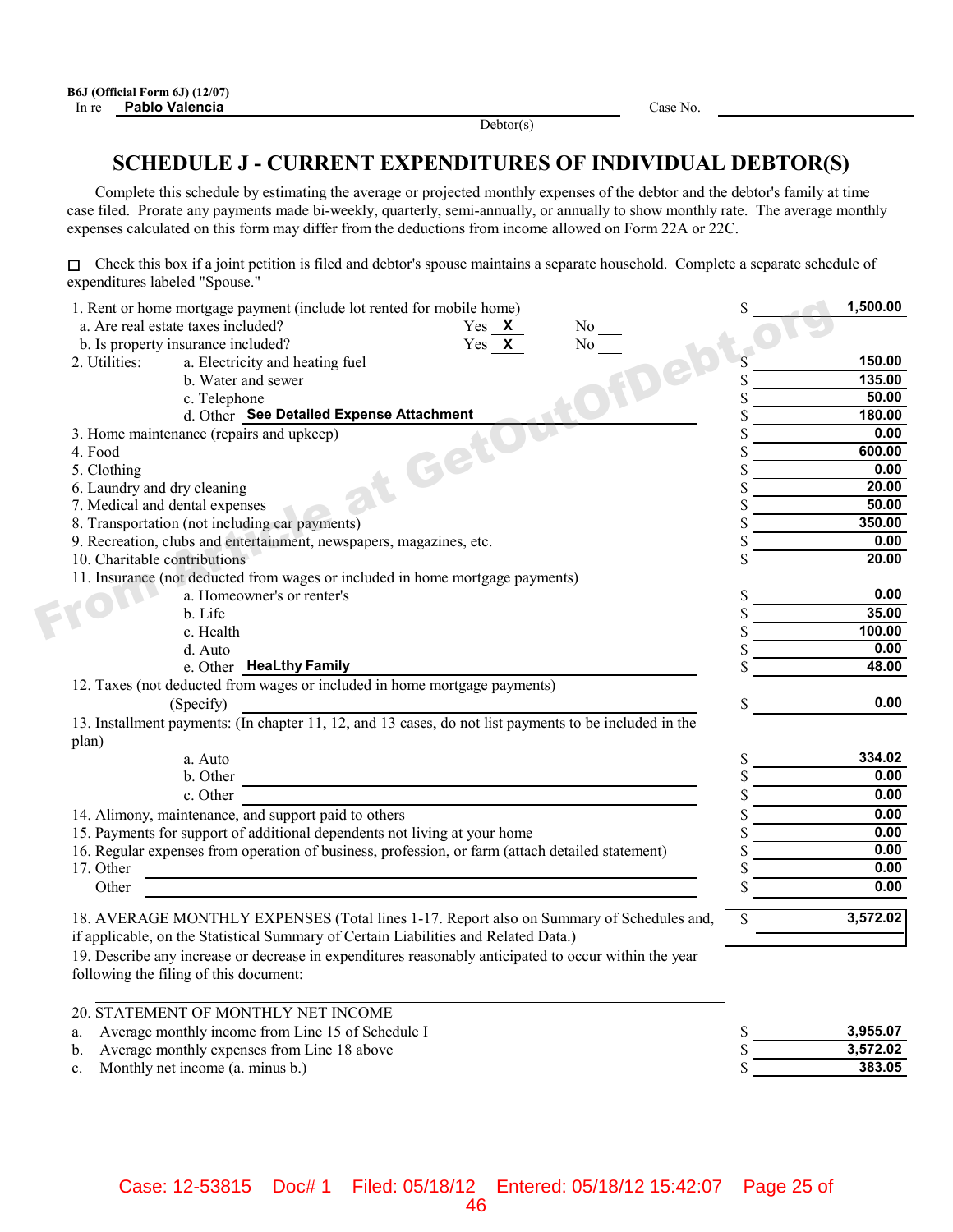Debtor(s)

# **SCHEDULE J - CURRENT EXPENDITURES OF INDIVIDUAL DEBTOR(S)**

Complete this schedule by estimating the average or projected monthly expenses of the debtor and the debtor's family at time case filed. Prorate any payments made bi-weekly, quarterly, semi-annually, or annually to show monthly rate. The average monthly expenses calculated on this form may differ from the deductions from income allowed on Form 22A or 22C.

 Check this box if a joint petition is filed and debtor's spouse maintains a separate household. Complete a separate schedule of expenditures labeled "Spouse."

|                              | 1. Rent or home mortgage payment (include lot rented for mobile home)                                  | \$ | 1,500.00 |
|------------------------------|--------------------------------------------------------------------------------------------------------|----|----------|
|                              | a. Are real estate taxes included?<br>$Yes \; X$<br>No                                                 |    |          |
|                              | b. Is property insurance included?<br>Yes <b>x</b><br>No                                               |    |          |
| 2. Utilities:                | a. Electricity and heating fuel                                                                        |    | 150.00   |
|                              | b. Water and sewer                                                                                     |    | 135.00   |
|                              | c. Telephone                                                                                           |    | 50.00    |
|                              | d. Other See Detailed Expense Attachment                                                               | S  | 180.00   |
|                              | 3. Home maintenance (repairs and upkeep)                                                               |    | 0.00     |
| 4. Food                      |                                                                                                        |    | 600.00   |
| 5. Clothing                  | GB                                                                                                     |    | 0.00     |
| 6. Laundry and dry cleaning  |                                                                                                        |    | 20.00    |
|                              | 7. Medical and dental expenses                                                                         |    | 50.00    |
|                              | 8. Transportation (not including car payments)                                                         |    | 350.00   |
|                              | 9. Recreation, clubs and entertainment, newspapers, magazines, etc.                                    |    | 0.00     |
| 10. Charitable contributions |                                                                                                        |    | 20.00    |
|                              | 11. Insurance (not deducted from wages or included in home mortgage payments)                          |    |          |
|                              | a. Homeowner's or renter's                                                                             | \$ | 0.00     |
|                              | b. Life                                                                                                | \$ | 35.00    |
|                              | c. Health                                                                                              | \$ | 100.00   |
|                              | d. Auto                                                                                                |    | 0.00     |
|                              | e. Other HeaLthy Family                                                                                |    | 48.00    |
|                              | 12. Taxes (not deducted from wages or included in home mortgage payments)                              |    |          |
|                              | (Specify)                                                                                              | \$ | 0.00     |
|                              | 13. Installment payments: (In chapter 11, 12, and 13 cases, do not list payments to be included in the |    |          |
| plan)                        |                                                                                                        |    |          |
|                              | a. Auto                                                                                                | \$ | 334.02   |
|                              | b. Other<br><u> 1980 - Johann Barnett, fransk politik (d. 1980)</u>                                    | \$ | 0.00     |
|                              | c. Other                                                                                               | \$ | 0.00     |
|                              | 14. Alimony, maintenance, and support paid to others                                                   |    | 0.00     |
|                              | 15. Payments for support of additional dependents not living at your home                              |    | 0.00     |
|                              | 16. Regular expenses from operation of business, profession, or farm (attach detailed statement)       |    | 0.00     |
| 17. Other                    |                                                                                                        |    | 0.00     |
|                              | <u> 1988 - Johann Barnett, fransk politik (f. 1988)</u>                                                |    | 0.00     |
| Other                        |                                                                                                        |    |          |
|                              | 18. AVERAGE MONTHLY EXPENSES (Total lines 1-17. Report also on Summary of Schedules and,               | \$ | 3,572.02 |
|                              | if applicable, on the Statistical Summary of Certain Liabilities and Related Data.)                    |    |          |
|                              | 19. Describe any increase or decrease in expenditures reasonably anticipated to occur within the year  |    |          |
|                              | following the filing of this document:                                                                 |    |          |
|                              |                                                                                                        |    |          |
|                              | 20. STATEMENT OF MONTHLY NET INCOME                                                                    |    |          |
|                              | $\alpha$ and $\alpha$ are $\alpha$ and $\alpha$                                                        |    |          |

| a. | Average monthly income from Line 15 of Schedule I | 3.955.07 |
|----|---------------------------------------------------|----------|
|    | b. Average monthly expenses from Line 18 above    | 3.572.02 |
|    | c. Monthly net income (a. minus b.)               | 383.05   |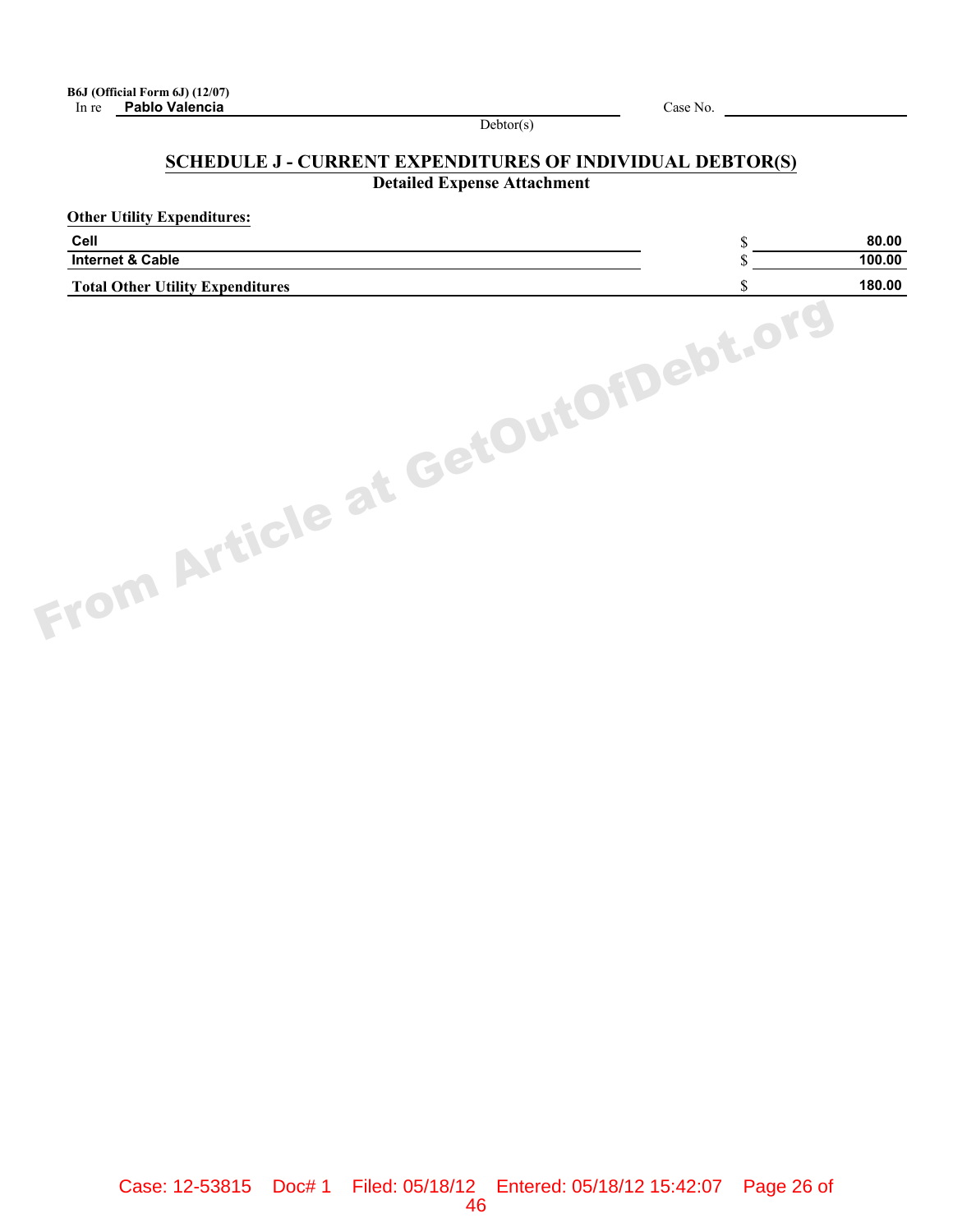Debtor(s)

## **SCHEDULE J - CURRENT EXPENDITURES OF INDIVIDUAL DEBTOR(S) Detailed Expense Attachment**

**Other Utility Expenditures:**

| Cell                                    | 80.00  |
|-----------------------------------------|--------|
| <b>Internet &amp; Cable</b>             | 100.00 |
| <b>Total Other Utility Expenditures</b> | 180.00 |

From Article at GetOutOfDebt.org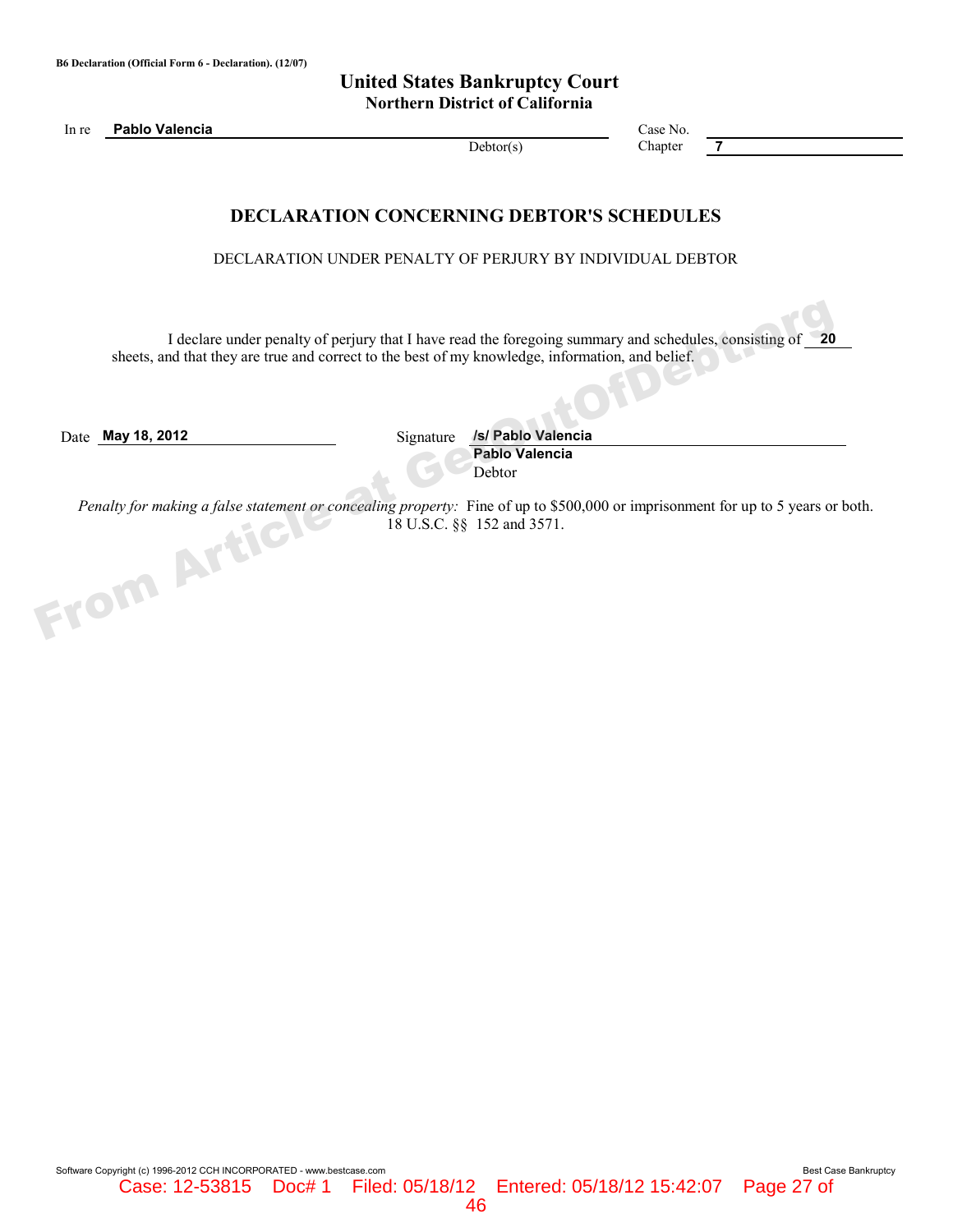| In re | Pablo Valencia                                                                                                                               |                                                                                                           | Case No. |                |
|-------|----------------------------------------------------------------------------------------------------------------------------------------------|-----------------------------------------------------------------------------------------------------------|----------|----------------|
|       |                                                                                                                                              | Dektor(s)                                                                                                 | Chapter  | $\overline{7}$ |
|       |                                                                                                                                              | <b>DECLARATION CONCERNING DEBTOR'S SCHEDULES</b>                                                          |          |                |
|       |                                                                                                                                              | DECLARATION UNDER PENALTY OF PERJURY BY INDIVIDUAL DEBTOR                                                 |          |                |
|       | sheets, and that they are true and correct to the best of my knowledge, information, and belief.                                             | I declare under penalty of perjury that I have read the foregoing summary and schedules, consisting of 20 |          |                |
|       | Date May 18, 2012                                                                                                                            | /s/ Pablo Valencia<br>Signature                                                                           |          |                |
|       |                                                                                                                                              | <b>Pablo Valencia</b><br>Debtor                                                                           |          |                |
|       | Penalty for making a false statement or concealing property: Fine of up to \$500,000 or imprisonment for up to 5 years or both.<br>FIOMANTIC | 18 U.S.C. §§ 152 and 3571.                                                                                |          |                |
|       |                                                                                                                                              |                                                                                                           |          |                |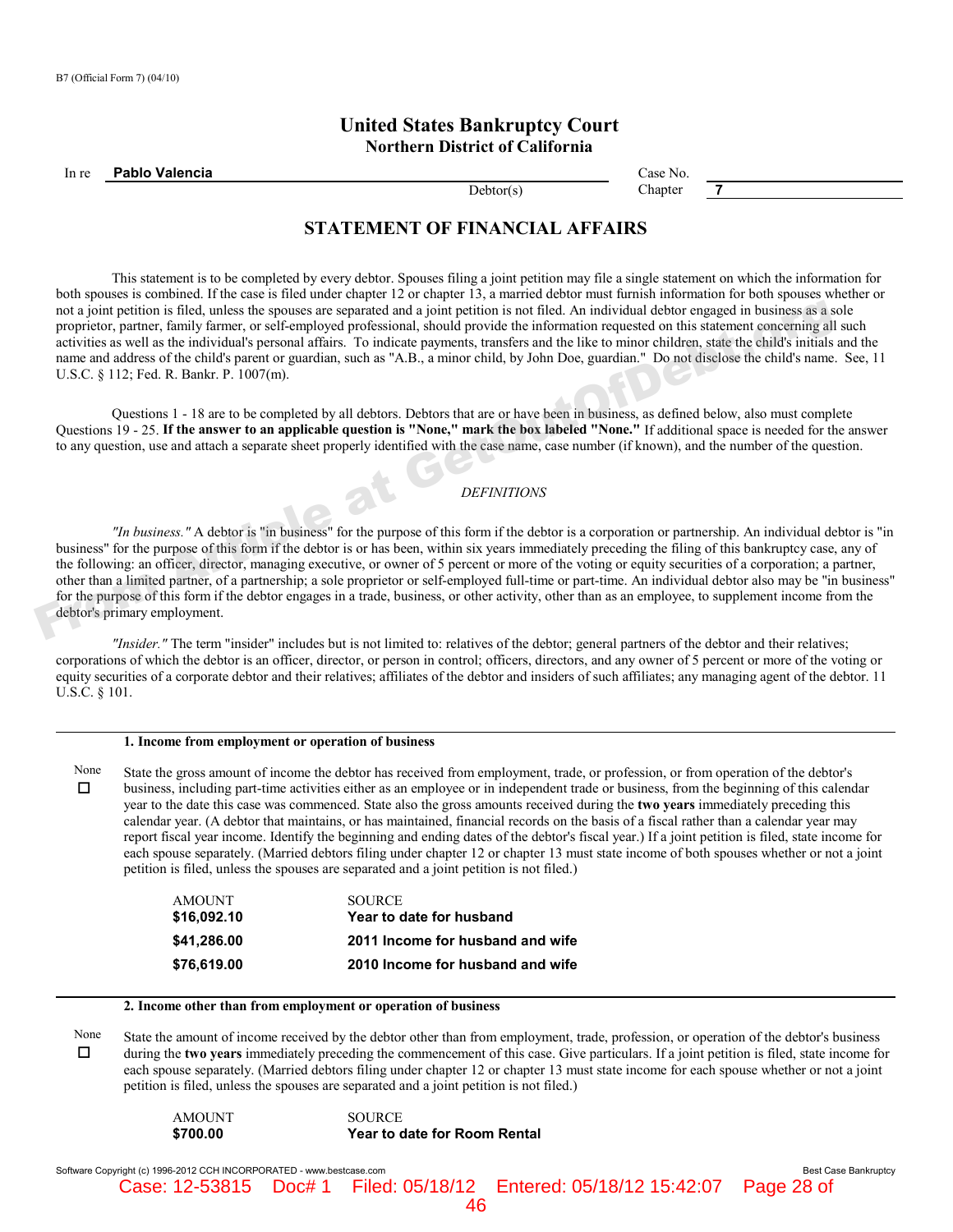| In re | Pablo Valencia | Case No. |
|-------|----------------|----------|
|       |                |          |

Debtor(s) Chapter

## **STATEMENT OF FINANCIAL AFFAIRS**

This statement is to be completed by every debtor. Spouses filing a joint petition may file a single statement on which the information for both spouses is combined. If the case is filed under chapter 12 or chapter 13, a married debtor must furnish information for both spouses whether or not a joint petition is filed, unless the spouses are separated and a joint petition is not filed. An individual debtor engaged in business as a sole proprietor, partner, family farmer, or self-employed professional, should provide the information requested on this statement concerning all such activities as well as the individual's personal affairs. To indicate payments, transfers and the like to minor children, state the child's initials and the name and address of the child's parent or guardian, such as "A.B., a minor child, by John Doe, guardian." Do not disclose the child's name. See, 11 U.S.C. § 112; Fed. R. Bankr. P. 1007(m).

Questions 1 - 18 are to be completed by all debtors. Debtors that are or have been in business, as defined below, also must complete Questions 19 - 25. **If the answer to an applicable question is "None," mark the box labeled "None."** If additional space is needed for the answer to any question, use and attach a separate sheet properly identified with the case name, case number (if known), and the number of the question.

## *DEFINITIONS*

*"In business."* A debtor is "in business" for the purpose of this form if the debtor is a corporation or partnership. An individual debtor is "in business" for the purpose of this form if the debtor is or has been, within six years immediately preceding the filing of this bankruptcy case, any of the following: an officer, director, managing executive, or owner of 5 percent or more of the voting or equity securities of a corporation; a partner, other than a limited partner, of a partnership; a sole proprietor or self-employed full-time or part-time. An individual debtor also may be "in business" for the purpose of this form if the debtor engages in a trade, business, or other activity, other than as an employee, to supplement income from the debtor's primary employment. not a joint petition is filed, unless the spouses are separated and a joint petition is not filed. An individual debtor engaged in business as a set<br>proprietor, particle, that is first enably farmers, or self-employed pro

*"Insider."* The term "insider" includes but is not limited to: relatives of the debtor; general partners of the debtor and their relatives; corporations of which the debtor is an officer, director, or person in control; officers, directors, and any owner of 5 percent or more of the voting or equity securities of a corporate debtor and their relatives; affiliates of the debtor and insiders of such affiliates; any managing agent of the debtor. 11 U.S.C. § 101.

### **1. Income from employment or operation of business**

None  $\Box$ State the gross amount of income the debtor has received from employment, trade, or profession, or from operation of the debtor's business, including part-time activities either as an employee or in independent trade or business, from the beginning of this calendar year to the date this case was commenced. State also the gross amounts received during the **two years** immediately preceding this calendar year. (A debtor that maintains, or has maintained, financial records on the basis of a fiscal rather than a calendar year may report fiscal year income. Identify the beginning and ending dates of the debtor's fiscal year.) If a joint petition is filed, state income for each spouse separately. (Married debtors filing under chapter 12 or chapter 13 must state income of both spouses whether or not a joint petition is filed, unless the spouses are separated and a joint petition is not filed.)

| <b>AMOUNT</b> | <b>SOURCE</b>                    |
|---------------|----------------------------------|
| \$16,092.10   | Year to date for husband         |
| \$41,286.00   | 2011 Income for husband and wife |
| \$76,619.00   | 2010 Income for husband and wife |

#### **2. Income other than from employment or operation of business**

None  $\Box$ State the amount of income received by the debtor other than from employment, trade, profession, or operation of the debtor's business during the **two years** immediately preceding the commencement of this case. Give particulars. If a joint petition is filed, state income for each spouse separately. (Married debtors filing under chapter 12 or chapter 13 must state income for each spouse whether or not a joint petition is filed, unless the spouses are separated and a joint petition is not filed.)

| \$700.00 | Year to date for Room Rental |
|----------|------------------------------|
| AMOUNT   | <b>SOURCE</b>                |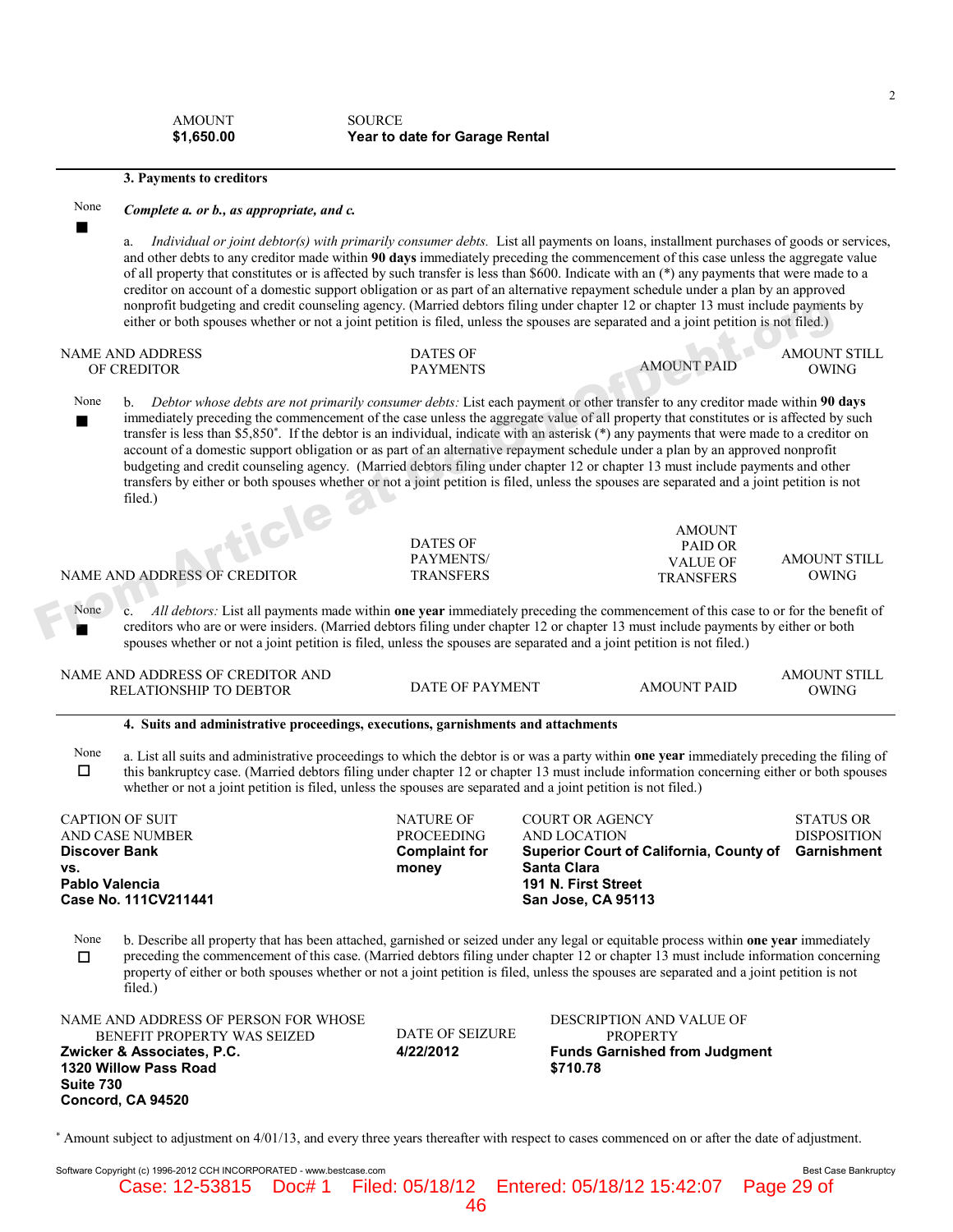|                       | 3. Payments to creditors                                                                                                                                                                                                                                                                                                                                                                                                                                                                                                                                                                                                                                                                                                                                                                                                                                 |                                                                 |                                                                                                                                              |                                                |
|-----------------------|----------------------------------------------------------------------------------------------------------------------------------------------------------------------------------------------------------------------------------------------------------------------------------------------------------------------------------------------------------------------------------------------------------------------------------------------------------------------------------------------------------------------------------------------------------------------------------------------------------------------------------------------------------------------------------------------------------------------------------------------------------------------------------------------------------------------------------------------------------|-----------------------------------------------------------------|----------------------------------------------------------------------------------------------------------------------------------------------|------------------------------------------------|
| None                  | Complete a. or b., as appropriate, and c.                                                                                                                                                                                                                                                                                                                                                                                                                                                                                                                                                                                                                                                                                                                                                                                                                |                                                                 |                                                                                                                                              |                                                |
| ▆                     | a.<br>and other debts to any creditor made within 90 days immediately preceding the commencement of this case unless the aggregate value<br>of all property that constitutes or is affected by such transfer is less than \$600. Indicate with an (*) any payments that were made to a<br>creditor on account of a domestic support obligation or as part of an alternative repayment schedule under a plan by an approved<br>nonprofit budgeting and credit counseling agency. (Married debtors filing under chapter 12 or chapter 13 must include payments by<br>either or both spouses whether or not a joint petition is filed, unless the spouses are separated and a joint petition is not filed.)                                                                                                                                                 |                                                                 | Individual or joint debtor(s) with primarily consumer debts. List all payments on loans, installment purchases of goods or services,         |                                                |
|                       | <b>NAME AND ADDRESS</b><br>OF CREDITOR                                                                                                                                                                                                                                                                                                                                                                                                                                                                                                                                                                                                                                                                                                                                                                                                                   | <b>DATES OF</b><br><b>PAYMENTS</b>                              | <b>AMOUNT PAID</b>                                                                                                                           | <b>AMOUNT STILL</b><br><b>OWING</b>            |
| None<br>ш             | b. Debtor whose debts are not primarily consumer debts: List each payment or other transfer to any creditor made within 90 days<br>immediately preceding the commencement of the case unless the aggregate value of all property that constitutes or is affected by such<br>transfer is less than \$5,850 $^*$ . If the debtor is an individual, indicate with an asterisk (*) any payments that were made to a creditor on<br>account of a domestic support obligation or as part of an alternative repayment schedule under a plan by an approved nonprofit<br>budgeting and credit counseling agency. (Married debtors filing under chapter 12 or chapter 13 must include payments and other<br>transfers by either or both spouses whether or not a joint petition is filed, unless the spouses are separated and a joint petition is not<br>filed.) |                                                                 |                                                                                                                                              |                                                |
|                       | ticle                                                                                                                                                                                                                                                                                                                                                                                                                                                                                                                                                                                                                                                                                                                                                                                                                                                    |                                                                 | AMOUNT                                                                                                                                       |                                                |
|                       |                                                                                                                                                                                                                                                                                                                                                                                                                                                                                                                                                                                                                                                                                                                                                                                                                                                          | <b>DATES OF</b>                                                 | <b>PAID OR</b>                                                                                                                               |                                                |
|                       | NAME AND ADDRESS OF CREDITOR                                                                                                                                                                                                                                                                                                                                                                                                                                                                                                                                                                                                                                                                                                                                                                                                                             | PAYMENTS/<br><b>TRANSFERS</b>                                   | <b>VALUE OF</b><br><b>TRANSFERS</b>                                                                                                          | <b>AMOUNT STILL</b><br>OWING                   |
| n                     | creditors who are or were insiders. (Married debtors filing under chapter 12 or chapter 13 must include payments by either or both                                                                                                                                                                                                                                                                                                                                                                                                                                                                                                                                                                                                                                                                                                                       |                                                                 |                                                                                                                                              |                                                |
|                       | spouses whether or not a joint petition is filed, unless the spouses are separated and a joint petition is not filed.)<br>NAME AND ADDRESS OF CREDITOR AND<br>RELATIONSHIP TO DEBTOR                                                                                                                                                                                                                                                                                                                                                                                                                                                                                                                                                                                                                                                                     | DATE OF PAYMENT                                                 | <b>AMOUNT PAID</b>                                                                                                                           | <b>AMOUNT STILL</b><br><b>OWING</b>            |
|                       | 4. Suits and administrative proceedings, executions, garnishments and attachments                                                                                                                                                                                                                                                                                                                                                                                                                                                                                                                                                                                                                                                                                                                                                                        |                                                                 |                                                                                                                                              |                                                |
| None<br>$\Box$        | a. List all suits and administrative proceedings to which the debtor is or was a party within one year immediately preceding the filing of<br>this bankruptcy case. (Married debtors filing under chapter 12 or chapter 13 must include information concerning either or both spouses<br>whether or not a joint petition is filed, unless the spouses are separated and a joint petition is not filed.)                                                                                                                                                                                                                                                                                                                                                                                                                                                  |                                                                 |                                                                                                                                              |                                                |
| Discover Bank<br>VS.  | <b>CAPTION OF SUIT</b><br><b>AND CASE NUMBER</b>                                                                                                                                                                                                                                                                                                                                                                                                                                                                                                                                                                                                                                                                                                                                                                                                         | NATURE OF<br><b>PROCEEDING</b><br><b>Complaint for</b><br>money | <b>COURT OR AGENCY</b><br><b>AND LOCATION</b><br><b>Superior Court of California, County of</b><br><b>Santa Clara</b><br>191 N. First Street | STATUS OR<br><b>DISPOSITION</b><br>Garnishment |
|                       | Case No. 111CV211441                                                                                                                                                                                                                                                                                                                                                                                                                                                                                                                                                                                                                                                                                                                                                                                                                                     |                                                                 | San Jose, CA 95113                                                                                                                           |                                                |
| None<br>□             | b. Describe all property that has been attached, garnished or seized under any legal or equitable process within one year immediately<br>preceding the commencement of this case. (Married debtors filing under chapter 12 or chapter 13 must include information concerning<br>property of either or both spouses whether or not a joint petition is filed, unless the spouses are separated and a joint petition is not<br>filed.)                                                                                                                                                                                                                                                                                                                                                                                                                     |                                                                 |                                                                                                                                              |                                                |
|                       | NAME AND ADDRESS OF PERSON FOR WHOSE                                                                                                                                                                                                                                                                                                                                                                                                                                                                                                                                                                                                                                                                                                                                                                                                                     |                                                                 | DESCRIPTION AND VALUE OF                                                                                                                     |                                                |
| <b>Pablo Valencia</b> | BENEFIT PROPERTY WAS SEIZED<br>Zwicker & Associates, P.C.                                                                                                                                                                                                                                                                                                                                                                                                                                                                                                                                                                                                                                                                                                                                                                                                | <b>DATE OF SEIZURE</b><br>4/22/2012                             | <b>PROPERTY</b><br><b>Funds Garnished from Judgment</b>                                                                                      |                                                |

\* Amount subject to adjustment on 4/01/13, and every three years thereafter with respect to cases commenced on or after the date of adjustment.

Software Copyright (c) 1996-2012 CCH INCORPORATED - www.bestcase.com Best Case Bankruptcy<br>Case: 12-53815 Doc# 1 Filed: 05/18/12 Entered: 05/18/12 15:42:07 Page 29 of Case: 12-53815 Doc# 1 Filed: 05/18/12 Entered: 05/18/12 15:42:07 Page 29 of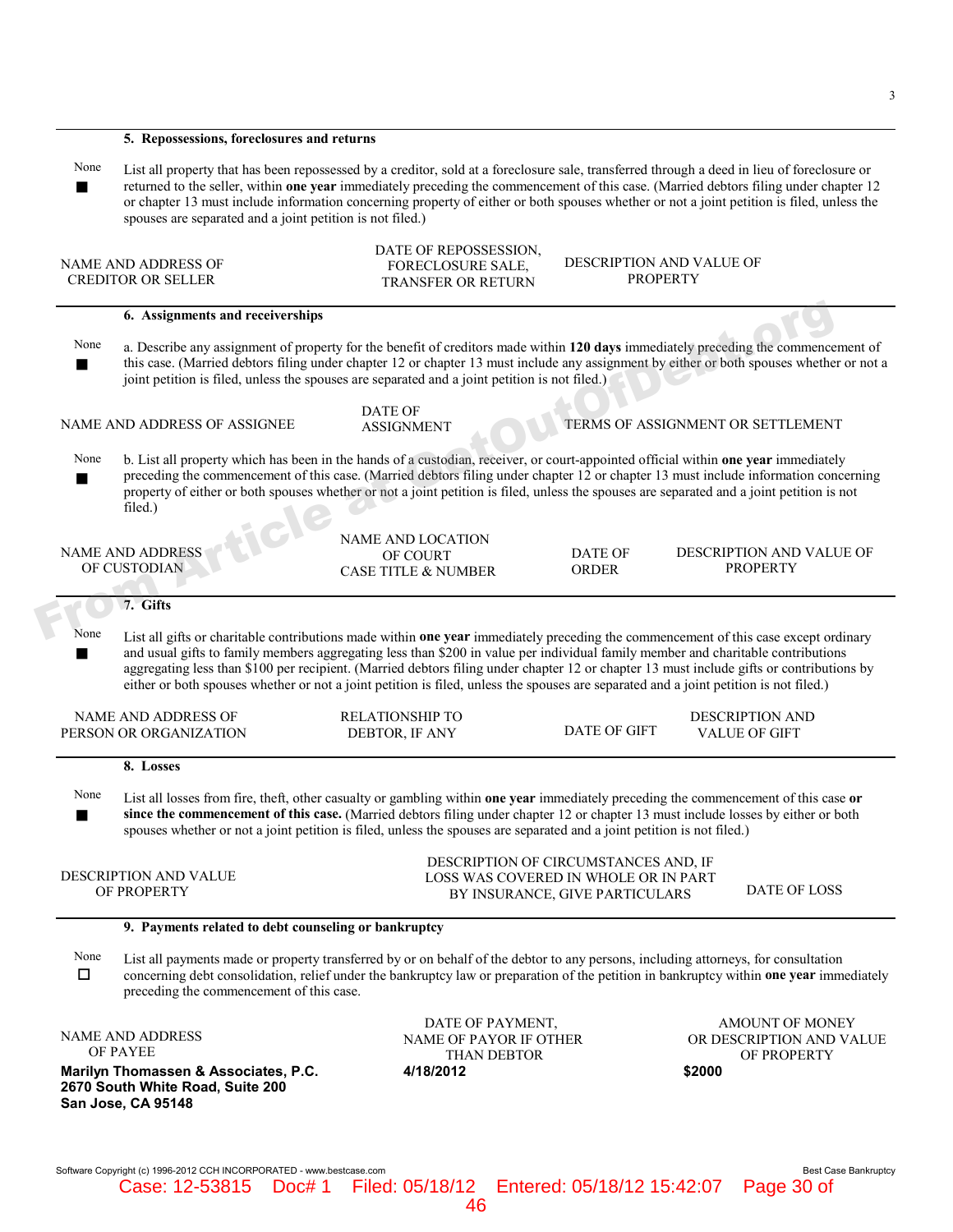| 5. Repossessions, foreclosures and returns |  |
|--------------------------------------------|--|
|--------------------------------------------|--|

| None           | spouses are separated and a joint petition is not filed.)                                      | List all property that has been repossessed by a creditor, sold at a foreclosure sale, transferred through a deed in lieu of foreclosure or<br>returned to the seller, within one year immediately preceding the commencement of this case. (Married debtors filing under chapter 12<br>or chapter 13 must include information concerning property of either or both spouses whether or not a joint petition is filed, unless the                                                                                                                                                                        |                                                                                                                |                                                                                                                                          |
|----------------|------------------------------------------------------------------------------------------------|----------------------------------------------------------------------------------------------------------------------------------------------------------------------------------------------------------------------------------------------------------------------------------------------------------------------------------------------------------------------------------------------------------------------------------------------------------------------------------------------------------------------------------------------------------------------------------------------------------|----------------------------------------------------------------------------------------------------------------|------------------------------------------------------------------------------------------------------------------------------------------|
|                | <b>NAME AND ADDRESS OF</b><br><b>CREDITOR OR SELLER</b>                                        | DATE OF REPOSSESSION,<br>FORECLOSURE SALE,<br>TRANSFER OR RETURN                                                                                                                                                                                                                                                                                                                                                                                                                                                                                                                                         | DESCRIPTION AND VALUE OF                                                                                       | <b>PROPERTY</b>                                                                                                                          |
|                | 6. Assignments and receiverships                                                               |                                                                                                                                                                                                                                                                                                                                                                                                                                                                                                                                                                                                          |                                                                                                                |                                                                                                                                          |
| None<br>ш      |                                                                                                | a. Describe any assignment of property for the benefit of creditors made within 120 days immediately preceding the commencement of<br>joint petition is filed, unless the spouses are separated and a joint petition is not filed.)                                                                                                                                                                                                                                                                                                                                                                      |                                                                                                                | this case. (Married debtors filing under chapter 12 or chapter 13 must include any assignment by either or both spouses whether or not a |
|                | NAME AND ADDRESS OF ASSIGNEE                                                                   | <b>DATE OF</b><br><b>ASSIGNMENT</b>                                                                                                                                                                                                                                                                                                                                                                                                                                                                                                                                                                      |                                                                                                                | TERMS OF ASSIGNMENT OR SETTLEMENT                                                                                                        |
| None<br>▄      | filed.)                                                                                        | b. List all property which has been in the hands of a custodian, receiver, or court-appointed official within one year immediately<br>preceding the commencement of this case. (Married debtors filing under chapter 12 or chapter 13 must include information concerning<br>property of either or both spouses whether or not a joint petition is filed, unless the spouses are separated and a joint petition is not                                                                                                                                                                                   |                                                                                                                |                                                                                                                                          |
|                |                                                                                                | <b>NAME AND LOCATION</b>                                                                                                                                                                                                                                                                                                                                                                                                                                                                                                                                                                                 |                                                                                                                |                                                                                                                                          |
|                | <b>NAME AND ADDRESS</b><br>OF CUSTODIAN                                                        | OF COURT<br><b>CASE TITLE &amp; NUMBER</b>                                                                                                                                                                                                                                                                                                                                                                                                                                                                                                                                                               | <b>DATE OF</b><br><b>ORDER</b>                                                                                 | DESCRIPTION AND VALUE OF<br><b>PROPERTY</b>                                                                                              |
|                | 7. Gifts                                                                                       |                                                                                                                                                                                                                                                                                                                                                                                                                                                                                                                                                                                                          |                                                                                                                |                                                                                                                                          |
| None           | NAME AND ADDRESS OF<br>PERSON OR ORGANIZATION                                                  | List all gifts or charitable contributions made within one year immediately preceding the commencement of this case except ordinary<br>and usual gifts to family members aggregating less than \$200 in value per individual family member and charitable contributions<br>aggregating less than \$100 per recipient. (Married debtors filing under chapter 12 or chapter 13 must include gifts or contributions by<br>either or both spouses whether or not a joint petition is filed, unless the spouses are separated and a joint petition is not filed.)<br><b>RELATIONSHIP TO</b><br>DEBTOR, IF ANY | <b>DATE OF GIFT</b>                                                                                            | <b>DESCRIPTION AND</b><br><b>VALUE OF GIFT</b>                                                                                           |
|                | 8. Losses                                                                                      |                                                                                                                                                                                                                                                                                                                                                                                                                                                                                                                                                                                                          |                                                                                                                |                                                                                                                                          |
| None<br>ш      |                                                                                                | List all losses from fire, theft, other casualty or gambling within one year immediately preceding the commencement of this case or<br>since the commencement of this case. (Married debtors filing under chapter 12 or chapter 13 must include losses by either or both<br>spouses whether or not a joint petition is filed, unless the spouses are separated and a joint petition is not filed.)                                                                                                                                                                                                       |                                                                                                                |                                                                                                                                          |
|                | DESCRIPTION AND VALUE<br>OF PROPERTY                                                           |                                                                                                                                                                                                                                                                                                                                                                                                                                                                                                                                                                                                          | DESCRIPTION OF CIRCUMSTANCES AND, IF<br>LOSS WAS COVERED IN WHOLE OR IN PART<br>BY INSURANCE, GIVE PARTICULARS | DATE OF LOSS                                                                                                                             |
|                | 9. Payments related to debt counseling or bankruptcy                                           |                                                                                                                                                                                                                                                                                                                                                                                                                                                                                                                                                                                                          |                                                                                                                |                                                                                                                                          |
| None<br>$\Box$ | preceding the commencement of this case.                                                       | List all payments made or property transferred by or on behalf of the debtor to any persons, including attorneys, for consultation                                                                                                                                                                                                                                                                                                                                                                                                                                                                       |                                                                                                                | concerning debt consolidation, relief under the bankruptcy law or preparation of the petition in bankruptcy within one year immediately  |
|                | <b>NAME AND ADDRESS</b><br><b>OF PAYEE</b>                                                     | DATE OF PAYMENT,<br>NAME OF PAYOR IF OTHER<br><b>THAN DEBTOR</b>                                                                                                                                                                                                                                                                                                                                                                                                                                                                                                                                         |                                                                                                                | <b>AMOUNT OF MONEY</b><br>OR DESCRIPTION AND VALUE<br>OF PROPERTY                                                                        |
|                | Marilyn Thomassen & Associates, P.C.<br>2670 South White Road, Suite 200<br>San Jose, CA 95148 | 4/18/2012                                                                                                                                                                                                                                                                                                                                                                                                                                                                                                                                                                                                |                                                                                                                | \$2000                                                                                                                                   |
|                | Software Copyright (c) 1996-2012 CCH INCORPORATED - www.bestcase.com                           |                                                                                                                                                                                                                                                                                                                                                                                                                                                                                                                                                                                                          |                                                                                                                | <b>Best Case Bankruptcy</b>                                                                                                              |

Case: 12-53815 Doc# 1 Filed: 05/18/12 Entered: 05/18/12 15:42:07 Page 30 of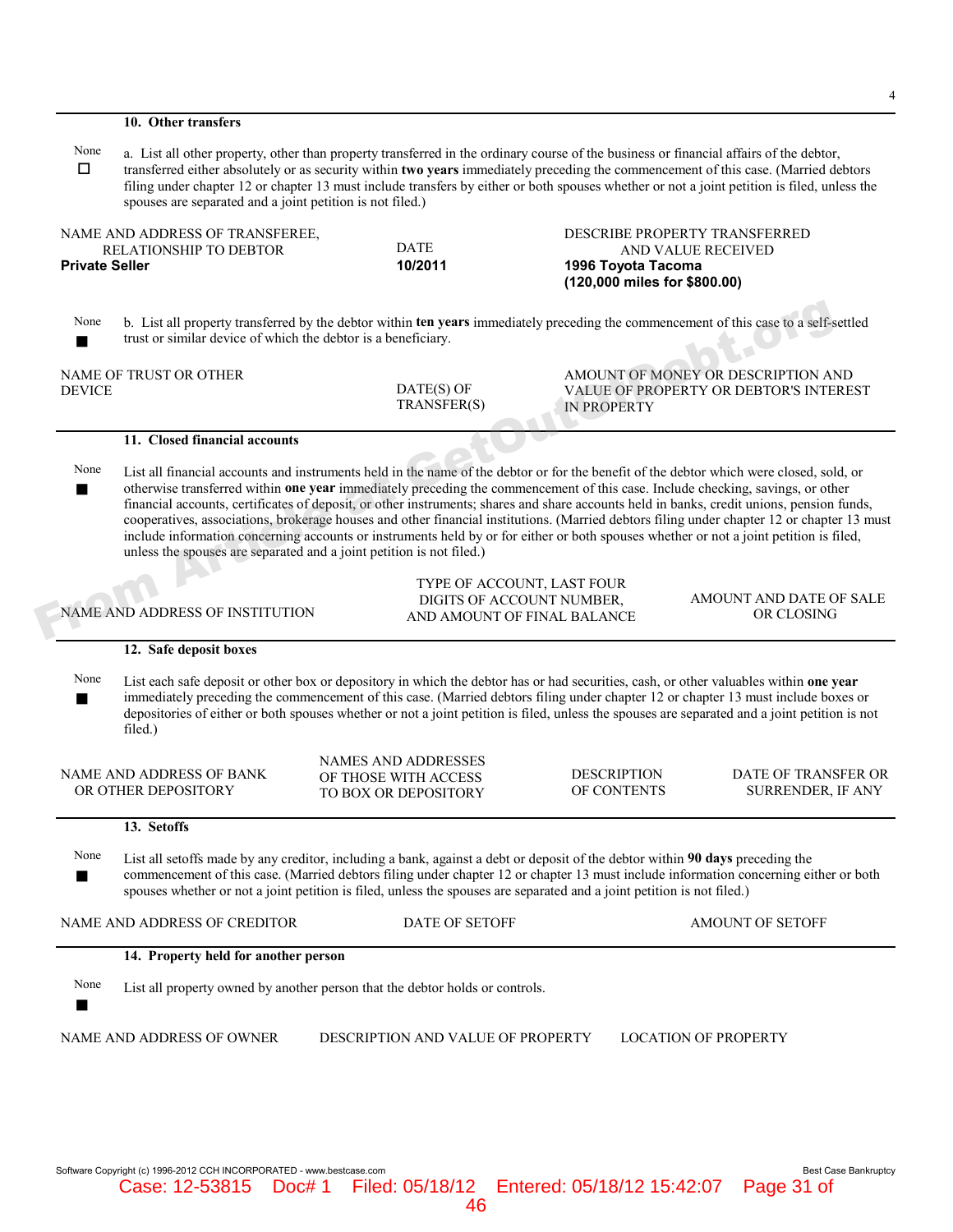#### **10. Other transfers**

None  $\Box$ a. List all other property, other than property transferred in the ordinary course of the business or financial affairs of the debtor, transferred either absolutely or as security within **two years** immediately preceding the commencement of this case. (Married debtors filing under chapter 12 or chapter 13 must include transfers by either or both spouses whether or not a joint petition is filed, unless the spouses are separated and a joint petition is not filed.)

| NAME AND ADDRESS OF TRANSFEREE. | DATE    | DESCRIBE PROPERTY TRANSFERRED |
|---------------------------------|---------|-------------------------------|
| <b>RELATIONSHIP TO DEBTOR</b>   |         | AND VALUE RECEIVED            |
| <b>Private Seller</b>           | 10/2011 | 1996 Toyota Tacoma            |
|                                 |         | (120,000 miles for \$800.00)  |

None b. List all property transferred by the debtor within **ten years** immediately preceding the commencement of this case to a self-settled trust or similar device of which the debtor is a beneficiary.

| NAME OF TRUST OR OTHER |                             | AMOUNT OF MONEY OR DESCRIPTION AND                    |
|------------------------|-----------------------------|-------------------------------------------------------|
| <b>DEVICE</b>          | $DATE(S)$ OF<br>TRANSFER(S) | VALUE OF PROPERTY OR DEBTOR'S INTEREST<br>IN PROPERTY |
|                        |                             |                                                       |

#### **11. Closed financial accounts**

None List all financial accounts and instruments held in the name of the debtor or for the benefit of the debtor which were closed, sold, or otherwise transferred within **one year** immediately preceding the commencement of this case. Include checking, savings, or other financial accounts, certificates of deposit, or other instruments; shares and share accounts held in banks, credit unions, pension funds, cooperatives, associations, brokerage houses and other financial institutions. (Married debtors filing under chapter 12 or chapter 13 must include information concerning accounts or instruments held by or for either or both spouses whether or not a joint petition is filed, unless the spouses are separated and a joint petition is not filed.) From B. List all property transferred by the debtor within ten years immediately preceding the commencement of this case to a self-s<br>
from the original device of which the debtor is a beneficiary.<br>
NAME OF TRUST OR OTHER<br>

|                        | <b>NAME AND ADDRESS OF INSTITUTION</b>                 | TYPE OF ACCOUNT, LAST FOUR<br>DIGITS OF ACCOUNT NUMBER,<br>AND AMOUNT OF FINAL BALANCE                                                                                                                                                                                                                                                                                                                                      |                                   | AMOUNT AND DATE OF SALE<br>OR CLOSING           |
|------------------------|--------------------------------------------------------|-----------------------------------------------------------------------------------------------------------------------------------------------------------------------------------------------------------------------------------------------------------------------------------------------------------------------------------------------------------------------------------------------------------------------------|-----------------------------------|-------------------------------------------------|
|                        | 12. Safe deposit boxes                                 |                                                                                                                                                                                                                                                                                                                                                                                                                             |                                   |                                                 |
| None<br>٠              | filed.)                                                | List each safe deposit or other box or depository in which the debtor has or had securities, cash, or other valuables within one year<br>immediately preceding the commencement of this case. (Married debtors filing under chapter 12 or chapter 13 must include boxes or<br>depositories of either or both spouses whether or not a joint petition is filed, unless the spouses are separated and a joint petition is not |                                   |                                                 |
|                        | <b>NAME AND ADDRESS OF BANK</b><br>OR OTHER DEPOSITORY | <b>NAMES AND ADDRESSES</b><br>OF THOSE WITH ACCESS<br>TO BOX OR DEPOSITORY                                                                                                                                                                                                                                                                                                                                                  | <b>DESCRIPTION</b><br>OF CONTENTS | DATE OF TRANSFER OR<br><b>SURRENDER, IF ANY</b> |
|                        | 13. Setoffs                                            |                                                                                                                                                                                                                                                                                                                                                                                                                             |                                   |                                                 |
| None<br>$\blacksquare$ |                                                        | List all setoffs made by any creditor, including a bank, against a debt or deposit of the debtor within <b>90 days</b> preceding the<br>commencement of this case. (Married debtors filing under chapter 12 or chapter 13 must include information concerning either or both<br>spouses whether or not a joint petition is filed, unless the spouses are separated and a joint petition is not filed.)                      |                                   |                                                 |
|                        | NAME AND ADDRESS OF CREDITOR                           | DATE OF SETOFF                                                                                                                                                                                                                                                                                                                                                                                                              |                                   | <b>AMOUNT OF SETOFF</b>                         |
|                        | 14. Property held for another person                   |                                                                                                                                                                                                                                                                                                                                                                                                                             |                                   |                                                 |
| None<br>■              |                                                        | List all property owned by another person that the debtor holds or controls.                                                                                                                                                                                                                                                                                                                                                |                                   |                                                 |
|                        | <b>NAME AND ADDRESS OF OWNER</b>                       | DESCRIPTION AND VALUE OF PROPERTY                                                                                                                                                                                                                                                                                                                                                                                           |                                   | <b>LOCATION OF PROPERTY</b>                     |
|                        |                                                        |                                                                                                                                                                                                                                                                                                                                                                                                                             |                                   |                                                 |
|                        |                                                        |                                                                                                                                                                                                                                                                                                                                                                                                                             |                                   |                                                 |

Software Copyright (c) 1996-2012 CCH INCORPORATED - www.bestcase.com **Best Case Bankruptcy** Best Case Bankruptcy Case: 12-53815 Doc# 1 Filed: 05/18/12 Entered: 05/18/12 15:42:07 Page 31 of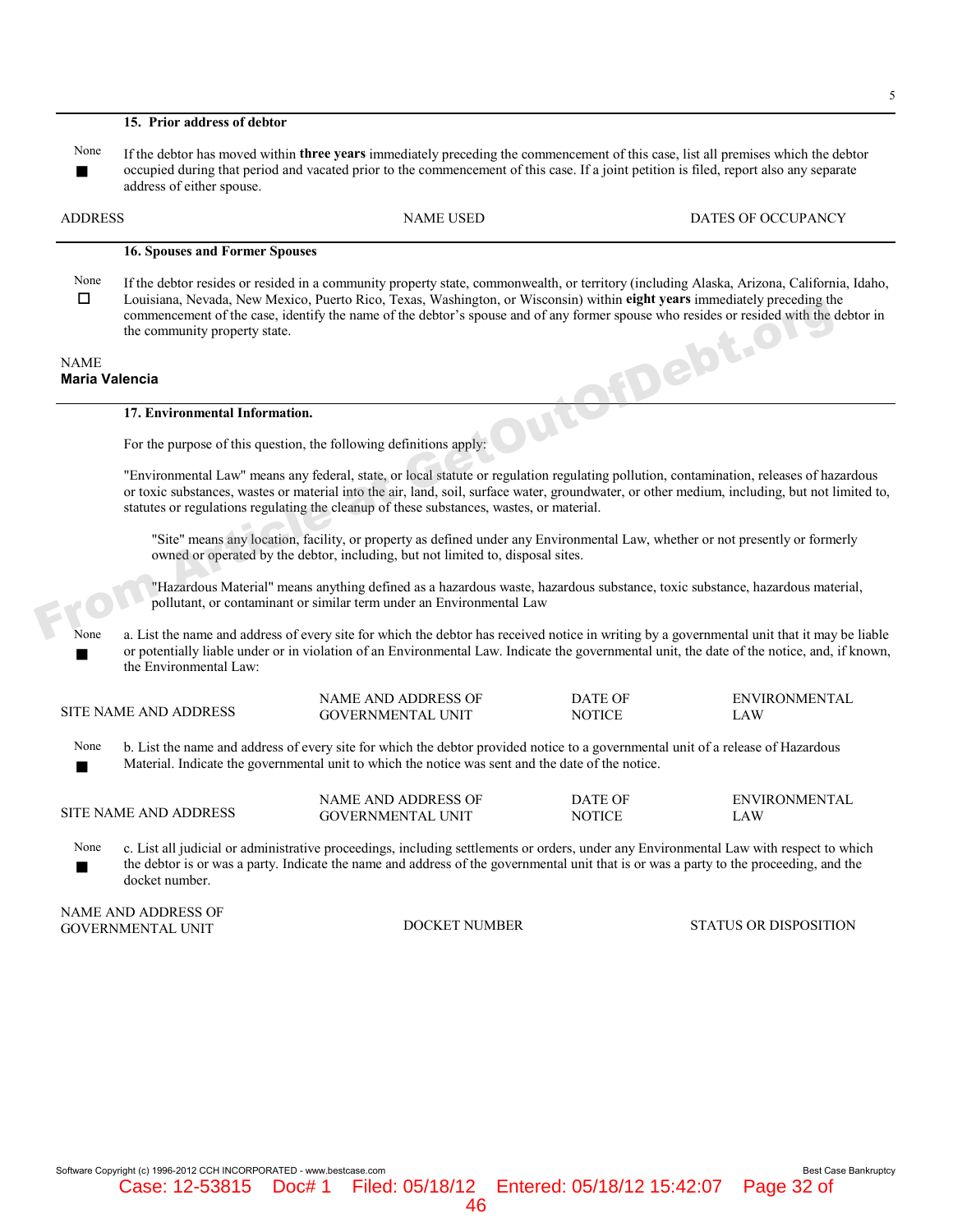| Software Copyright (c) 1996-2012 CCH INCORPORATED - www.bestcase.com |  |                                                                             | <b>Best Case Bankruptcy</b> |  |
|----------------------------------------------------------------------|--|-----------------------------------------------------------------------------|-----------------------------|--|
|                                                                      |  | Case: 12-53815 Doc# 1 Filed: 05/18/12 Entered: 05/18/12 15:42:07 Page 32 of |                             |  |

**15. Prior address of debtor**

|                               | address of either spouse.             |                                                                                                                                                                                                                                                                                                                                                                                                                 |                                 |                             |
|-------------------------------|---------------------------------------|-----------------------------------------------------------------------------------------------------------------------------------------------------------------------------------------------------------------------------------------------------------------------------------------------------------------------------------------------------------------------------------------------------------------|---------------------------------|-----------------------------|
| <b>ADDRESS</b>                |                                       | <b>NAME USED</b>                                                                                                                                                                                                                                                                                                                                                                                                |                                 | DATES OF OCCUPANCY          |
|                               | <b>16. Spouses and Former Spouses</b> |                                                                                                                                                                                                                                                                                                                                                                                                                 |                                 |                             |
| None<br>$\Box$                | the community property state.         | If the debtor resides or resided in a community property state, commonwealth, or territory (including Alaska, Arizona, California, Idaho,<br>Louisiana, Nevada, New Mexico, Puerto Rico, Texas, Washington, or Wisconsin) within eight years immediately preceding the<br>commencement of the case, identify the name of the debtor's spouse and of any former spouse who resides or resided with the debtor in |                                 |                             |
| <b>NAME</b><br>Maria Valencia |                                       |                                                                                                                                                                                                                                                                                                                                                                                                                 |                                 | 2fDebt.o                    |
|                               | 17. Environmental Information.        |                                                                                                                                                                                                                                                                                                                                                                                                                 |                                 |                             |
|                               |                                       | For the purpose of this question, the following definitions apply:                                                                                                                                                                                                                                                                                                                                              | JUE                             |                             |
|                               |                                       | "Environmental Law" means any federal, state, or local statute or regulation regulating pollution, contamination, releases of hazardous<br>or toxic substances, wastes or material into the air, land, soil, surface water, groundwater, or other medium, including, but not limited to,<br>statutes or regulations regulating the cleanup of these substances, wastes, or material.                            |                                 |                             |
|                               |                                       | "Site" means any location, facility, or property as defined under any Environmental Law, whether or not presently or formerly<br>owned or operated by the debtor, including, but not limited to, disposal sites.                                                                                                                                                                                                |                                 |                             |
|                               |                                       | "Hazardous Material" means anything defined as a hazardous waste, hazardous substance, toxic substance, hazardous material,<br>pollutant, or contaminant or similar term under an Environmental Law                                                                                                                                                                                                             |                                 |                             |
| None                          | the Environmental Law:                | a. List the name and address of every site for which the debtor has received notice in writing by a governmental unit that it may be liable<br>or potentially liable under or in violation of an Environmental Law. Indicate the governmental unit, the date of the notice, and, if known,                                                                                                                      |                                 |                             |
|                               |                                       |                                                                                                                                                                                                                                                                                                                                                                                                                 | <b>DATE OF</b>                  |                             |
|                               | SITE NAME AND ADDRESS                 | <b>NAME AND ADDRESS OF</b><br><b>GOVERNMENTAL UNIT</b>                                                                                                                                                                                                                                                                                                                                                          | <b>NOTICE</b>                   | <b>ENVIRONMENTAL</b><br>LAW |
| None<br>■                     |                                       | b. List the name and address of every site for which the debtor provided notice to a governmental unit of a release of Hazardous<br>Material. Indicate the governmental unit to which the notice was sent and the date of the notice.                                                                                                                                                                           |                                 |                             |
|                               | SITE NAME AND ADDRESS                 | NAME AND ADDRESS OF<br><b>GOVERNMENTAL UNIT</b>                                                                                                                                                                                                                                                                                                                                                                 | <b>DATE OF</b><br><b>NOTICE</b> | <b>ENVIRONMENTAL</b><br>LAW |
| None<br>■                     | docket number.                        | c. List all judicial or administrative proceedings, including settlements or orders, under any Environmental Law with respect to which<br>the debtor is or was a party. Indicate the name and address of the governmental unit that is or was a party to the proceeding, and the                                                                                                                                |                                 |                             |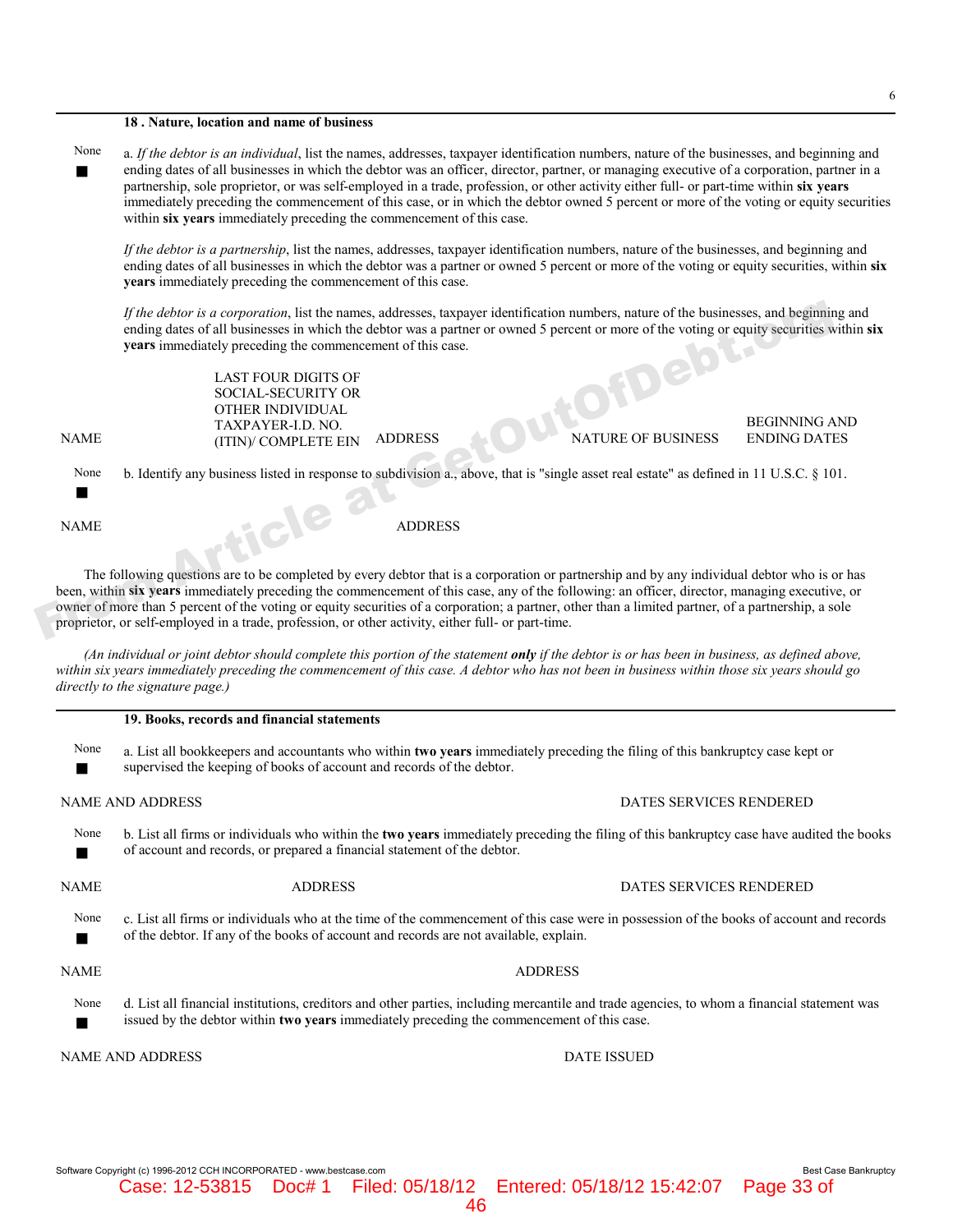#### **18 . Nature, location and name of business**

None a. *If the debtor is an individual*, list the names, addresses, taxpayer identification numbers, nature of the businesses, and beginning and ending dates of all businesses in which the debtor was an officer, director, partner, or managing executive of a corporation, partner in a partnership, sole proprietor, or was self-employed in a trade, profession, or other activity either full- or part-time within **six years** immediately preceding the commencement of this case, or in which the debtor owned 5 percent or more of the voting or equity securities within **six years** immediately preceding the commencement of this case.

*If the debtor is a partnership*, list the names, addresses, taxpayer identification numbers, nature of the businesses, and beginning and ending dates of all businesses in which the debtor was a partner or owned 5 percent or more of the voting or equity securities, within **six years** immediately preceding the commencement of this case.

*If the debtor is a corporation*, list the names, addresses, taxpayer identification numbers, nature of the businesses, and beginning and ending dates of all businesses in which the debtor was a partner or owned 5 percent or more of the voting or equity securities within **six years** immediately preceding the commencement of this case.

LAST FOUR DIGITS OF SOCIAL-SECURITY OR OTHER INDIVIDUAL TAXPAYER-I.D. NO. (ITIN)/ COMPLETE EIN ADDRESS

BEGINNING AND ENDING DATES

6

None b. Identify any business listed in response to subdivision a., above, that is "single asset real estate" as defined in 11 U.S.C. § 101.

NAME

NAME ADDRESS

The following questions are to be completed by every debtor that is a corporation or partnership and by any individual debtor who is or has been, within **six years** immediately preceding the commencement of this case, any of the following: an officer, director, managing executive, or owner of more than 5 percent of the voting or equity securities of a corporation; a partner, other than a limited partner, of a partnership, a sole proprietor, or self-employed in a trade, profession, or other activity, either full- or part-time. *If the debtor is a corporation*, list the names, addresses, taxpayer identification numbers, nature of the businesses, and beginnine ending dates of all businesses in which the debtor was a partner or owned 5 percent or m

*(An individual or joint debtor should complete this portion of the statement only if the debtor is or has been in business, as defined above, within six years immediately preceding the commencement of this case. A debtor who has not been in business within those six years should go directly to the signature page.)*

#### **19. Books, records and financial statements**

| one a. List all bookkeepers and accountants who within two years immediately preceding the filing of this bankruptcy case kept or |
|-----------------------------------------------------------------------------------------------------------------------------------|
| supervised the keeping of books of account and records of the debtor.                                                             |

None b. List all firms or individuals who within the **two years** immediately preceding the filing of this bankruptcy case have audited the books of account and records, or prepared a financial statement of the debtor.

NAME ADDRESS DATES SERVICES RENDERED

 $\overline{N}$ п

None c. List all firms or individuals who at the time of the commencement of this case were in possession of the books of account and records of the debtor. If any of the books of account and records are not available, explain.

None d. List all financial institutions, creditors and other parties, including mercantile and trade agencies, to whom a financial statement was issued by the debtor within **two years** immediately preceding the commencement of this case.

NAME AND ADDRESS DATE ISSUED

Software Copyright (c) 1996-2012 CCH INCORPORATED - www.bestcase.com Section 1997 1998-2012 CCH INCORPORATED - www.bestcase.com Section 1998-2012 CCH INCORPORATED - www.bestcase.com Section 1999-2012 CCH INCORPORATED - www

Case: 12-53815 Doc# 1 Filed: 05/18/12 Entered: 05/18/12 15:42:07 Page 33 of

#### NAME AND ADDRESS DATES SERVICES RENDERED

NAME ADDRESS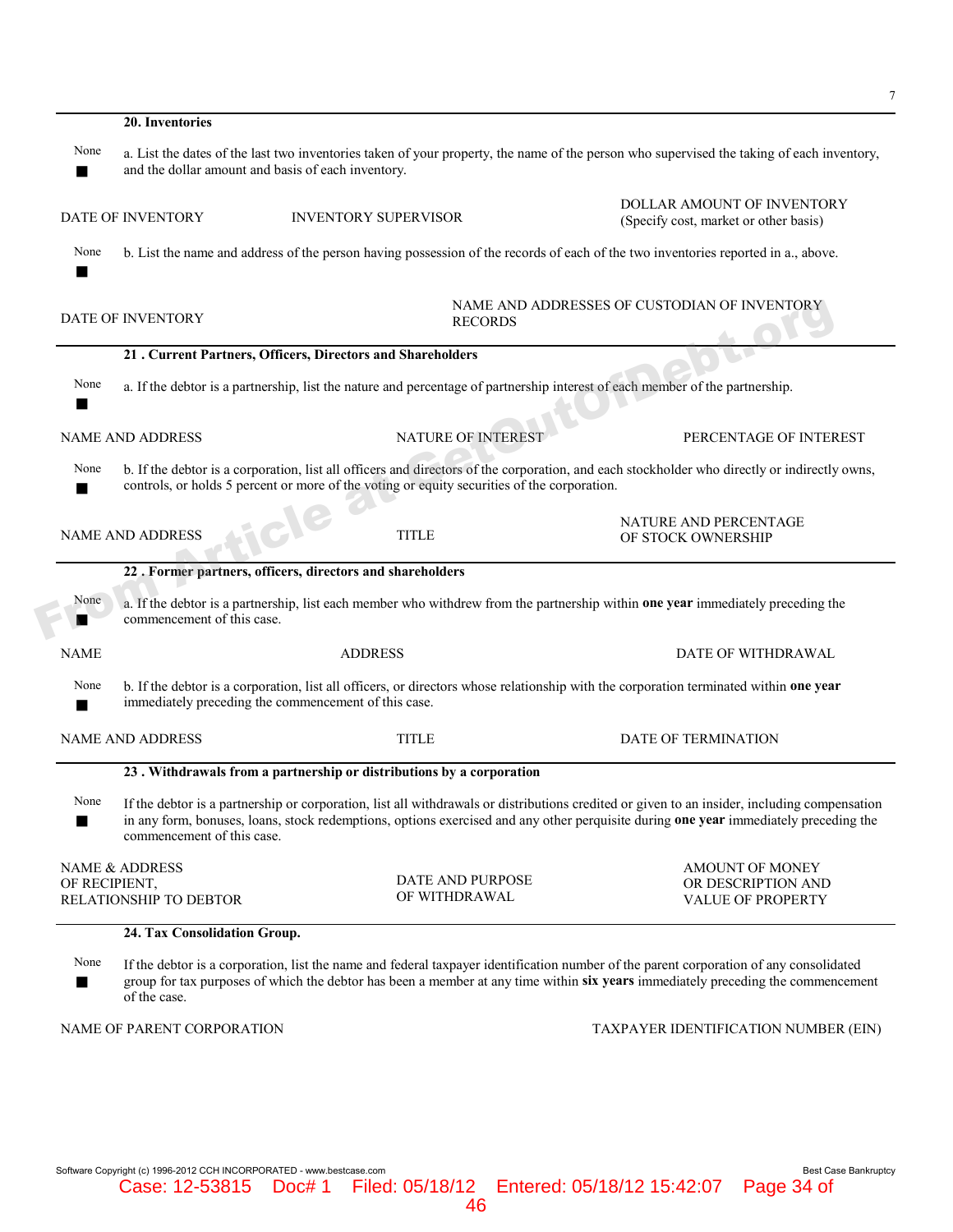|               | 20. Inventories                          |                                                                                                                                                                                               |                           |                                                                                                                                                                                                                                                                                      |
|---------------|------------------------------------------|-----------------------------------------------------------------------------------------------------------------------------------------------------------------------------------------------|---------------------------|--------------------------------------------------------------------------------------------------------------------------------------------------------------------------------------------------------------------------------------------------------------------------------------|
| None          |                                          | and the dollar amount and basis of each inventory.                                                                                                                                            |                           | a. List the dates of the last two inventories taken of your property, the name of the person who supervised the taking of each inventory,                                                                                                                                            |
|               | DATE OF INVENTORY                        | <b>INVENTORY SUPERVISOR</b>                                                                                                                                                                   |                           | DOLLAR AMOUNT OF INVENTORY<br>(Specify cost, market or other basis)                                                                                                                                                                                                                  |
| None          |                                          | b. List the name and address of the person having possession of the records of each of the two inventories reported in a., above.                                                             |                           |                                                                                                                                                                                                                                                                                      |
|               | DATE OF INVENTORY                        |                                                                                                                                                                                               | <b>RECORDS</b>            | NAME AND ADDRESSES OF CUSTODIAN OF INVENTORY                                                                                                                                                                                                                                         |
|               |                                          | 21. Current Partners, Officers, Directors and Shareholders                                                                                                                                    |                           |                                                                                                                                                                                                                                                                                      |
| None          |                                          | a. If the debtor is a partnership, list the nature and percentage of partnership interest of each member of the partnership.                                                                  |                           |                                                                                                                                                                                                                                                                                      |
|               | <b>NAME AND ADDRESS</b>                  |                                                                                                                                                                                               | <b>NATURE OF INTEREST</b> | PERCENTAGE OF INTEREST                                                                                                                                                                                                                                                               |
| None          |                                          | controls, or holds 5 percent or more of the voting or equity securities of the corporation.                                                                                                   |                           | b. If the debtor is a corporation, list all officers and directors of the corporation, and each stockholder who directly or indirectly owns,                                                                                                                                         |
|               | <b>NAME AND ADDRESS</b>                  | <b>TITLE</b>                                                                                                                                                                                  |                           | NATURE AND PERCENTAGE<br>OF STOCK OWNERSHIP                                                                                                                                                                                                                                          |
|               |                                          | 22. Former partners, officers, directors and shareholders                                                                                                                                     |                           |                                                                                                                                                                                                                                                                                      |
| None          | commencement of this case.               | a. If the debtor is a partnership, list each member who withdrew from the partnership within one year immediately preceding the                                                               |                           |                                                                                                                                                                                                                                                                                      |
| <b>NAME</b>   |                                          | <b>ADDRESS</b>                                                                                                                                                                                |                           | DATE OF WITHDRAWAL                                                                                                                                                                                                                                                                   |
| None          |                                          | b. If the debtor is a corporation, list all officers, or directors whose relationship with the corporation terminated within one year<br>immediately preceding the commencement of this case. |                           |                                                                                                                                                                                                                                                                                      |
|               | <b>NAME AND ADDRESS</b>                  | <b>TITLE</b>                                                                                                                                                                                  |                           | DATE OF TERMINATION                                                                                                                                                                                                                                                                  |
|               |                                          | 23. Withdrawals from a partnership or distributions by a corporation                                                                                                                          |                           |                                                                                                                                                                                                                                                                                      |
| None<br>٠     | commencement of this case.               |                                                                                                                                                                                               |                           | If the debtor is a partnership or corporation, list all withdrawals or distributions credited or given to an insider, including compensation<br>in any form, bonuses, loans, stock redemptions, options exercised and any other perquisite during one year immediately preceding the |
| OF RECIPIENT, | NAME & ADDRESS<br>RELATIONSHIP TO DEBTOR | OF WITHDRAWAL                                                                                                                                                                                 | DATE AND PURPOSE          | AMOUNT OF MONEY<br>OR DESCRIPTION AND<br><b>VALUE OF PROPERTY</b>                                                                                                                                                                                                                    |
|               | 24. Tax Consolidation Group.             |                                                                                                                                                                                               |                           |                                                                                                                                                                                                                                                                                      |
| None<br>■     | of the case.                             |                                                                                                                                                                                               |                           | If the debtor is a corporation, list the name and federal taxpayer identification number of the parent corporation of any consolidated<br>group for tax purposes of which the debtor has been a member at any time within six years immediately preceding the commencement           |
|               | NAME OF PARENT CORPORATION               |                                                                                                                                                                                               |                           | TAXPAYER IDENTIFICATION NUMBER (EIN)                                                                                                                                                                                                                                                 |
|               |                                          |                                                                                                                                                                                               |                           |                                                                                                                                                                                                                                                                                      |

Software Copyright (c) 1996-2012 CCH INCORPORATED - www.bestcase.com **Best Case Bankruptcy متصور Best Case: 12-53815 Doc# 1 Filed: 05/18/12 Entered: 05/18/12 15:42:07 Page 34 of**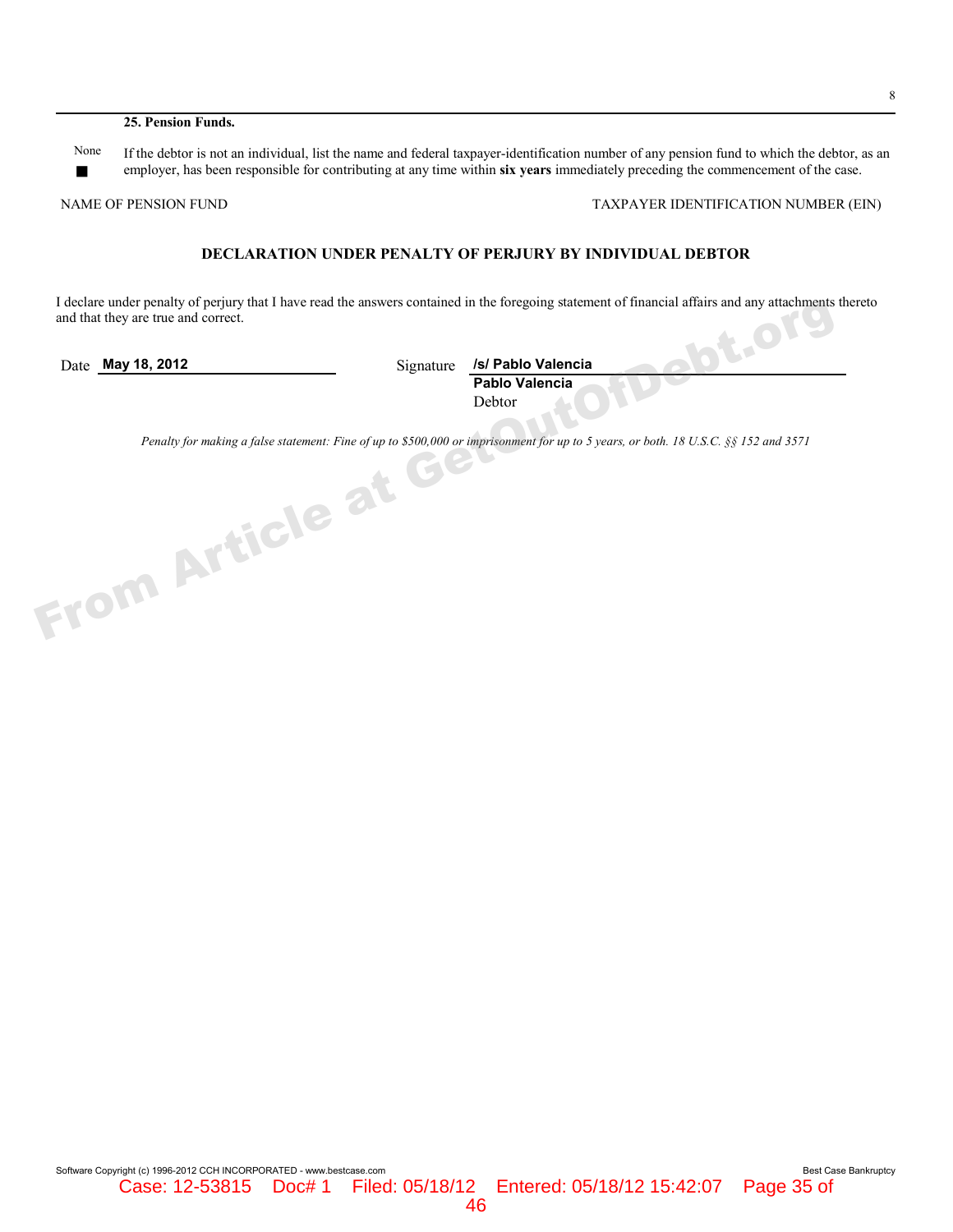**25. Pension Funds.**

#### None If the debtor is not an individual, list the name and federal taxpayer-identification number of any pension fund to which the debtor, as an employer, has been responsible for contributing at any time within **six years** immediately preceding the commencement of the case.

NAME OF PENSION FUND TAXPAYER IDENTIFICATION NUMBER (EIN)

#### **DECLARATION UNDER PENALTY OF PERJURY BY INDIVIDUAL DEBTOR**

I declare under penalty of perjury that I have read the answers contained in the foregoing statement of financial affairs and any attachments thereto and that they are true and correct.

Date **May 18, 2012** Signature **/s/ Pablo Valencia Pablo Valencia**

Debtor

*Penalty for making a false statement: Fine of up to \$500,000 or imprisonment for up to 5 years, or both. 18 U.S.C. §§ 152 and 3571* Date May 18, 2012<br>
Signature *Isl* Pablo Valencia<br>
Penalty for making a false statement: Fine of up to \$500,000 or imprisonment for up to \$years, or both. 18 U.S.C. §§ 152 and.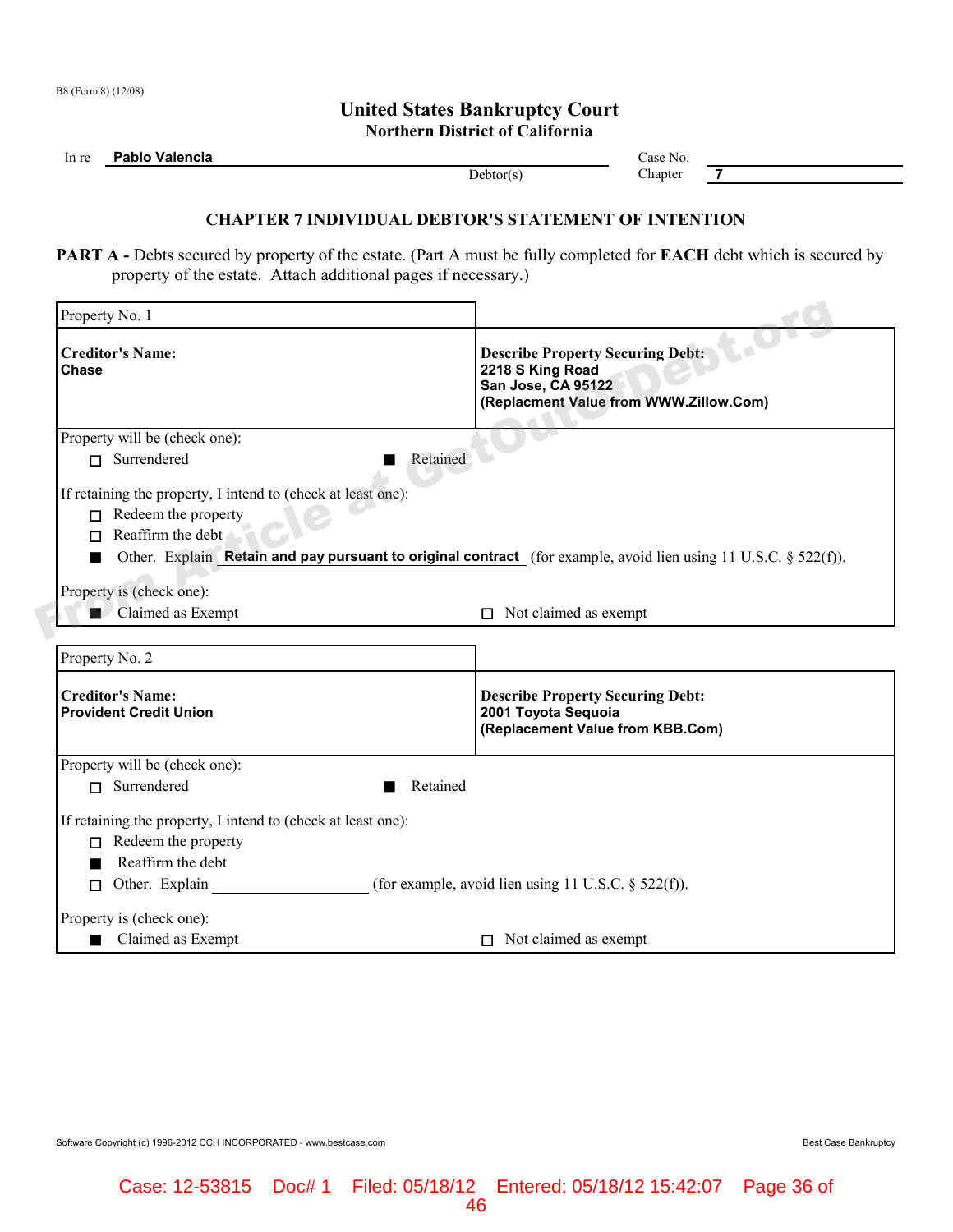In re **Pablo Valencia** Case No. **Case No. Case No. Case No. Case No. Case No. Chapter** 

Debtor(s) Chapter **7** 

## **CHAPTER 7 INDIVIDUAL DEBTOR'S STATEMENT OF INTENTION**

**PART A** - Debts secured by property of the estate. (Part A must be fully completed for **EACH** debt which is secured by property of the estate. Attach additional pages if necessary.)

| Property No. 1                                                                                                  |                                                                                                                             |
|-----------------------------------------------------------------------------------------------------------------|-----------------------------------------------------------------------------------------------------------------------------|
| <b>Creditor's Name:</b><br>Chase                                                                                | <b>Describe Property Securing Debt:</b><br>2218 S King Road<br>San Jose, CA 95122<br>(Replacment Value from WWW.Zillow.Com) |
| Property will be (check one):                                                                                   |                                                                                                                             |
| $\Box$ Surrendered                                                                                              | Retained                                                                                                                    |
| If retaining the property, I intend to (check at least one):<br>$\Box$ Redeem the property<br>Reaffirm the debt | Other. Explain Retain and pay pursuant to original contract (for example, avoid lien using 11 U.S.C. $\S$ 522(f)).          |
| Property is (check one):                                                                                        |                                                                                                                             |
| Claimed as Exempt                                                                                               | Not claimed as exempt<br>п                                                                                                  |
|                                                                                                                 |                                                                                                                             |
| Property No. 2                                                                                                  |                                                                                                                             |
| <b>Creditor's Name:</b><br><b>Provident Credit Union</b>                                                        | <b>Describe Property Securing Debt:</b><br>2001 Toyota Sequoia<br>(Replacement Value from KBB.Com)                          |
| Property will be (check one):                                                                                   |                                                                                                                             |
| $\Box$ Surrendered                                                                                              | Retained                                                                                                                    |
| If retaining the property, I intend to (check at least one):                                                    |                                                                                                                             |
| $\Box$ Redeem the property                                                                                      |                                                                                                                             |
|                                                                                                                 |                                                                                                                             |
| Reaffirm the debt                                                                                               |                                                                                                                             |
| Other. Explain<br>П.                                                                                            | (for example, avoid lien using 11 U.S.C. $\S$ 522(f)).                                                                      |
| Property is (check one):                                                                                        |                                                                                                                             |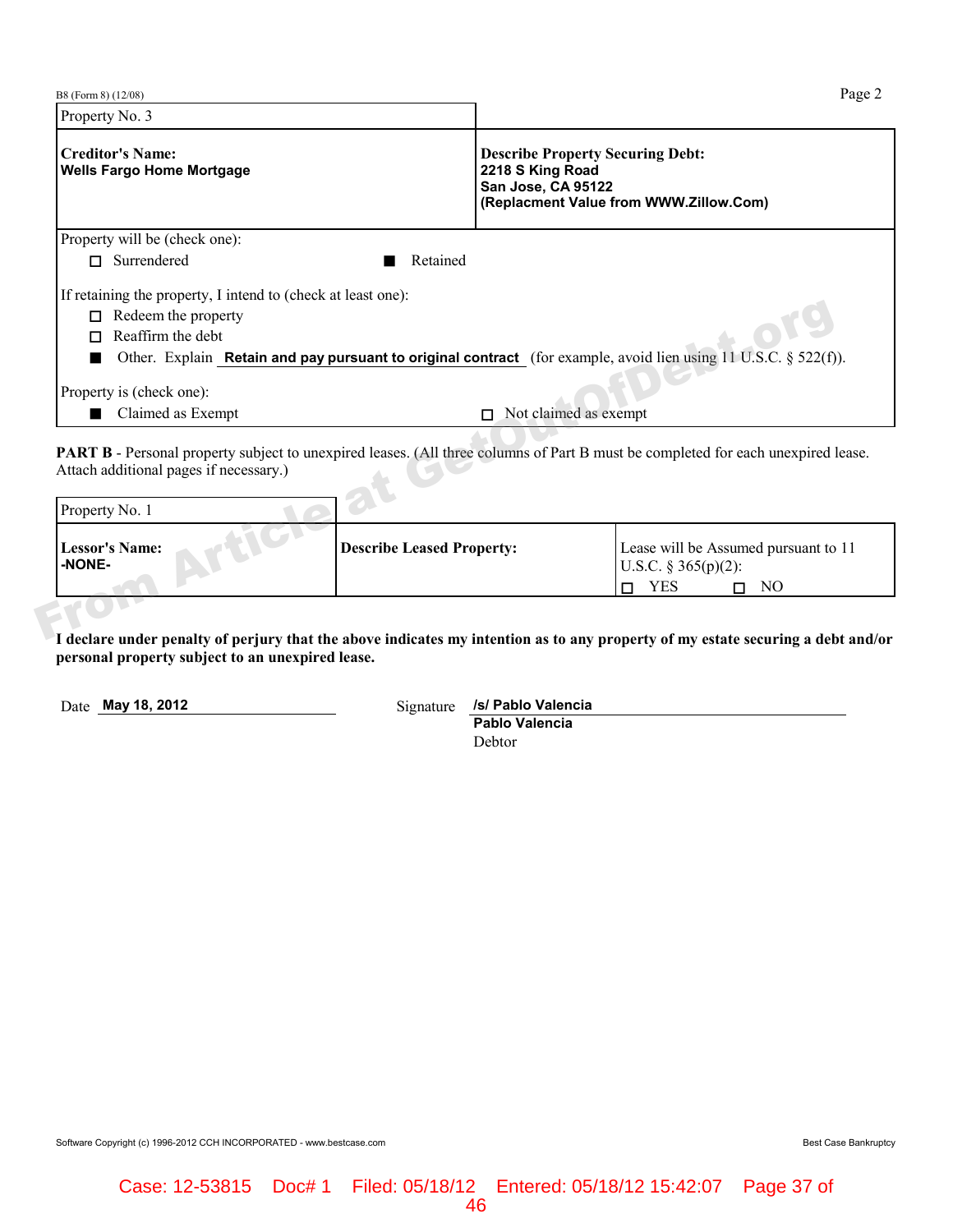|                                                              |          | Page 2                                                                                                                                  |  |
|--------------------------------------------------------------|----------|-----------------------------------------------------------------------------------------------------------------------------------------|--|
| Property No. 3                                               |          |                                                                                                                                         |  |
| <b>Creditor's Name:</b><br><b>Wells Fargo Home Mortgage</b>  |          | <b>Describe Property Securing Debt:</b><br>2218 S King Road<br>San Jose, CA 95122<br>(Replacment Value from WWW.Zillow.Com)             |  |
| Property will be (check one):                                |          |                                                                                                                                         |  |
| $\Box$ Surrendered                                           | Retained |                                                                                                                                         |  |
| If retaining the property, I intend to (check at least one): |          |                                                                                                                                         |  |
| $\Box$ Redeem the property                                   |          |                                                                                                                                         |  |
| Reaffirm the debt<br>п                                       |          |                                                                                                                                         |  |
|                                                              |          | Other. Explain Retain and pay pursuant to original contract (for example, avoid lien using 11 U.S.C. $\S$ 522(f)).                      |  |
| Property is (check one):                                     |          |                                                                                                                                         |  |
|                                                              |          |                                                                                                                                         |  |
|                                                              |          |                                                                                                                                         |  |
| Claimed as Exempt                                            |          | Not claimed as exempt<br>$\Box$                                                                                                         |  |
| Attach additional pages if necessary.)<br>Property No. 1     |          | <b>PART B</b> - Personal property subject to unexpired leases. (All three columns of Part B must be completed for each unexpired lease. |  |

| Property No. 1                          |                                  |                                                                          |
|-----------------------------------------|----------------------------------|--------------------------------------------------------------------------|
| <b>Lessor's Name:</b><br><b>I-NONE-</b> | <b>Describe Leased Property:</b> | Lease will be Assumed pursuant to 11<br>U.S.C. § 365(p)(2):<br>YES<br>NO |

**I declare under penalty of perjury that the above indicates my intention as to any property of my estate securing a debt and/or personal property subject to an unexpired lease.**

Date May 18, 2012 **Signature** *Signature Signature Signature Signature Signature May 18, 2012* **<b>***Signature Signature May 18, 2012 May 18, 2012* **<b>***May 18, 2012 May 18, 2013*

**Pablo Valencia** Debtor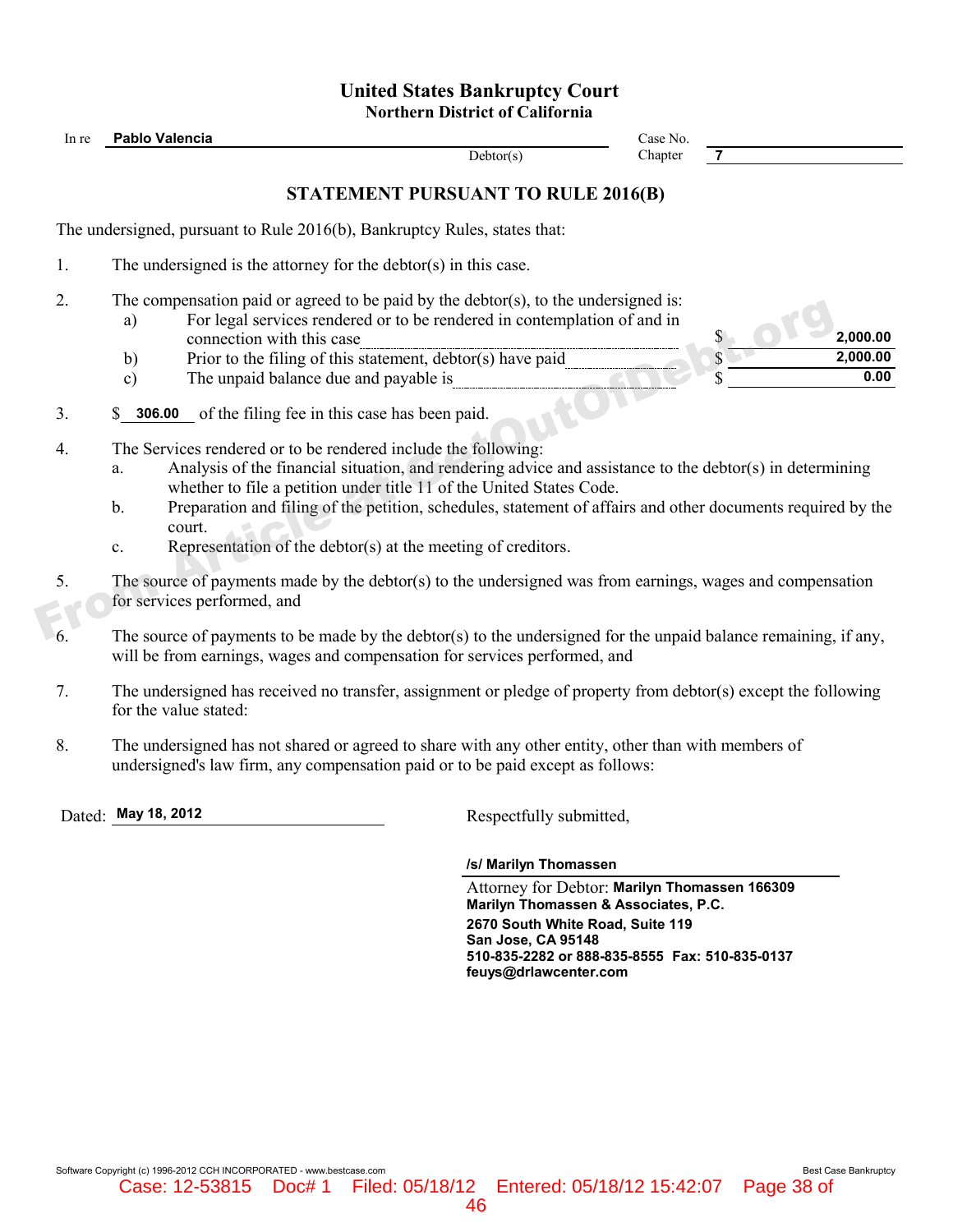| In re | <b>Pablo Valencia</b>                                                                                                                                                                                                                                                                                                                                                                                                                                                                 | Case No. |                        |
|-------|---------------------------------------------------------------------------------------------------------------------------------------------------------------------------------------------------------------------------------------------------------------------------------------------------------------------------------------------------------------------------------------------------------------------------------------------------------------------------------------|----------|------------------------|
|       | Dektor(s)                                                                                                                                                                                                                                                                                                                                                                                                                                                                             | Chapter  | -7                     |
|       | <b>STATEMENT PURSUANT TO RULE 2016(B)</b>                                                                                                                                                                                                                                                                                                                                                                                                                                             |          |                        |
|       | The undersigned, pursuant to Rule 2016(b), Bankruptcy Rules, states that:                                                                                                                                                                                                                                                                                                                                                                                                             |          |                        |
| 1.    | The undersigned is the attorney for the debtor(s) in this case.                                                                                                                                                                                                                                                                                                                                                                                                                       |          |                        |
| 2.    | The compensation paid or agreed to be paid by the debtor(s), to the undersigned is:<br>For legal services rendered or to be rendered in contemplation of and in<br>a)<br>connection with this case                                                                                                                                                                                                                                                                                    |          | 2,000.00               |
|       | Prior to the filing of this statement, $\frac{d}{dt}$ debtor(s) have paid<br>b)<br>The unpaid balance due and payable is<br>$\mathbf{c})$                                                                                                                                                                                                                                                                                                                                             |          | 2,000.00<br>0.00<br>\$ |
| 3.    | <b>306.00</b> of the filing fee in this case has been paid.<br>S.                                                                                                                                                                                                                                                                                                                                                                                                                     |          |                        |
| 4.    | The Services rendered or to be rendered include the following:<br>Analysis of the financial situation, and rendering advice and assistance to the debtor(s) in determining<br>a.<br>whether to file a petition under title 11 of the United States Code.<br>Preparation and filing of the petition, schedules, statement of affairs and other documents required by the<br>$\mathbf{b}$ .<br>court.<br>Representation of the debtor(s) at the meeting of creditors.<br>$\mathbf{c}$ . |          |                        |
| 5.    | The source of payments made by the debtor(s) to the undersigned was from earnings, wages and compensation<br>for services performed, and                                                                                                                                                                                                                                                                                                                                              |          |                        |
|       | The source of payments to be made by the debtor(s) to the undersigned for the unpaid balance remaining, if any                                                                                                                                                                                                                                                                                                                                                                        |          |                        |

- b. Preparation and filing of the petition, schedules, statement of affairs and other documents required by the court.
- c. Representation of the debtor(s) at the meeting of creditors.
- 5. The source of payments made by the debtor(s) to the undersigned was from earnings, wages and compensation for services performed, and
- 6. The source of payments to be made by the debtor(s) to the undersigned for the unpaid balance remaining, if any, will be from earnings, wages and compensation for services performed, and
- 7. The undersigned has received no transfer, assignment or pledge of property from debtor(s) except the following for the value stated:
- 8. The undersigned has not shared or agreed to share with any other entity, other than with members of undersigned's law firm, any compensation paid or to be paid except as follows:

Dated: May 18, 2012 **Respectfully submitted**,

**/s/ Marilyn Thomassen**

Attorney for Debtor: **Marilyn Thomassen 166309 Marilyn Thomassen & Associates, P.C. 2670 South White Road, Suite 119 San Jose, CA 95148 510-835-2282 or 888-835-8555 Fax: 510-835-0137 feuys@drlawcenter.com**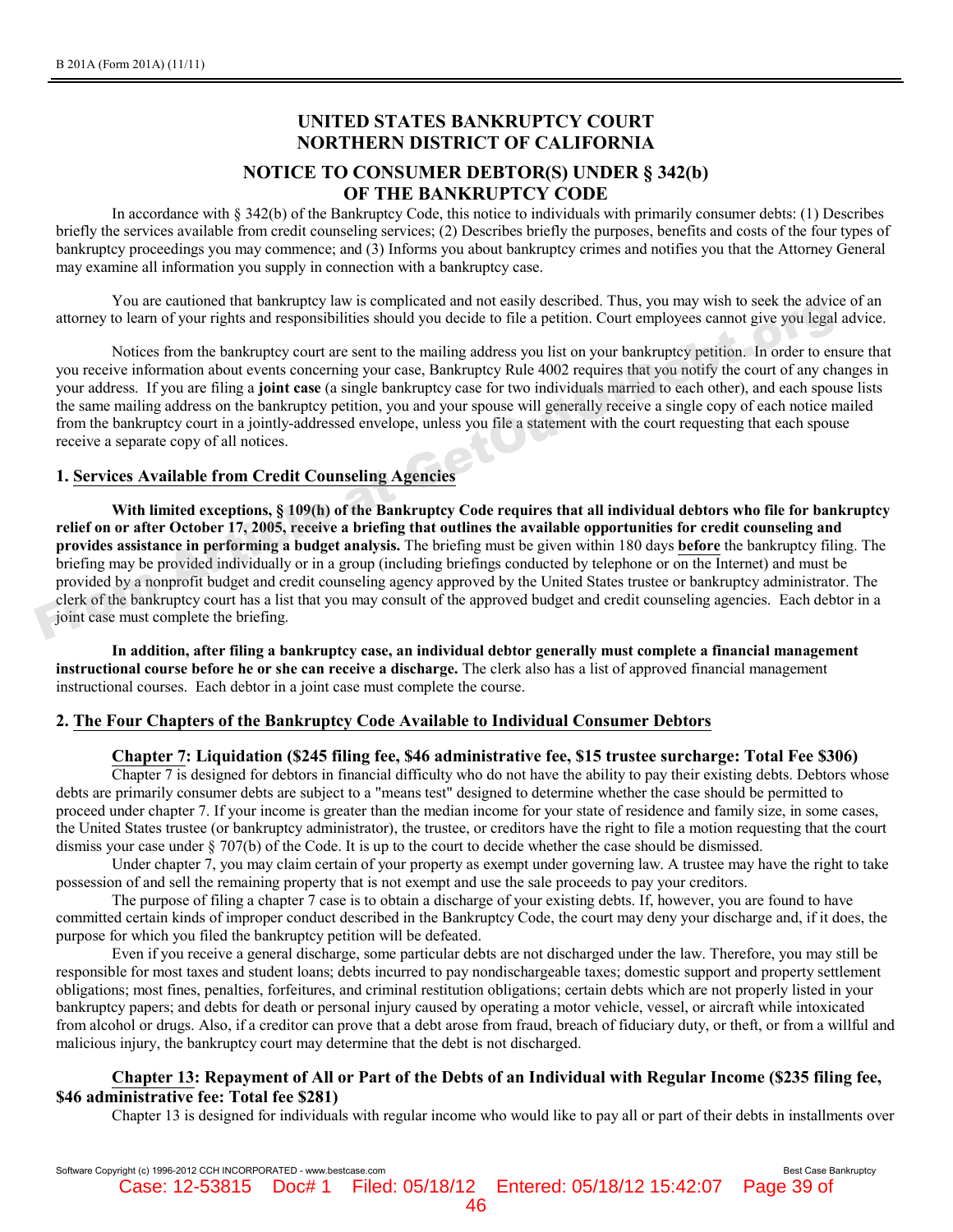# **UNITED STATES BANKRUPTCY COURT NORTHERN DISTRICT OF CALIFORNIA NOTICE TO CONSUMER DEBTOR(S) UNDER § 342(b)**

## **OF THE BANKRUPTCY CODE**

In accordance with § 342(b) of the Bankruptcy Code, this notice to individuals with primarily consumer debts: (1) Describes briefly the services available from credit counseling services; (2) Describes briefly the purposes, benefits and costs of the four types of bankruptcy proceedings you may commence; and (3) Informs you about bankruptcy crimes and notifies you that the Attorney General may examine all information you supply in connection with a bankruptcy case.

You are cautioned that bankruptcy law is complicated and not easily described. Thus, you may wish to seek the advice of an attorney to learn of your rights and responsibilities should you decide to file a petition. Court employees cannot give you legal advice.

Notices from the bankruptcy court are sent to the mailing address you list on your bankruptcy petition. In order to ensure that you receive information about events concerning your case, Bankruptcy Rule 4002 requires that you notify the court of any changes in your address. If you are filing a **joint case** (a single bankruptcy case for two individuals married to each other), and each spouse lists the same mailing address on the bankruptcy petition, you and your spouse will generally receive a single copy of each notice mailed from the bankruptcy court in a jointly-addressed envelope, unless you file a statement with the court requesting that each spouse receive a separate copy of all notices.

## **1. Services Available from Credit Counseling Agencies**

**With limited exceptions, § 109(h) of the Bankruptcy Code requires that all individual debtors who file for bankruptcy relief on or after October 17, 2005, receive a briefing that outlines the available opportunities for credit counseling and provides assistance in performing a budget analysis.** The briefing must be given within 180 days **before** the bankruptcy filing. The briefing may be provided individually or in a group (including briefings conducted by telephone or on the Internet) and must be provided by a nonprofit budget and credit counseling agency approved by the United States trustee or bankruptcy administrator. The clerk of the bankruptcy court has a list that you may consult of the approved budget and credit counseling agencies. Each debtor in a joint case must complete the briefing. For the Galactoned that ballad type with something that be the search of the search of the search of the search of the and the search of the search of the search of the search of the search of the search of the period. In

**In addition, after filing a bankruptcy case, an individual debtor generally must complete a financial management instructional course before he or she can receive a discharge.** The clerk also has a list of approved financial management instructional courses. Each debtor in a joint case must complete the course.

## **2. The Four Chapters of the Bankruptcy Code Available to Individual Consumer Debtors**

## **Chapter 7: Liquidation (\$245 filing fee, \$46 administrative fee, \$15 trustee surcharge: Total Fee \$306)**

Chapter 7 is designed for debtors in financial difficulty who do not have the ability to pay their existing debts. Debtors whose debts are primarily consumer debts are subject to a "means test" designed to determine whether the case should be permitted to proceed under chapter 7. If your income is greater than the median income for your state of residence and family size, in some cases, the United States trustee (or bankruptcy administrator), the trustee, or creditors have the right to file a motion requesting that the court dismiss your case under § 707(b) of the Code. It is up to the court to decide whether the case should be dismissed.

Under chapter 7, you may claim certain of your property as exempt under governing law. A trustee may have the right to take possession of and sell the remaining property that is not exempt and use the sale proceeds to pay your creditors.

The purpose of filing a chapter 7 case is to obtain a discharge of your existing debts. If, however, you are found to have committed certain kinds of improper conduct described in the Bankruptcy Code, the court may deny your discharge and, if it does, the purpose for which you filed the bankruptcy petition will be defeated.

Even if you receive a general discharge, some particular debts are not discharged under the law. Therefore, you may still be responsible for most taxes and student loans; debts incurred to pay nondischargeable taxes; domestic support and property settlement obligations; most fines, penalties, forfeitures, and criminal restitution obligations; certain debts which are not properly listed in your bankruptcy papers; and debts for death or personal injury caused by operating a motor vehicle, vessel, or aircraft while intoxicated from alcohol or drugs. Also, if a creditor can prove that a debt arose from fraud, breach of fiduciary duty, or theft, or from a willful and malicious injury, the bankruptcy court may determine that the debt is not discharged.

## **Chapter 13: Repayment of All or Part of the Debts of an Individual with Regular Income (\$235 filing fee, \$46 administrative fee: Total fee \$281)**

Chapter 13 is designed for individuals with regular income who would like to pay all or part of their debts in installments over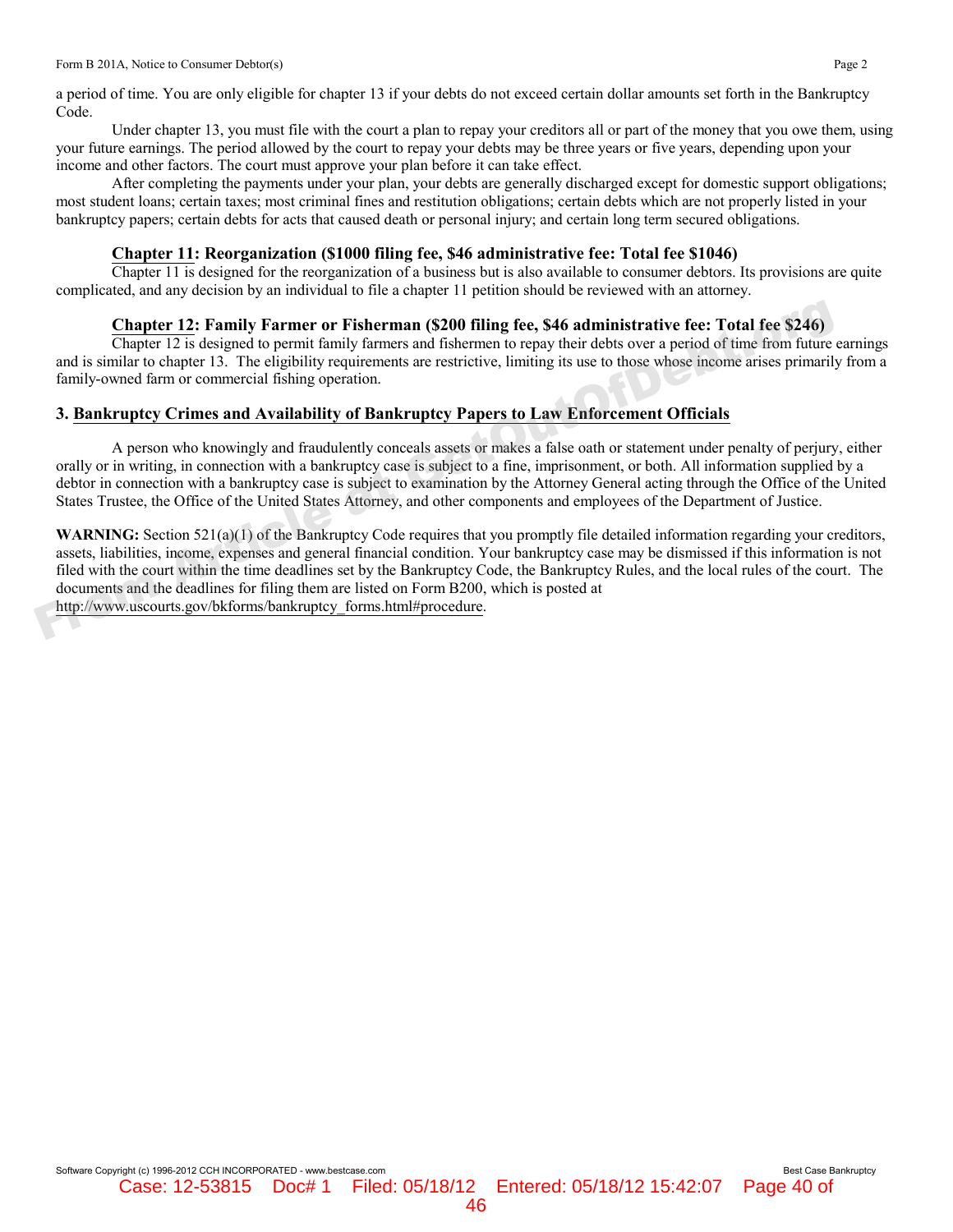a period of time. You are only eligible for chapter 13 if your debts do not exceed certain dollar amounts set forth in the Bankruptcy Code.

Under chapter 13, you must file with the court a plan to repay your creditors all or part of the money that you owe them, using your future earnings. The period allowed by the court to repay your debts may be three years or five years, depending upon your income and other factors. The court must approve your plan before it can take effect.

After completing the payments under your plan, your debts are generally discharged except for domestic support obligations; most student loans; certain taxes; most criminal fines and restitution obligations; certain debts which are not properly listed in your bankruptcy papers; certain debts for acts that caused death or personal injury; and certain long term secured obligations.

## **Chapter 11: Reorganization (\$1000 filing fee, \$46 administrative fee: Total fee \$1046)**

Chapter 11 is designed for the reorganization of a business but is also available to consumer debtors. Its provisions are quite complicated, and any decision by an individual to file a chapter 11 petition should be reviewed with an attorney.

## **Chapter 12: Family Farmer or Fisherman (\$200 filing fee, \$46 administrative fee: Total fee \$246)**

Chapter 12 is designed to permit family farmers and fishermen to repay their debts over a period of time from future earnings and is similar to chapter 13. The eligibility requirements are restrictive, limiting its use to those whose income arises primarily from a family-owned farm or commercial fishing operation.

## **3. Bankruptcy Crimes and Availability of Bankruptcy Papers to Law Enforcement Officials**

A person who knowingly and fraudulently conceals assets or makes a false oath or statement under penalty of perjury, either orally or in writing, in connection with a bankruptcy case is subject to a fine, imprisonment, or both. All information supplied by a debtor in connection with a bankruptcy case is subject to examination by the Attorney General acting through the Office of the United States Trustee, the Office of the United States Attorney, and other components and employees of the Department of Justice.

**WARNING:** Section 521(a)(1) of the Bankruptcy Code requires that you promptly file detailed information regarding your creditors, assets, liabilities, income, expenses and general financial condition. Your bankruptcy case may be dismissed if this information is not filed with the court within the time deadlines set by the Bankruptcy Code, the Bankruptcy Rules, and the local rules of the court. The documents and the deadlines for filing them are listed on Form B200, which is posted at http://www.uscourts.gov/bkforms/bankruptcy\_forms.html#procedure. **Chapter 12: Family Farmer or Fisherman (\$200 filing fee, \$46 administrative fee: Total fee \$246)**<br>Chapter 12 is designed to permit family farmers and fishermen to repay their debts over a period of time from future and i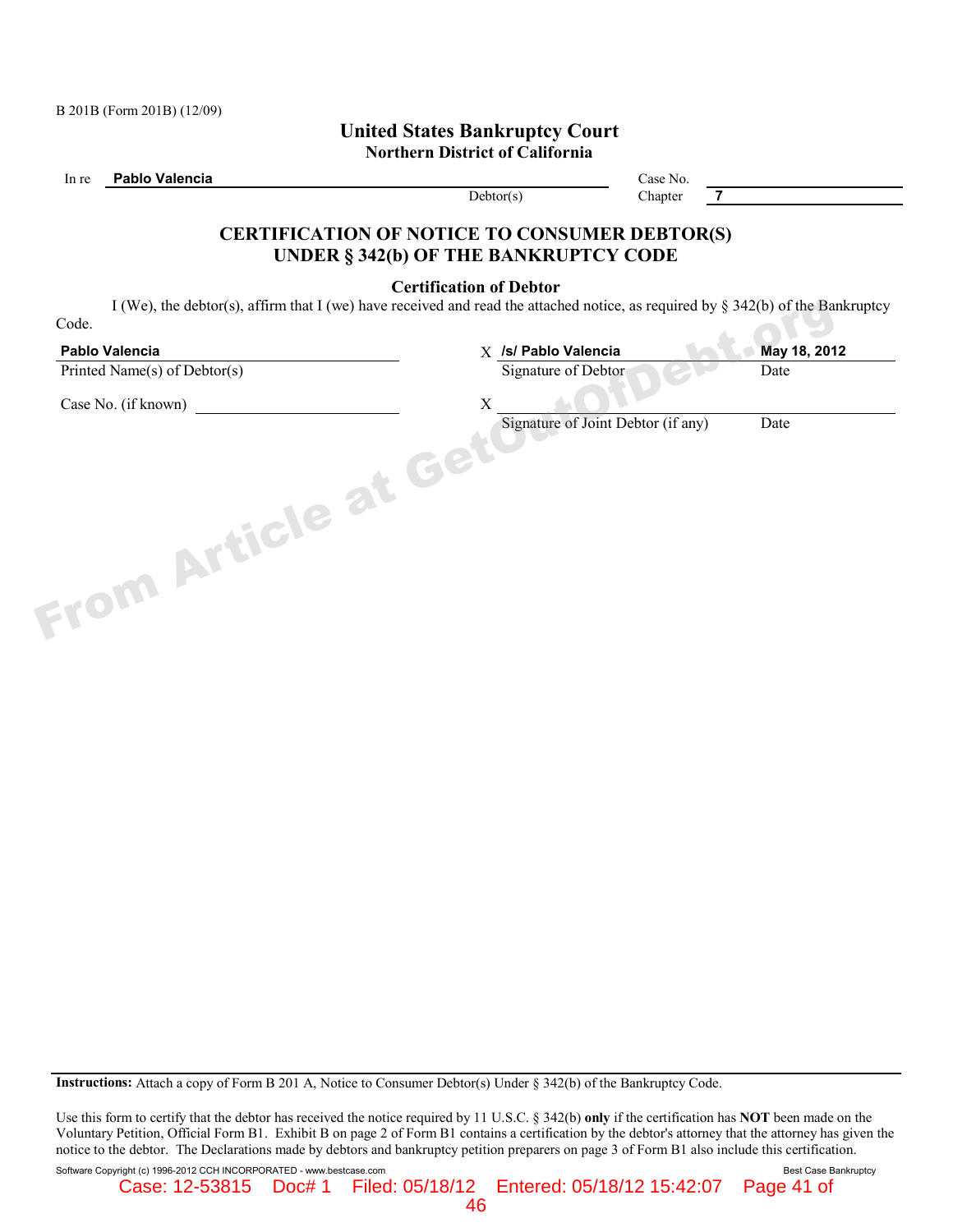In re **Pablo Valencia** Case No.

Debtor(s) Chapter **7** 

# **CERTIFICATION OF NOTICE TO CONSUMER DEBTOR(S) UNDER § 342(b) OF THE BANKRUPTCY CODE**

**Certification of Debtor**

I (We), the debtor(s), affirm that I (we) have received and read the attached notice, as required by  $\S 342(b)$  of the Bankruptcy Code.

| Pablo Valencia               | /s/ Pablo Valencia<br>X            | May 18, 2012 |
|------------------------------|------------------------------------|--------------|
| Printed Name(s) of Debtor(s) | Signature of Debtor                | Date         |
| Case No. (if known)          | Χ                                  |              |
|                              | Signature of Joint Debtor (if any) | Date         |
|                              |                                    |              |
| Article at                   |                                    |              |
|                              |                                    |              |
|                              |                                    |              |
|                              |                                    |              |
| Erom                         |                                    |              |

**Instructions:** Attach a copy of Form B 201 A, Notice to Consumer Debtor(s) Under § 342(b) of the Bankruptcy Code.

Use this form to certify that the debtor has received the notice required by 11 U.S.C. § 342(b) **only** if the certification has **NOT** been made on the Voluntary Petition, Official Form B1. Exhibit B on page 2 of Form B1 contains a certification by the debtor's attorney that the attorney has given the notice to the debtor. The Declarations made by debtors and bankruptcy petition preparers on page 3 of Form B1 also include this certification.

Software Copyright (c) 1996-2012 CCH INCORPORATED - www.bestcase.com **Best Case Bankruptcy** Best Case Bankruptcy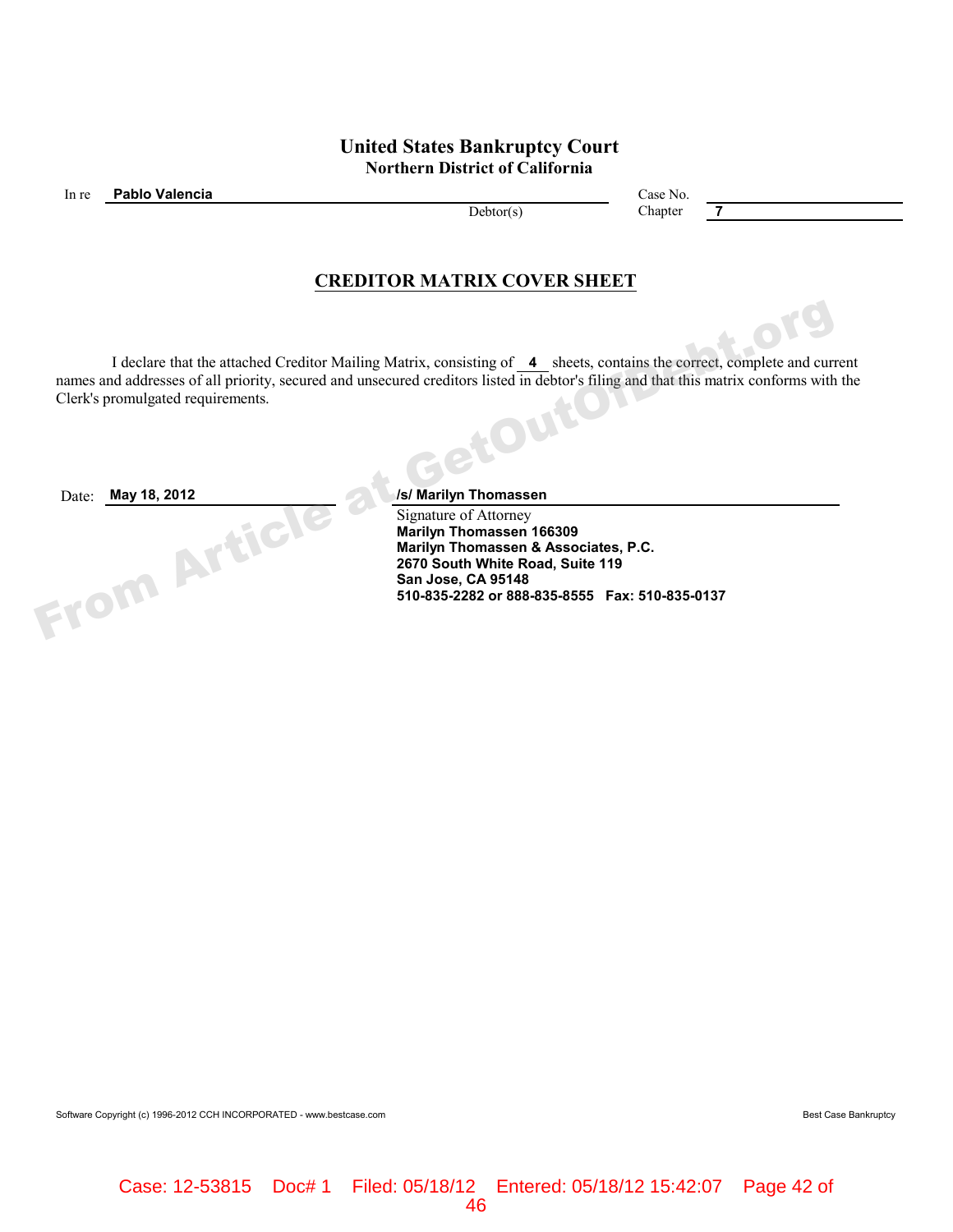In re **Pablo Valencia** Case No.

Debtor(s) Chapter **7** 

## **CREDITOR MATRIX COVER SHEET**

I declare that the attached Creditor Mailing Matrix, consisting of **4** sheets, contains the correct, complete and current names and addresses of all priority, secured and unsecured creditors listed in debtor's filing and that this matrix conforms with the Clerk's promulgated requirements. I declare that the attached Creditor Mailing Matrix, consisting of **4** sheets, contains the correct, complete and current clerk's promulgated requirements.<br>
Clerk's promulgated requirements.<br>
Date: **May 18, 2012**<br> **Date:**

Date: **May 18, 2012** *Marilyn Thomassen* 

Signature of Attorney **Marilyn Thomassen 166309 Marilyn Thomassen & Associates, P.C. 2670 South White Road, Suite 119 San Jose, CA 95148 510-835-2282 or 888-835-8555 Fax: 510-835-0137**

Software Copyright (c) 1996-2012 CCH INCORPORATED - www.bestcase.com **Best Case Bankruptcy** Best Case Bankruptcy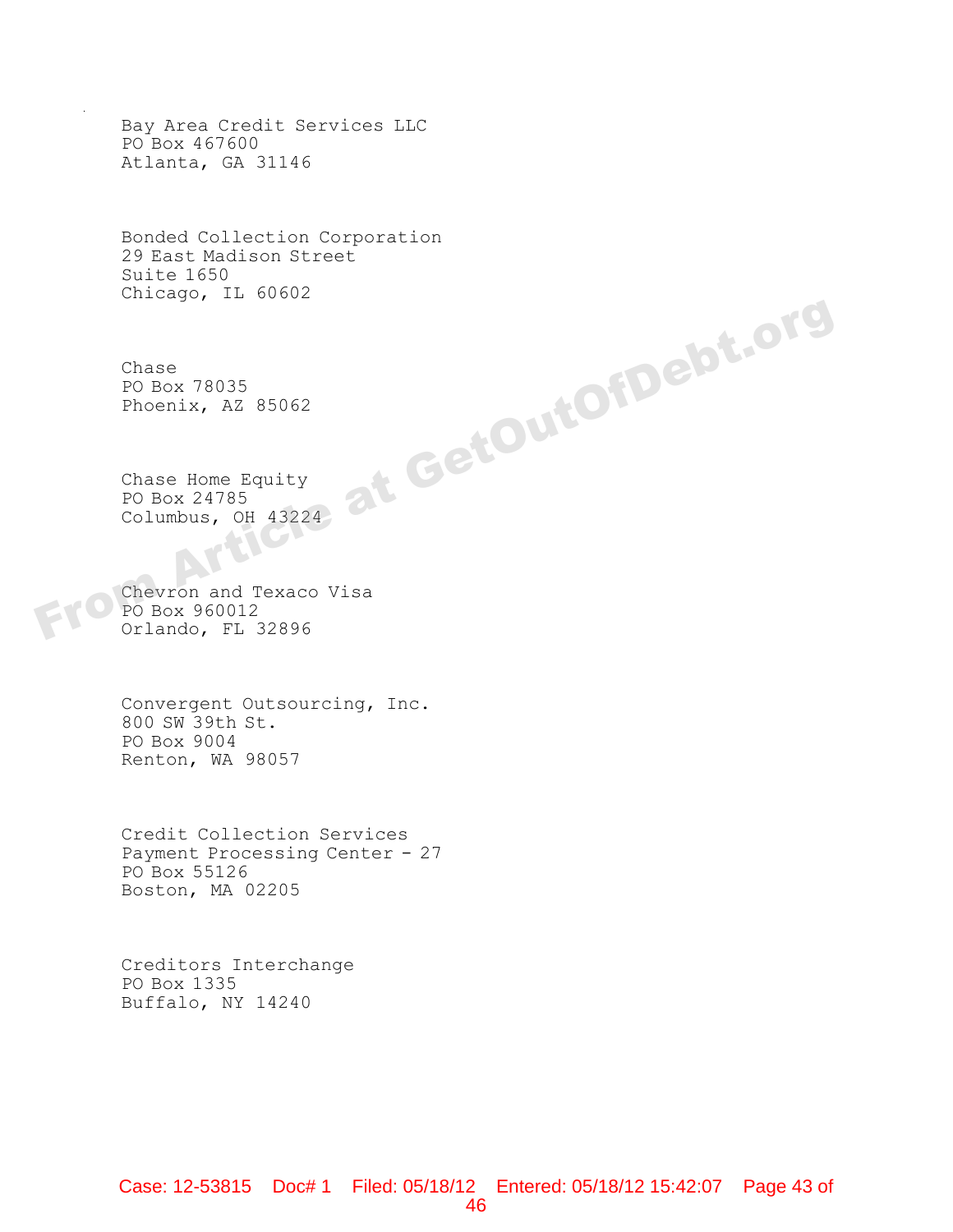Bay Area Credit Services LLC PO Box 467600 Atlanta, GA 31146

Bonded Collection Corporation 29 East Madison Street Suite 1650<br>Chicago, IL 60602 Chicago, IL 60602

Chase PO Box 78035 Phoenix, AZ 85062

Chase Home Equity PO Box 24785 Columbus, OH 43224

Chevron and Texaco Visa PO Box 960012 Orlando, FL 32896 Chase For Box 78035<br>
Phoenix, Az 85062<br>
Chase Home Equity<br>
Po Box 24785<br>
Columbus, OH 43224<br>
Chevron and Texaco Visa<br>
Po Box 960012<br>
OT Box 960012<br>
Chevron and Texaco Visa<br>
Po Box 960012<br>
OT Box 960012<br>
OT Box 960012<br>
OT

> Convergent Outsourcing, Inc. 800 SW 39th St. PO Box 9004 Renton, WA 98057

Credit Collection Services Payment Processing Center - 27 PO Box 55126 Boston, MA 02205

Creditors Interchange PO Box 1335 Buffalo, NY 14240

Case: 12-53815 Doc# 1 Filed: 05/18/12 Entered: 05/18/12 15:42:07 Page 43 of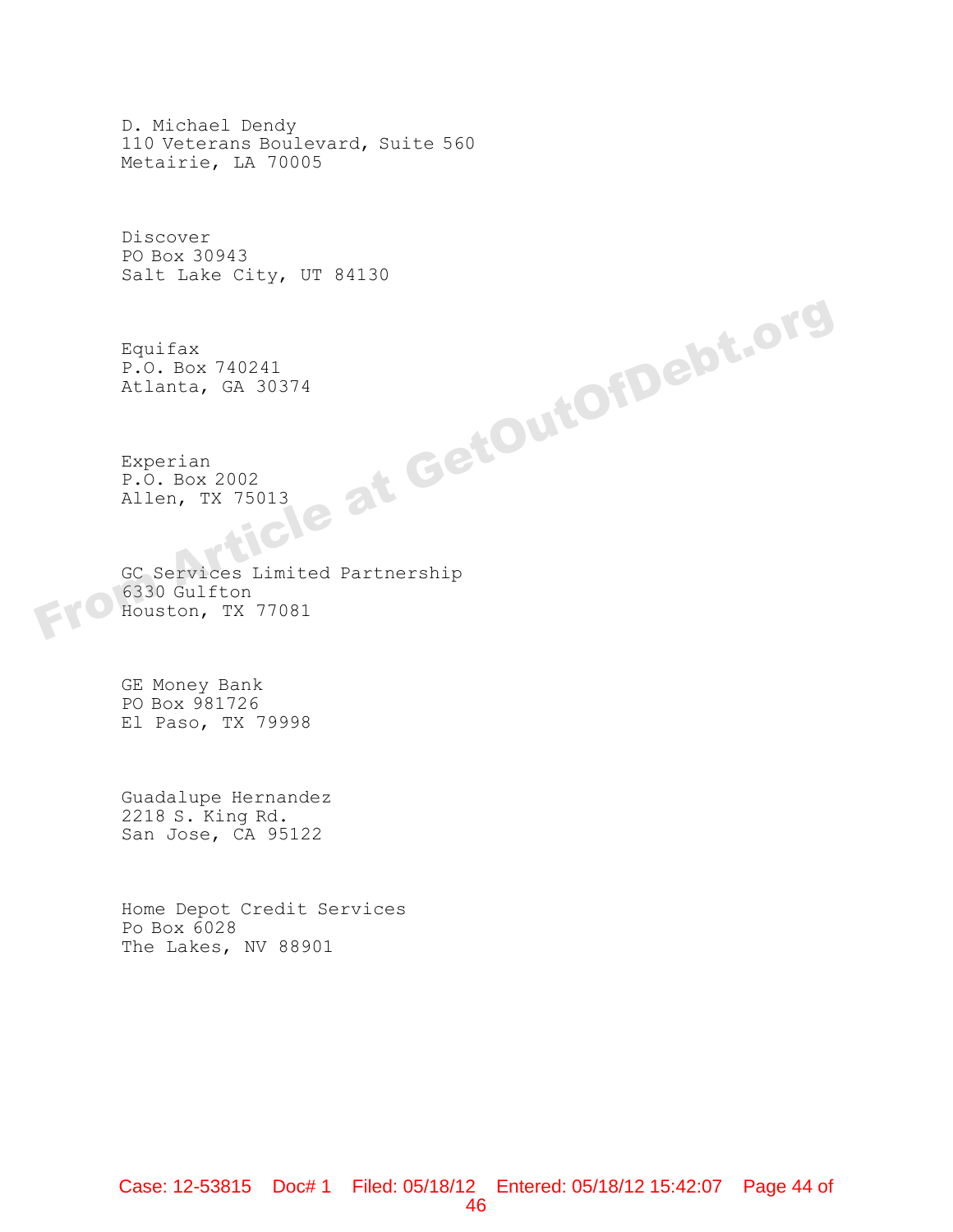D. Michael Dendy 110 Veterans Boulevard, Suite 560 Metairie, LA 70005

Discover PO Box 30943 Salt Lake City, UT 84130

Equifax P.O. Box 740241 Atlanta, GA 30374 **Critical GetOutOfDebt.org** 

Experian P.O. Box 2002 Allen, TX 75013

GC Services Limited Partnership 6330 Gulfton Houston, TX 77081

GE Money Bank PO Box 981726 El Paso, TX 79998

Guadalupe Hernandez 2218 S. King Rd. San Jose, CA 95122

Home Depot Credit Services Po Box 6028 The Lakes, NV 88901

Case: 12-53815 Doc# 1 Filed: 05/18/12 Entered: 05/18/12 15:42:07 Page 44 of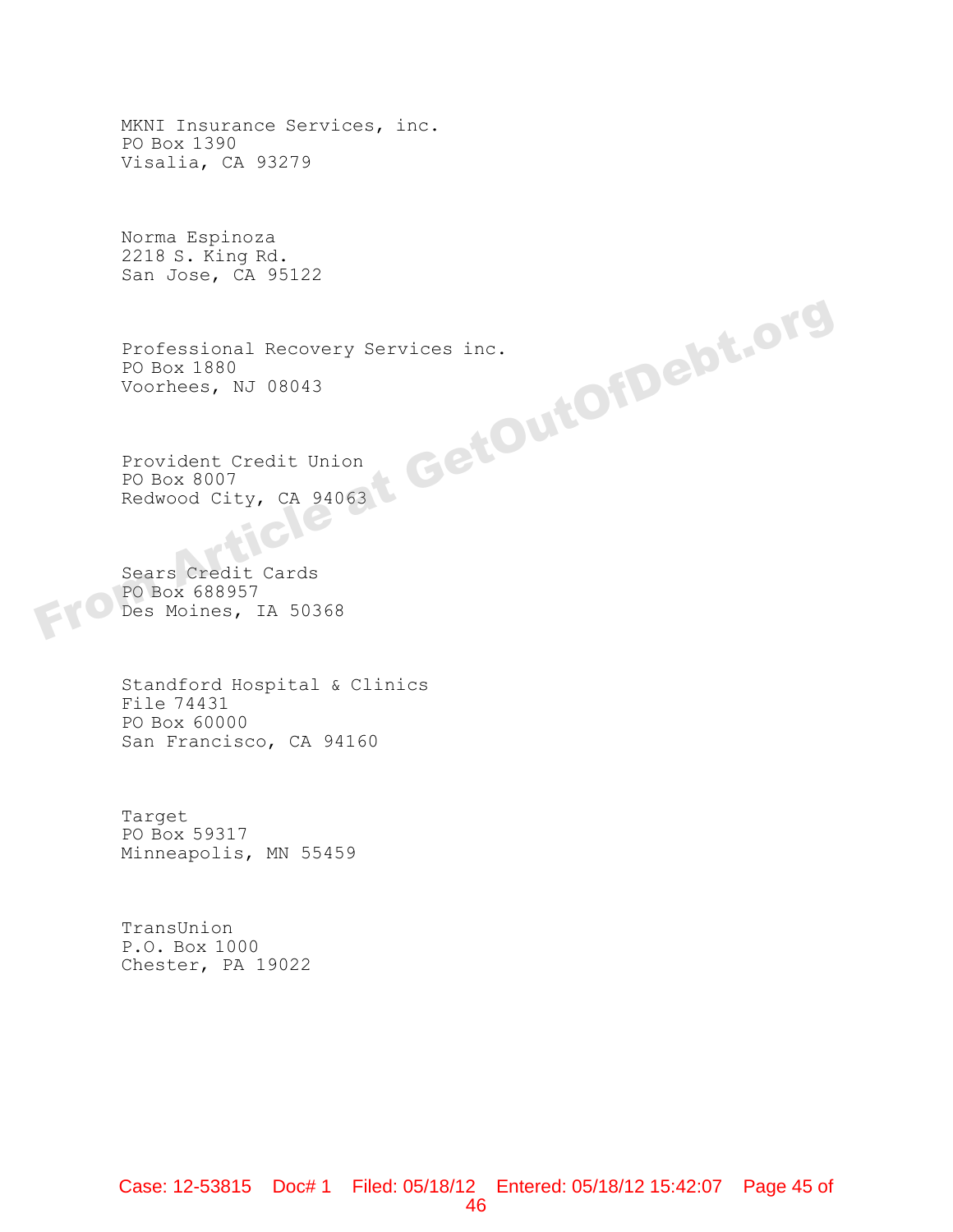MKNI Insurance Services, inc. PO Box 1390 Visalia, CA 93279

Norma Espinoza 2218 S. King Rd. San Jose, CA 95122

Professional Recovery Services inc. PO Box 1880 Voorhees, NJ 08043 Professional Recovery Services inc.<br>
PO Box 1880<br>
Voorhees, NJ 08043<br>
Provident Credit Union<br>
PO Box 8007<br>
Redwood City, CA 94063<sup>1</sup><br>
Sears Credit Cards<br>
PO Box 688957<br>
Des Moines, IA 50368

Provident Credit Union PO Box 8007 Redwood City, CA 94063

Sears Credit Cards PO Box 688957 Des Moines, IA 50368

Standford Hospital & Clinics File 74431 PO Box 60000 San Francisco, CA 94160

Target PO Box 59317 Minneapolis, MN 55459

TransUnion P.O. Box 1000 Chester, PA 19022